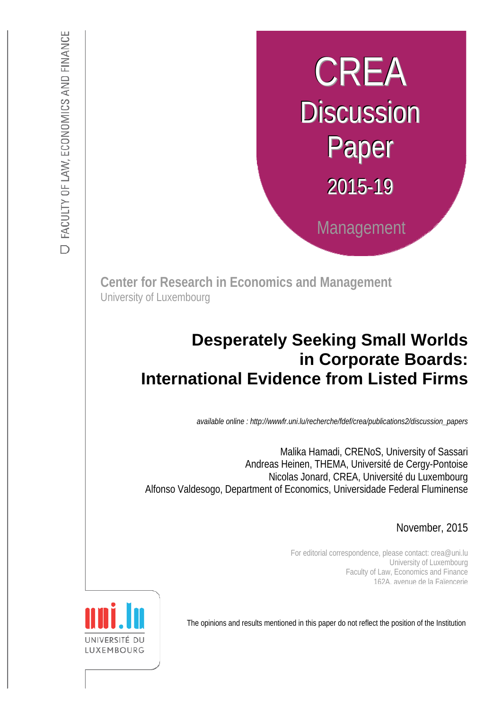# CREA **Discussion** Paper 2015-19 Management

**Center for Research in Economics and Management** University of Luxembourg

# :s *def.uni.lu/index.php/fdef\_FR/economie/crea*  **International Evidence from Listed Firms Desperately Seeking Small Worlds in Corporate Boards:**

*available online : http://wwwfr.uni.lu/recherche/fdef/crea/publications2/discussion\_papers* 

 Andreas Heinen, THEMA, Université de Cergy-Pontoise Malika Hamadi, CRENoS, University of Sassari Nicolas Jonard, CREA, Université du Luxembourg Alfonso Valdesogo, Department of Economics, Universidade Federal Fluminense

November, 2015

For editorial correspondence, please contact: crea@uni.lu University of Luxembourg Faculty of Law, Economics and Finance 162A, avenue de la Faïencerie

The opinions and results mentioned in this paper do not reflect the position of the Institution

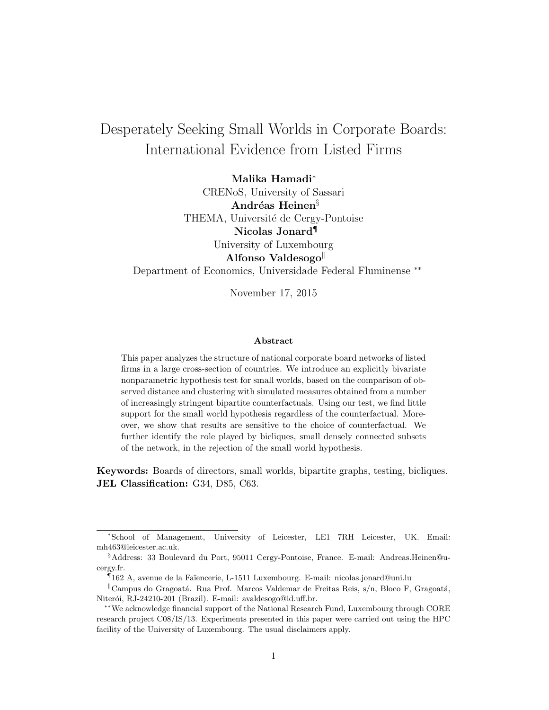# <span id="page-1-0"></span>Desperately Seeking Small Worlds in Corporate Boards: International Evidence from Listed Firms

Malika Hamadi<sup>∗</sup>

CRENoS, University of Sassari Andréas Heinen<sup>§</sup> THEMA, Université de Cergy-Pontoise Nicolas Jonard¶ University of Luxembourg Alfonso Valdesogo Department of Economics, Universidade Federal Fluminense ∗∗

November 17, 2015

#### Abstract

This paper analyzes the structure of national corporate board networks of listed firms in a large cross-section of countries. We introduce an explicitly bivariate nonparametric hypothesis test for small worlds, based on the comparison of observed distance and clustering with simulated measures obtained from a number of increasingly stringent bipartite counterfactuals. Using our test, we find little support for the small world hypothesis regardless of the counterfactual. Moreover, we show that results are sensitive to the choice of counterfactual. We further identify the role played by bicliques, small densely connected subsets of the network, in the rejection of the small world hypothesis.

Keywords: Boards of directors, small worlds, bipartite graphs, testing, bicliques. JEL Classification: G34, D85, C63.

<sup>∗</sup>School of Management, University of Leicester, LE1 7RH Leicester, UK. Email: mh463@leicester.ac.uk.

<sup>§</sup>Address: 33 Boulevard du Port, 95011 Cergy-Pontoise, France. E-mail: Andreas.Heinen@ucergy.fr.

<sup>¶</sup> 162 A, avenue de la Fa¨ıencerie, L-1511 Luxembourg. E-mail: nicolas.jonard@uni.lu

 $\mathbb{C}^{\mathbb{R}}$ Campus do Gragoatá. Rua Prof. Marcos Valdemar de Freitas Reis, s/n, Bloco F, Gragoatá, Niterói, RJ-24210-201 (Brazil). E-mail: avaldesogo@id.uff.br.

<sup>∗∗</sup>We acknowledge financial support of the National Research Fund, Luxembourg through CORE research project C08/IS/13. Experiments presented in this paper were carried out using the HPC facility of the University of Luxembourg. The usual disclaimers apply.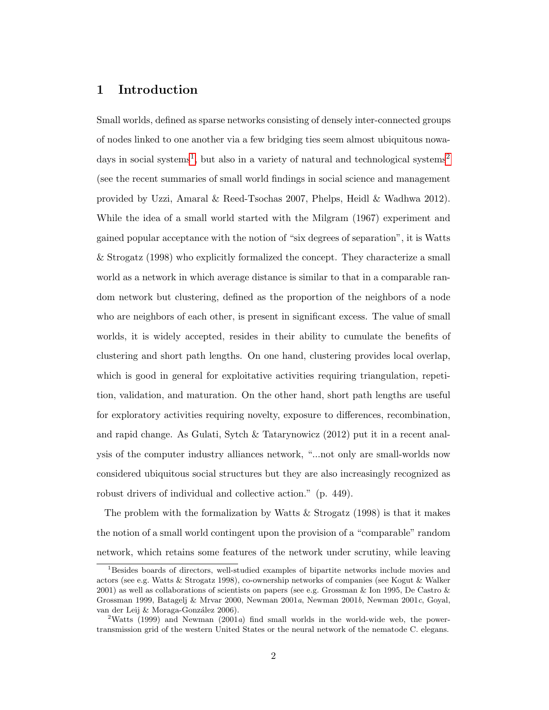# 1 Introduction

Small worlds, defined as sparse networks consisting of densely inter-connected groups of nodes linked to one another via a few bridging ties seem almost ubiquitous nowa-days in social systems<sup>[1](#page-1-0)</sup>, but also in a variety of natural and technological systems<sup>[2](#page-1-0)</sup> (see the recent summaries of small world findings in social science and management provided by Uzzi, Amaral & Reed-Tsochas 2007, Phelps, Heidl & Wadhwa 2012). While the idea of a small world started with the Milgram (1967) experiment and gained popular acceptance with the notion of "six degrees of separation", it is Watts & Strogatz (1998) who explicitly formalized the concept. They characterize a small world as a network in which average distance is similar to that in a comparable random network but clustering, defined as the proportion of the neighbors of a node who are neighbors of each other, is present in significant excess. The value of small worlds, it is widely accepted, resides in their ability to cumulate the benefits of clustering and short path lengths. On one hand, clustering provides local overlap, which is good in general for exploitative activities requiring triangulation, repetition, validation, and maturation. On the other hand, short path lengths are useful for exploratory activities requiring novelty, exposure to differences, recombination, and rapid change. As Gulati, Sytch & Tatarynowicz (2012) put it in a recent analysis of the computer industry alliances network, "...not only are small-worlds now considered ubiquitous social structures but they are also increasingly recognized as robust drivers of individual and collective action." (p. 449).

The problem with the formalization by Watts  $\&$  Strogatz (1998) is that it makes the notion of a small world contingent upon the provision of a "comparable" random network, which retains some features of the network under scrutiny, while leaving

<sup>1</sup>Besides boards of directors, well-studied examples of bipartite networks include movies and actors (see e.g. Watts & Strogatz 1998), co-ownership networks of companies (see Kogut & Walker 2001) as well as collaborations of scientists on papers (see e.g. Grossman & Ion 1995, De Castro & Grossman 1999, Batagelj & Mrvar 2000, Newman 2001a, Newman 2001b, Newman 2001c, Goyal, van der Leij & Moraga-González 2006).

<sup>&</sup>lt;sup>2</sup>Watts (1999) and Newman (2001a) find small worlds in the world-wide web, the powertransmission grid of the western United States or the neural network of the nematode C. elegans.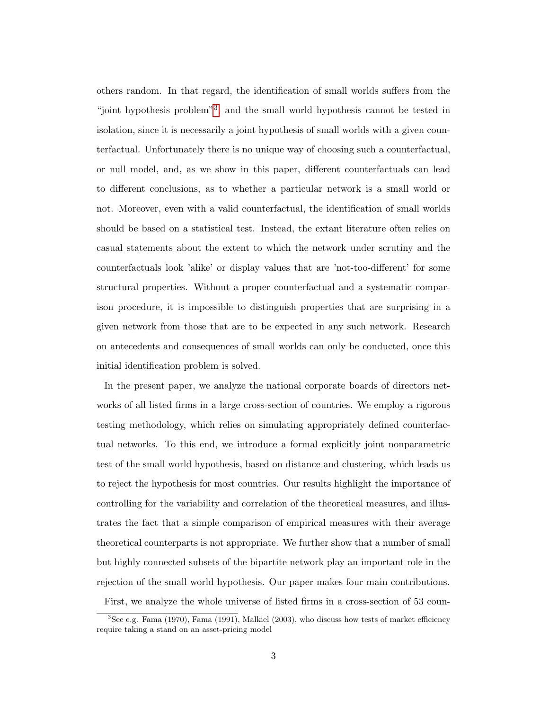others random. In that regard, the identification of small worlds suffers from the "joint hypothesis problem"<sup>[3](#page-1-0)</sup>, and the small world hypothesis cannot be tested in isolation, since it is necessarily a joint hypothesis of small worlds with a given counterfactual. Unfortunately there is no unique way of choosing such a counterfactual, or null model, and, as we show in this paper, different counterfactuals can lead to different conclusions, as to whether a particular network is a small world or not. Moreover, even with a valid counterfactual, the identification of small worlds should be based on a statistical test. Instead, the extant literature often relies on casual statements about the extent to which the network under scrutiny and the counterfactuals look 'alike' or display values that are 'not-too-different' for some structural properties. Without a proper counterfactual and a systematic comparison procedure, it is impossible to distinguish properties that are surprising in a given network from those that are to be expected in any such network. Research on antecedents and consequences of small worlds can only be conducted, once this initial identification problem is solved.

In the present paper, we analyze the national corporate boards of directors networks of all listed firms in a large cross-section of countries. We employ a rigorous testing methodology, which relies on simulating appropriately defined counterfactual networks. To this end, we introduce a formal explicitly joint nonparametric test of the small world hypothesis, based on distance and clustering, which leads us to reject the hypothesis for most countries. Our results highlight the importance of controlling for the variability and correlation of the theoretical measures, and illustrates the fact that a simple comparison of empirical measures with their average theoretical counterparts is not appropriate. We further show that a number of small but highly connected subsets of the bipartite network play an important role in the rejection of the small world hypothesis. Our paper makes four main contributions.

First, we analyze the whole universe of listed firms in a cross-section of 53 coun-

 $3$ See e.g. Fama (1970), Fama (1991), Malkiel (2003), who discuss how tests of market efficiency require taking a stand on an asset-pricing model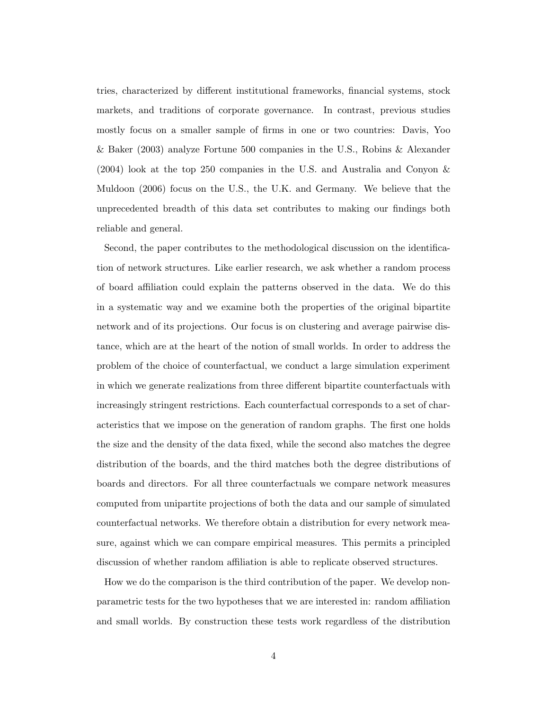tries, characterized by different institutional frameworks, financial systems, stock markets, and traditions of corporate governance. In contrast, previous studies mostly focus on a smaller sample of firms in one or two countries: Davis, Yoo & Baker (2003) analyze Fortune 500 companies in the U.S., Robins & Alexander (2004) look at the top 250 companies in the U.S. and Australia and Conyon & Muldoon (2006) focus on the U.S., the U.K. and Germany. We believe that the unprecedented breadth of this data set contributes to making our findings both reliable and general.

Second, the paper contributes to the methodological discussion on the identification of network structures. Like earlier research, we ask whether a random process of board affiliation could explain the patterns observed in the data. We do this in a systematic way and we examine both the properties of the original bipartite network and of its projections. Our focus is on clustering and average pairwise distance, which are at the heart of the notion of small worlds. In order to address the problem of the choice of counterfactual, we conduct a large simulation experiment in which we generate realizations from three different bipartite counterfactuals with increasingly stringent restrictions. Each counterfactual corresponds to a set of characteristics that we impose on the generation of random graphs. The first one holds the size and the density of the data fixed, while the second also matches the degree distribution of the boards, and the third matches both the degree distributions of boards and directors. For all three counterfactuals we compare network measures computed from unipartite projections of both the data and our sample of simulated counterfactual networks. We therefore obtain a distribution for every network measure, against which we can compare empirical measures. This permits a principled discussion of whether random affiliation is able to replicate observed structures.

How we do the comparison is the third contribution of the paper. We develop nonparametric tests for the two hypotheses that we are interested in: random affiliation and small worlds. By construction these tests work regardless of the distribution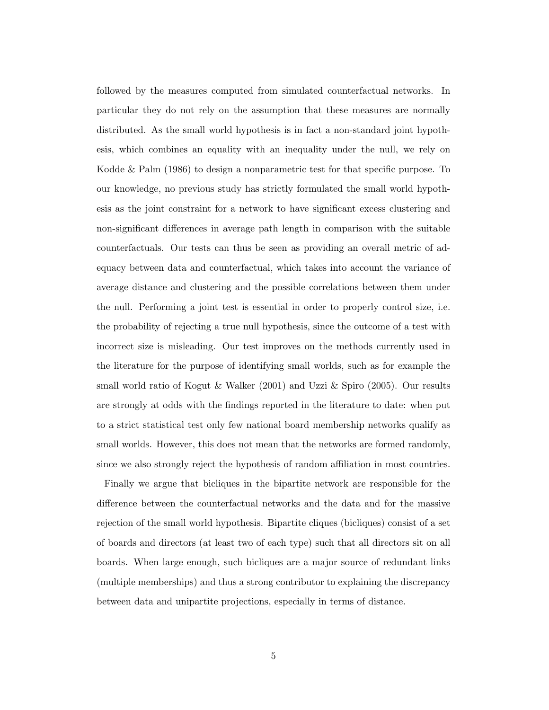followed by the measures computed from simulated counterfactual networks. In particular they do not rely on the assumption that these measures are normally distributed. As the small world hypothesis is in fact a non-standard joint hypothesis, which combines an equality with an inequality under the null, we rely on Kodde & Palm (1986) to design a nonparametric test for that specific purpose. To our knowledge, no previous study has strictly formulated the small world hypothesis as the joint constraint for a network to have significant excess clustering and non-significant differences in average path length in comparison with the suitable counterfactuals. Our tests can thus be seen as providing an overall metric of adequacy between data and counterfactual, which takes into account the variance of average distance and clustering and the possible correlations between them under the null. Performing a joint test is essential in order to properly control size, i.e. the probability of rejecting a true null hypothesis, since the outcome of a test with incorrect size is misleading. Our test improves on the methods currently used in the literature for the purpose of identifying small worlds, such as for example the small world ratio of Kogut & Walker (2001) and Uzzi & Spiro (2005). Our results are strongly at odds with the findings reported in the literature to date: when put to a strict statistical test only few national board membership networks qualify as small worlds. However, this does not mean that the networks are formed randomly, since we also strongly reject the hypothesis of random affiliation in most countries.

Finally we argue that bicliques in the bipartite network are responsible for the difference between the counterfactual networks and the data and for the massive rejection of the small world hypothesis. Bipartite cliques (bicliques) consist of a set of boards and directors (at least two of each type) such that all directors sit on all boards. When large enough, such bicliques are a major source of redundant links (multiple memberships) and thus a strong contributor to explaining the discrepancy between data and unipartite projections, especially in terms of distance.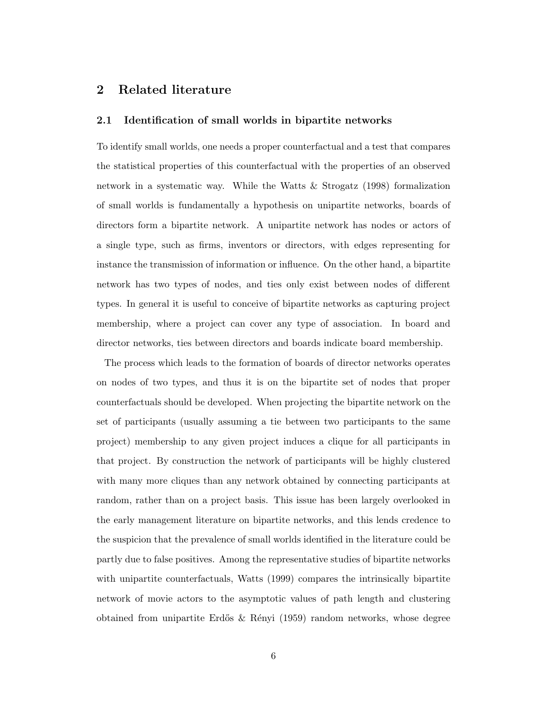# 2 Related literature

#### 2.1 Identification of small worlds in bipartite networks

To identify small worlds, one needs a proper counterfactual and a test that compares the statistical properties of this counterfactual with the properties of an observed network in a systematic way. While the Watts & Strogatz (1998) formalization of small worlds is fundamentally a hypothesis on unipartite networks, boards of directors form a bipartite network. A unipartite network has nodes or actors of a single type, such as firms, inventors or directors, with edges representing for instance the transmission of information or influence. On the other hand, a bipartite network has two types of nodes, and ties only exist between nodes of different types. In general it is useful to conceive of bipartite networks as capturing project membership, where a project can cover any type of association. In board and director networks, ties between directors and boards indicate board membership.

The process which leads to the formation of boards of director networks operates on nodes of two types, and thus it is on the bipartite set of nodes that proper counterfactuals should be developed. When projecting the bipartite network on the set of participants (usually assuming a tie between two participants to the same project) membership to any given project induces a clique for all participants in that project. By construction the network of participants will be highly clustered with many more cliques than any network obtained by connecting participants at random, rather than on a project basis. This issue has been largely overlooked in the early management literature on bipartite networks, and this lends credence to the suspicion that the prevalence of small worlds identified in the literature could be partly due to false positives. Among the representative studies of bipartite networks with unipartite counterfactuals, Watts (1999) compares the intrinsically bipartite network of movie actors to the asymptotic values of path length and clustering obtained from unipartite Erdős  $\&$  Rényi (1959) random networks, whose degree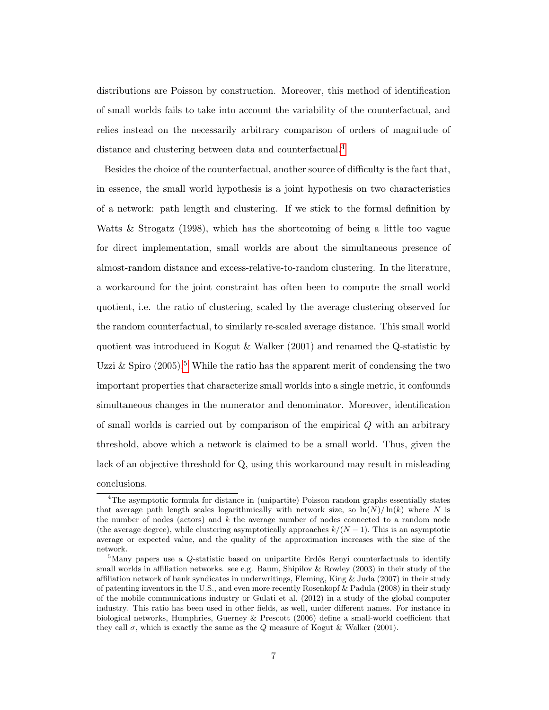distributions are Poisson by construction. Moreover, this method of identification of small worlds fails to take into account the variability of the counterfactual, and relies instead on the necessarily arbitrary comparison of orders of magnitude of distance and clustering between data and counterfactual.<sup>[4](#page-1-0)</sup>

Besides the choice of the counterfactual, another source of difficulty is the fact that, in essence, the small world hypothesis is a joint hypothesis on two characteristics of a network: path length and clustering. If we stick to the formal definition by Watts & Strogatz (1998), which has the shortcoming of being a little too vague for direct implementation, small worlds are about the simultaneous presence of almost-random distance and excess-relative-to-random clustering. In the literature, a workaround for the joint constraint has often been to compute the small world quotient, i.e. the ratio of clustering, scaled by the average clustering observed for the random counterfactual, to similarly re-scaled average distance. This small world quotient was introduced in Kogut & Walker (2001) and renamed the Q-statistic by Uzzi & Spiro  $(2005)$  $(2005)$  $(2005)$ .<sup>5</sup> While the ratio has the apparent merit of condensing the two important properties that characterize small worlds into a single metric, it confounds simultaneous changes in the numerator and denominator. Moreover, identification of small worlds is carried out by comparison of the empirical Q with an arbitrary threshold, above which a network is claimed to be a small world. Thus, given the lack of an objective threshold for Q, using this workaround may result in misleading conclusions.

<sup>&</sup>lt;sup>4</sup>The asymptotic formula for distance in (unipartite) Poisson random graphs essentially states that average path length scales logarithmically with network size, so  $\ln(N)/\ln(k)$  where N is the number of nodes (actors) and  $k$  the average number of nodes connected to a random node (the average degree), while clustering asymptotically approaches  $k/(N-1)$ . This is an asymptotic average or expected value, and the quality of the approximation increases with the size of the network.

 $5$ Many papers use a Q-statistic based on unipartite Erdős Renyi counterfactuals to identify small worlds in affiliation networks. see e.g. Baum, Shipilov & Rowley (2003) in their study of the affiliation network of bank syndicates in underwritings, Fleming, King & Juda (2007) in their study of patenting inventors in the U.S., and even more recently Rosenkopf & Padula (2008) in their study of the mobile communications industry or Gulati et al. (2012) in a study of the global computer industry. This ratio has been used in other fields, as well, under different names. For instance in biological networks, Humphries, Guerney & Prescott (2006) define a small-world coefficient that they call  $\sigma$ , which is exactly the same as the Q measure of Kogut & Walker (2001).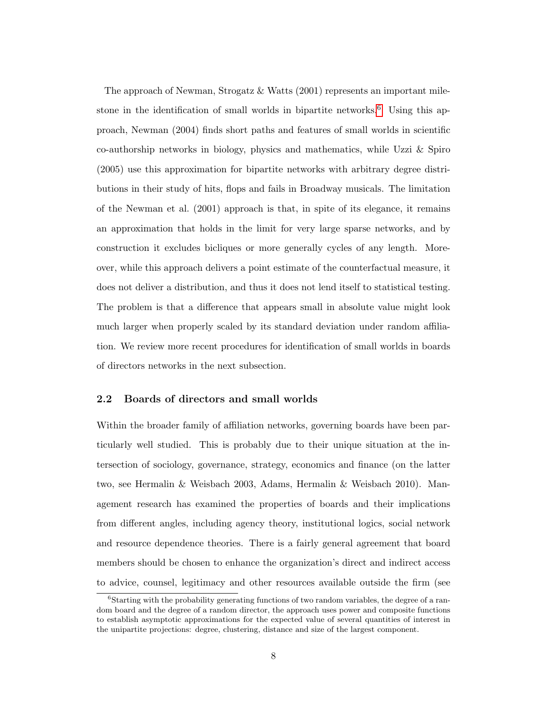The approach of Newman, Strogatz & Watts (2001) represents an important mile-stone in the identification of small worlds in bipartite networks.<sup>[6](#page-1-0)</sup> Using this approach, Newman (2004) finds short paths and features of small worlds in scientific co-authorship networks in biology, physics and mathematics, while Uzzi & Spiro (2005) use this approximation for bipartite networks with arbitrary degree distributions in their study of hits, flops and fails in Broadway musicals. The limitation of the Newman et al. (2001) approach is that, in spite of its elegance, it remains an approximation that holds in the limit for very large sparse networks, and by construction it excludes bicliques or more generally cycles of any length. Moreover, while this approach delivers a point estimate of the counterfactual measure, it does not deliver a distribution, and thus it does not lend itself to statistical testing. The problem is that a difference that appears small in absolute value might look much larger when properly scaled by its standard deviation under random affiliation. We review more recent procedures for identification of small worlds in boards of directors networks in the next subsection.

#### 2.2 Boards of directors and small worlds

Within the broader family of affiliation networks, governing boards have been particularly well studied. This is probably due to their unique situation at the intersection of sociology, governance, strategy, economics and finance (on the latter two, see Hermalin & Weisbach 2003, Adams, Hermalin & Weisbach 2010). Management research has examined the properties of boards and their implications from different angles, including agency theory, institutional logics, social network and resource dependence theories. There is a fairly general agreement that board members should be chosen to enhance the organization's direct and indirect access to advice, counsel, legitimacy and other resources available outside the firm (see

 ${}^{6}$ Starting with the probability generating functions of two random variables, the degree of a random board and the degree of a random director, the approach uses power and composite functions to establish asymptotic approximations for the expected value of several quantities of interest in the unipartite projections: degree, clustering, distance and size of the largest component.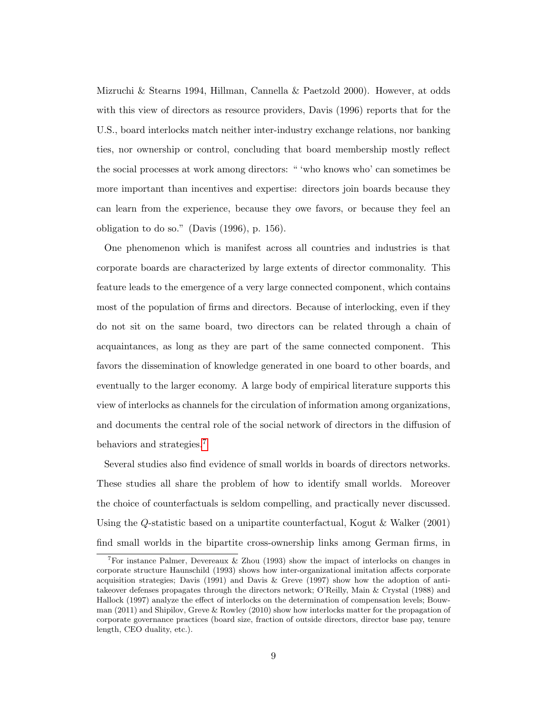Mizruchi & Stearns 1994, Hillman, Cannella & Paetzold 2000). However, at odds with this view of directors as resource providers, Davis (1996) reports that for the U.S., board interlocks match neither inter-industry exchange relations, nor banking ties, nor ownership or control, concluding that board membership mostly reflect the social processes at work among directors: " 'who knows who' can sometimes be more important than incentives and expertise: directors join boards because they can learn from the experience, because they owe favors, or because they feel an obligation to do so." (Davis (1996), p. 156).

One phenomenon which is manifest across all countries and industries is that corporate boards are characterized by large extents of director commonality. This feature leads to the emergence of a very large connected component, which contains most of the population of firms and directors. Because of interlocking, even if they do not sit on the same board, two directors can be related through a chain of acquaintances, as long as they are part of the same connected component. This favors the dissemination of knowledge generated in one board to other boards, and eventually to the larger economy. A large body of empirical literature supports this view of interlocks as channels for the circulation of information among organizations, and documents the central role of the social network of directors in the diffusion of behaviors and strategies.[7](#page-1-0)

Several studies also find evidence of small worlds in boards of directors networks. These studies all share the problem of how to identify small worlds. Moreover the choice of counterfactuals is seldom compelling, and practically never discussed. Using the Q-statistic based on a unipartite counterfactual, Kogut & Walker (2001) find small worlds in the bipartite cross-ownership links among German firms, in

<sup>&</sup>lt;sup>7</sup>For instance Palmer, Devereaux & Zhou (1993) show the impact of interlocks on changes in corporate structure Haunschild (1993) shows how inter-organizational imitation affects corporate acquisition strategies; Davis  $(1991)$  and Davis & Greve  $(1997)$  show how the adoption of antitakeover defenses propagates through the directors network; O'Reilly, Main & Crystal (1988) and Hallock (1997) analyze the effect of interlocks on the determination of compensation levels; Bouwman (2011) and Shipilov, Greve & Rowley (2010) show how interlocks matter for the propagation of corporate governance practices (board size, fraction of outside directors, director base pay, tenure length, CEO duality, etc.).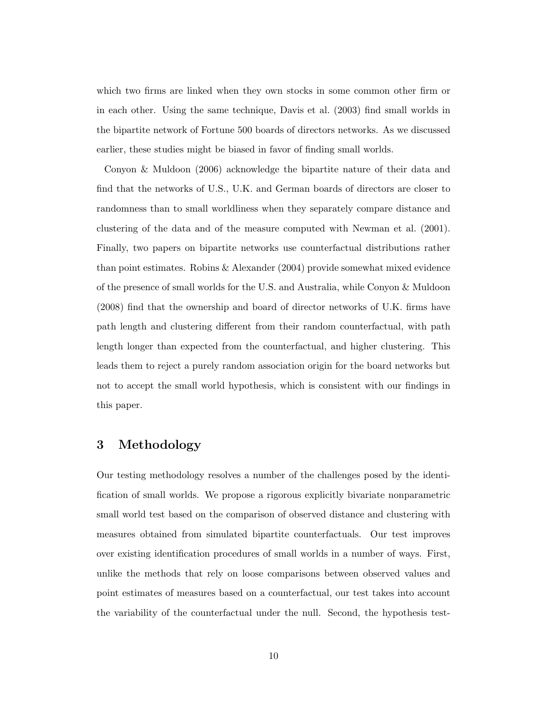which two firms are linked when they own stocks in some common other firm or in each other. Using the same technique, Davis et al. (2003) find small worlds in the bipartite network of Fortune 500 boards of directors networks. As we discussed earlier, these studies might be biased in favor of finding small worlds.

Conyon & Muldoon (2006) acknowledge the bipartite nature of their data and find that the networks of U.S., U.K. and German boards of directors are closer to randomness than to small worldliness when they separately compare distance and clustering of the data and of the measure computed with Newman et al. (2001). Finally, two papers on bipartite networks use counterfactual distributions rather than point estimates. Robins & Alexander (2004) provide somewhat mixed evidence of the presence of small worlds for the U.S. and Australia, while Conyon & Muldoon (2008) find that the ownership and board of director networks of U.K. firms have path length and clustering different from their random counterfactual, with path length longer than expected from the counterfactual, and higher clustering. This leads them to reject a purely random association origin for the board networks but not to accept the small world hypothesis, which is consistent with our findings in this paper.

# 3 Methodology

Our testing methodology resolves a number of the challenges posed by the identification of small worlds. We propose a rigorous explicitly bivariate nonparametric small world test based on the comparison of observed distance and clustering with measures obtained from simulated bipartite counterfactuals. Our test improves over existing identification procedures of small worlds in a number of ways. First, unlike the methods that rely on loose comparisons between observed values and point estimates of measures based on a counterfactual, our test takes into account the variability of the counterfactual under the null. Second, the hypothesis test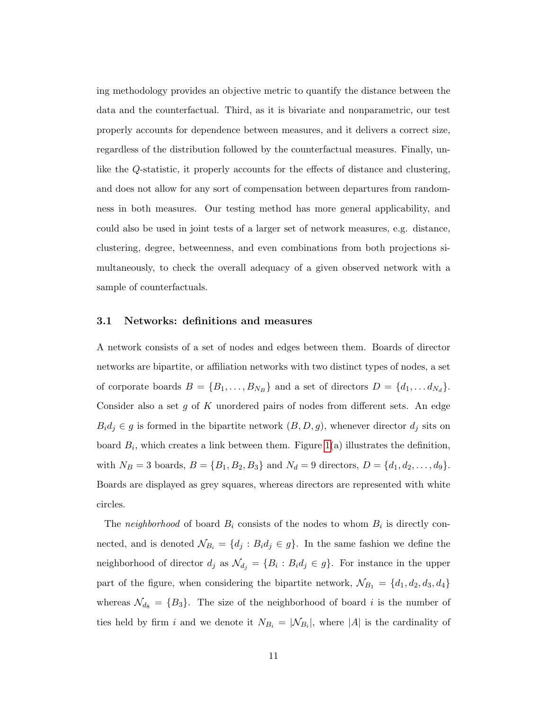ing methodology provides an objective metric to quantify the distance between the data and the counterfactual. Third, as it is bivariate and nonparametric, our test properly accounts for dependence between measures, and it delivers a correct size, regardless of the distribution followed by the counterfactual measures. Finally, unlike the Q-statistic, it properly accounts for the effects of distance and clustering, and does not allow for any sort of compensation between departures from randomness in both measures. Our testing method has more general applicability, and could also be used in joint tests of a larger set of network measures, e.g. distance, clustering, degree, betweenness, and even combinations from both projections simultaneously, to check the overall adequacy of a given observed network with a sample of counterfactuals.

#### 3.1 Networks: definitions and measures

A network consists of a set of nodes and edges between them. Boards of director networks are bipartite, or affiliation networks with two distinct types of nodes, a set of corporate boards  $B = \{B_1, \ldots, B_{N_B}\}\$ and a set of directors  $D = \{d_1, \ldots, d_{N_d}\}\.$ Consider also a set  $g$  of  $K$  unordered pairs of nodes from different sets. An edge  $B_i d_j \in g$  is formed in the bipartite network  $(B, D, g)$ , whenever director  $d_j$  sits on board  $B_i$ , which creates a link between them. Figure [1\(](#page-52-0)a) illustrates the definition, with  $N_B = 3$  boards,  $B = \{B_1, B_2, B_3\}$  and  $N_d = 9$  directors,  $D = \{d_1, d_2, \ldots, d_9\}$ . Boards are displayed as grey squares, whereas directors are represented with white circles.

The neighborhood of board  $B_i$  consists of the nodes to whom  $B_i$  is directly connected, and is denoted  $\mathcal{N}_{B_i} = \{d_j : B_i d_j \in g\}$ . In the same fashion we define the neighborhood of director  $d_j$  as  $\mathcal{N}_{d_j} = \{B_i : B_i d_j \in g\}$ . For instance in the upper part of the figure, when considering the bipartite network,  $\mathcal{N}_{B_1} = \{d_1, d_2, d_3, d_4\}$ whereas  $\mathcal{N}_{d_8} = \{B_3\}$ . The size of the neighborhood of board i is the number of ties held by firm i and we denote it  $N_{B_i} = |\mathcal{N}_{B_i}|$ , where |A| is the cardinality of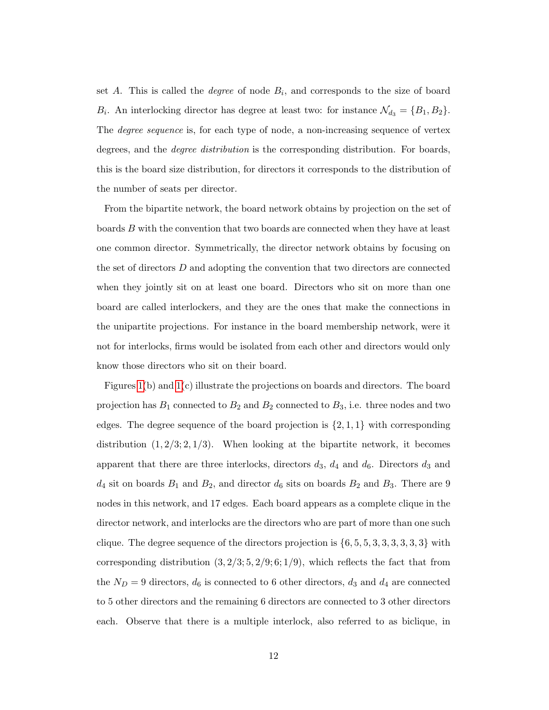set A. This is called the *degree* of node  $B_i$ , and corresponds to the size of board  $B_i$ . An interlocking director has degree at least two: for instance  $\mathcal{N}_{d_3} = \{B_1, B_2\}$ . The *degree sequence* is, for each type of node, a non-increasing sequence of vertex degrees, and the *degree distribution* is the corresponding distribution. For boards, this is the board size distribution, for directors it corresponds to the distribution of the number of seats per director.

From the bipartite network, the board network obtains by projection on the set of boards B with the convention that two boards are connected when they have at least one common director. Symmetrically, the director network obtains by focusing on the set of directors D and adopting the convention that two directors are connected when they jointly sit on at least one board. Directors who sit on more than one board are called interlockers, and they are the ones that make the connections in the unipartite projections. For instance in the board membership network, were it not for interlocks, firms would be isolated from each other and directors would only know those directors who sit on their board.

Figures [1\(](#page-52-0)b) and [1\(](#page-52-0)c) illustrate the projections on boards and directors. The board projection has  $B_1$  connected to  $B_2$  and  $B_2$  connected to  $B_3$ , i.e. three nodes and two edges. The degree sequence of the board projection is  $\{2, 1, 1\}$  with corresponding distribution  $(1, 2/3; 2, 1/3)$ . When looking at the bipartite network, it becomes apparent that there are three interlocks, directors  $d_3$ ,  $d_4$  and  $d_6$ . Directors  $d_3$  and  $d_4$  sit on boards  $B_1$  and  $B_2$ , and director  $d_6$  sits on boards  $B_2$  and  $B_3$ . There are 9 nodes in this network, and 17 edges. Each board appears as a complete clique in the director network, and interlocks are the directors who are part of more than one such clique. The degree sequence of the directors projection is  $\{6, 5, 5, 3, 3, 3, 3, 3, 3\}$  with corresponding distribution  $(3, 2/3; 5, 2/9; 6; 1/9)$ , which reflects the fact that from the  $N_D = 9$  directors,  $d_6$  is connected to 6 other directors,  $d_3$  and  $d_4$  are connected to 5 other directors and the remaining 6 directors are connected to 3 other directors each. Observe that there is a multiple interlock, also referred to as biclique, in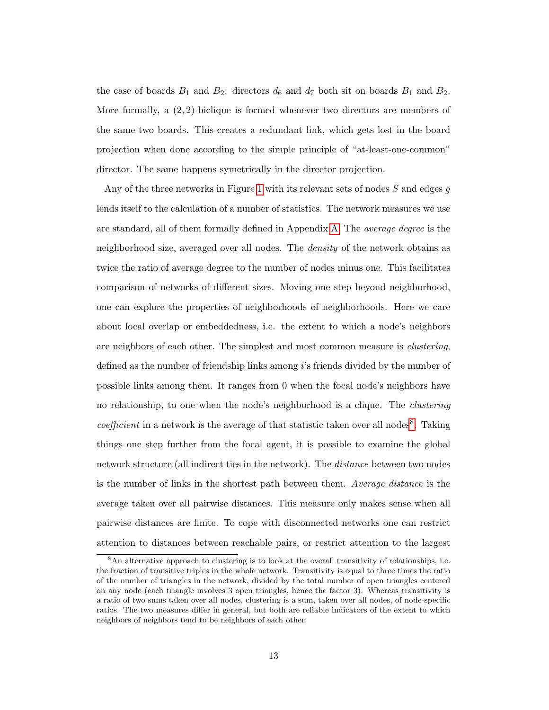the case of boards  $B_1$  and  $B_2$ : directors  $d_6$  and  $d_7$  both sit on boards  $B_1$  and  $B_2$ . More formally, a  $(2, 2)$ -biclique is formed whenever two directors are members of the same two boards. This creates a redundant link, which gets lost in the board projection when done according to the simple principle of "at-least-one-common" director. The same happens symetrically in the director projection.

Any of the three networks in Figure [1](#page-52-0) with its relevant sets of nodes  $S$  and edges  $q$ lends itself to the calculation of a number of statistics. The network measures we use are standard, all of them formally defined in Appendix [A.](#page-54-0) The average degree is the neighborhood size, averaged over all nodes. The *density* of the network obtains as twice the ratio of average degree to the number of nodes minus one. This facilitates comparison of networks of different sizes. Moving one step beyond neighborhood, one can explore the properties of neighborhoods of neighborhoods. Here we care about local overlap or embeddedness, i.e. the extent to which a node's neighbors are neighbors of each other. The simplest and most common measure is *clustering*, defined as the number of friendship links among i's friends divided by the number of possible links among them. It ranges from 0 when the focal node's neighbors have no relationship, to one when the node's neighborhood is a clique. The *clustering coefficient* in a network is the average of that statistic taken over all nodes<sup>[8](#page-1-0)</sup>. Taking things one step further from the focal agent, it is possible to examine the global network structure (all indirect ties in the network). The *distance* between two nodes is the number of links in the shortest path between them. Average distance is the average taken over all pairwise distances. This measure only makes sense when all pairwise distances are finite. To cope with disconnected networks one can restrict attention to distances between reachable pairs, or restrict attention to the largest

<sup>&</sup>lt;sup>8</sup>An alternative approach to clustering is to look at the overall transitivity of relationships, i.e. the fraction of transitive triples in the whole network. Transitivity is equal to three times the ratio of the number of triangles in the network, divided by the total number of open triangles centered on any node (each triangle involves 3 open triangles, hence the factor 3). Whereas transitivity is a ratio of two sums taken over all nodes, clustering is a sum, taken over all nodes, of node-specific ratios. The two measures differ in general, but both are reliable indicators of the extent to which neighbors of neighbors tend to be neighbors of each other.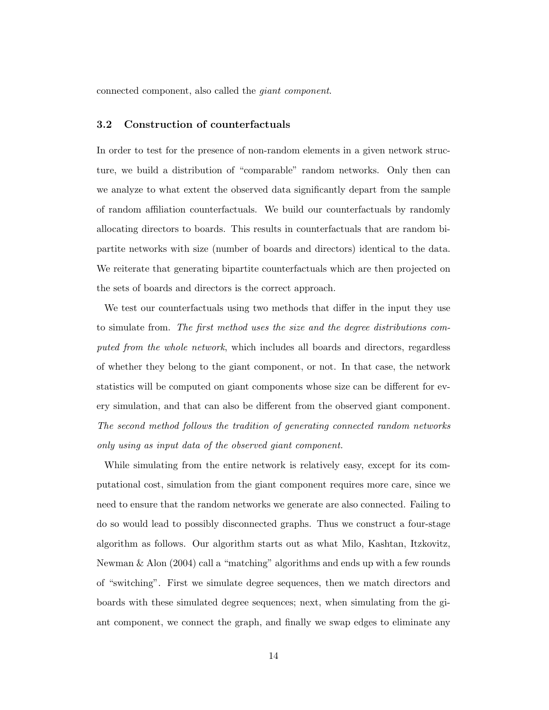connected component, also called the giant component.

#### 3.2 Construction of counterfactuals

In order to test for the presence of non-random elements in a given network structure, we build a distribution of "comparable" random networks. Only then can we analyze to what extent the observed data significantly depart from the sample of random affiliation counterfactuals. We build our counterfactuals by randomly allocating directors to boards. This results in counterfactuals that are random bipartite networks with size (number of boards and directors) identical to the data. We reiterate that generating bipartite counterfactuals which are then projected on the sets of boards and directors is the correct approach.

We test our counterfactuals using two methods that differ in the input they use to simulate from. The first method uses the size and the degree distributions computed from the whole network, which includes all boards and directors, regardless of whether they belong to the giant component, or not. In that case, the network statistics will be computed on giant components whose size can be different for every simulation, and that can also be different from the observed giant component. The second method follows the tradition of generating connected random networks only using as input data of the observed giant component.

While simulating from the entire network is relatively easy, except for its computational cost, simulation from the giant component requires more care, since we need to ensure that the random networks we generate are also connected. Failing to do so would lead to possibly disconnected graphs. Thus we construct a four-stage algorithm as follows. Our algorithm starts out as what Milo, Kashtan, Itzkovitz, Newman & Alon (2004) call a "matching" algorithms and ends up with a few rounds of "switching". First we simulate degree sequences, then we match directors and boards with these simulated degree sequences; next, when simulating from the giant component, we connect the graph, and finally we swap edges to eliminate any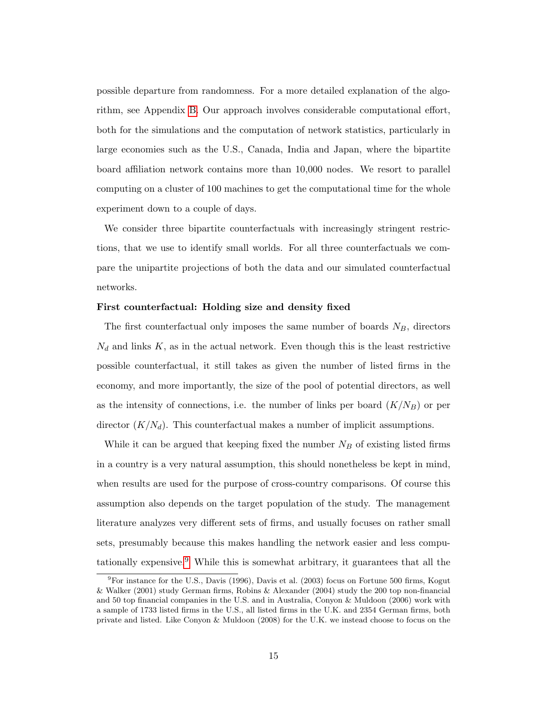possible departure from randomness. For a more detailed explanation of the algorithm, see Appendix [B.](#page-55-0) Our approach involves considerable computational effort, both for the simulations and the computation of network statistics, particularly in large economies such as the U.S., Canada, India and Japan, where the bipartite board affiliation network contains more than 10,000 nodes. We resort to parallel computing on a cluster of 100 machines to get the computational time for the whole experiment down to a couple of days.

We consider three bipartite counterfactuals with increasingly stringent restrictions, that we use to identify small worlds. For all three counterfactuals we compare the unipartite projections of both the data and our simulated counterfactual networks.

#### First counterfactual: Holding size and density fixed

The first counterfactual only imposes the same number of boards  $N_B$ , directors  $N_d$  and links K, as in the actual network. Even though this is the least restrictive possible counterfactual, it still takes as given the number of listed firms in the economy, and more importantly, the size of the pool of potential directors, as well as the intensity of connections, i.e. the number of links per board  $(K/N_B)$  or per director  $(K/N_d)$ . This counterfactual makes a number of implicit assumptions.

While it can be argued that keeping fixed the number  $N_B$  of existing listed firms in a country is a very natural assumption, this should nonetheless be kept in mind, when results are used for the purpose of cross-country comparisons. Of course this assumption also depends on the target population of the study. The management literature analyzes very different sets of firms, and usually focuses on rather small sets, presumably because this makes handling the network easier and less compu-tationally expensive.<sup>[9](#page-1-0)</sup> While this is somewhat arbitrary, it guarantees that all the

<sup>&</sup>lt;sup>9</sup>For instance for the U.S., Davis (1996), Davis et al. (2003) focus on Fortune 500 firms, Kogut & Walker (2001) study German firms, Robins & Alexander (2004) study the 200 top non-financial and 50 top financial companies in the U.S. and in Australia, Conyon & Muldoon (2006) work with a sample of 1733 listed firms in the U.S., all listed firms in the U.K. and 2354 German firms, both private and listed. Like Conyon & Muldoon (2008) for the U.K. we instead choose to focus on the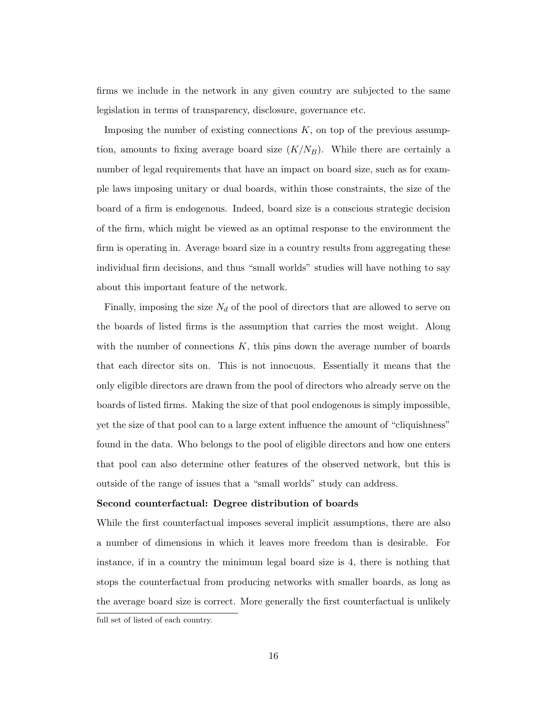firms we include in the network in any given country are subjected to the same legislation in terms of transparency, disclosure, governance etc.

Imposing the number of existing connections  $K$ , on top of the previous assumption, amounts to fixing average board size  $(K/N_B)$ . While there are certainly a number of legal requirements that have an impact on board size, such as for example laws imposing unitary or dual boards, within those constraints, the size of the board of a firm is endogenous. Indeed, board size is a conscious strategic decision of the firm, which might be viewed as an optimal response to the environment the firm is operating in. Average board size in a country results from aggregating these individual firm decisions, and thus "small worlds" studies will have nothing to say about this important feature of the network.

Finally, imposing the size  $N_d$  of the pool of directors that are allowed to serve on the boards of listed firms is the assumption that carries the most weight. Along with the number of connections  $K$ , this pins down the average number of boards that each director sits on. This is not innocuous. Essentially it means that the only eligible directors are drawn from the pool of directors who already serve on the boards of listed firms. Making the size of that pool endogenous is simply impossible, yet the size of that pool can to a large extent influence the amount of "cliquishness" found in the data. Who belongs to the pool of eligible directors and how one enters that pool can also determine other features of the observed network, but this is outside of the range of issues that a "small worlds" study can address.

#### Second counterfactual: Degree distribution of boards

While the first counterfactual imposes several implicit assumptions, there are also a number of dimensions in which it leaves more freedom than is desirable. For instance, if in a country the minimum legal board size is 4, there is nothing that stops the counterfactual from producing networks with smaller boards, as long as the average board size is correct. More generally the first counterfactual is unlikely

full set of listed of each country.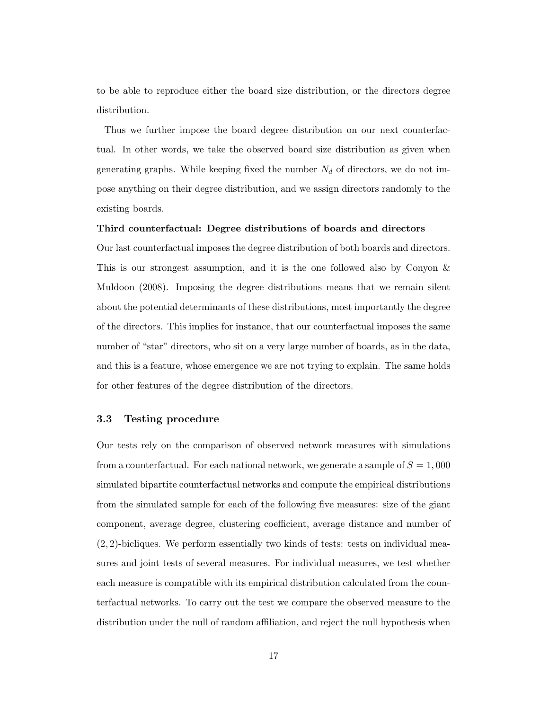to be able to reproduce either the board size distribution, or the directors degree distribution.

Thus we further impose the board degree distribution on our next counterfactual. In other words, we take the observed board size distribution as given when generating graphs. While keeping fixed the number  $N_d$  of directors, we do not impose anything on their degree distribution, and we assign directors randomly to the existing boards.

#### Third counterfactual: Degree distributions of boards and directors

Our last counterfactual imposes the degree distribution of both boards and directors. This is our strongest assumption, and it is the one followed also by Conyon & Muldoon (2008). Imposing the degree distributions means that we remain silent about the potential determinants of these distributions, most importantly the degree of the directors. This implies for instance, that our counterfactual imposes the same number of "star" directors, who sit on a very large number of boards, as in the data, and this is a feature, whose emergence we are not trying to explain. The same holds for other features of the degree distribution of the directors.

#### 3.3 Testing procedure

Our tests rely on the comparison of observed network measures with simulations from a counterfactual. For each national network, we generate a sample of  $S = 1,000$ simulated bipartite counterfactual networks and compute the empirical distributions from the simulated sample for each of the following five measures: size of the giant component, average degree, clustering coefficient, average distance and number of  $(2, 2)$ -bicliques. We perform essentially two kinds of tests: tests on individual measures and joint tests of several measures. For individual measures, we test whether each measure is compatible with its empirical distribution calculated from the counterfactual networks. To carry out the test we compare the observed measure to the distribution under the null of random affiliation, and reject the null hypothesis when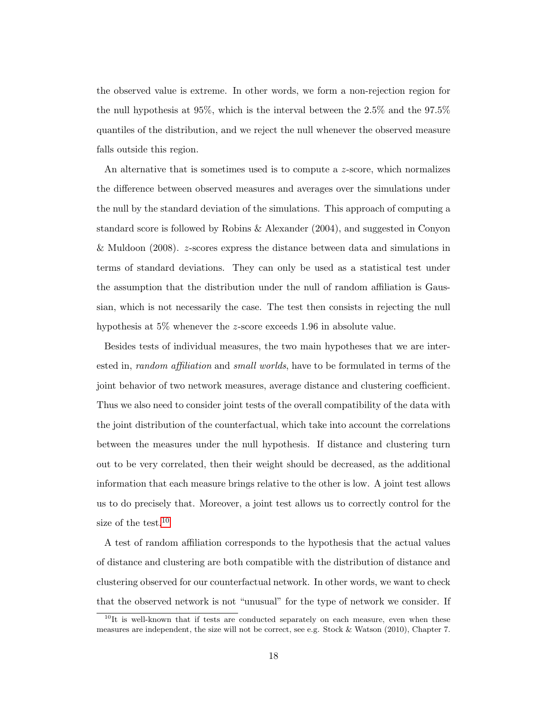the observed value is extreme. In other words, we form a non-rejection region for the null hypothesis at 95%, which is the interval between the 2.5% and the 97.5% quantiles of the distribution, and we reject the null whenever the observed measure falls outside this region.

An alternative that is sometimes used is to compute a z-score, which normalizes the difference between observed measures and averages over the simulations under the null by the standard deviation of the simulations. This approach of computing a standard score is followed by Robins & Alexander (2004), and suggested in Conyon & Muldoon (2008). z-scores express the distance between data and simulations in terms of standard deviations. They can only be used as a statistical test under the assumption that the distribution under the null of random affiliation is Gaussian, which is not necessarily the case. The test then consists in rejecting the null hypothesis at 5\% whenever the z-score exceeds 1.96 in absolute value.

Besides tests of individual measures, the two main hypotheses that we are interested in, *random affiliation* and *small worlds*, have to be formulated in terms of the joint behavior of two network measures, average distance and clustering coefficient. Thus we also need to consider joint tests of the overall compatibility of the data with the joint distribution of the counterfactual, which take into account the correlations between the measures under the null hypothesis. If distance and clustering turn out to be very correlated, then their weight should be decreased, as the additional information that each measure brings relative to the other is low. A joint test allows us to do precisely that. Moreover, a joint test allows us to correctly control for the size of the test.<sup>[10](#page-1-0)</sup>

A test of random affiliation corresponds to the hypothesis that the actual values of distance and clustering are both compatible with the distribution of distance and clustering observed for our counterfactual network. In other words, we want to check that the observed network is not "unusual" for the type of network we consider. If

<sup>&</sup>lt;sup>10</sup>It is well-known that if tests are conducted separately on each measure, even when these measures are independent, the size will not be correct, see e.g. Stock & Watson (2010), Chapter 7.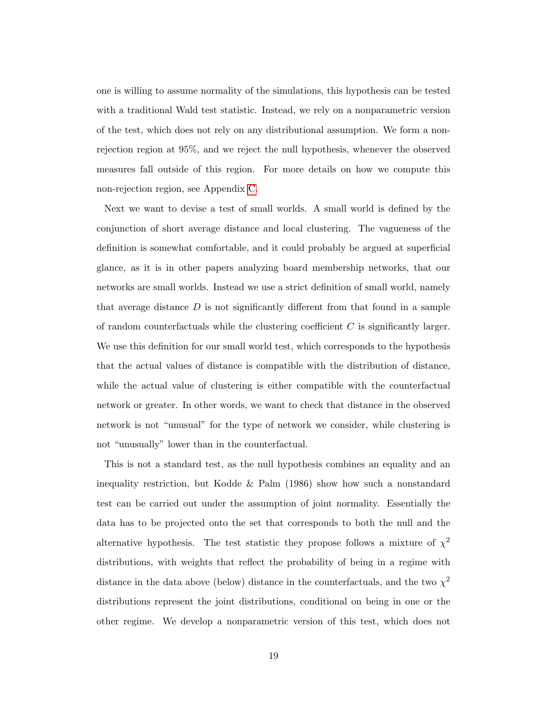one is willing to assume normality of the simulations, this hypothesis can be tested with a traditional Wald test statistic. Instead, we rely on a nonparametric version of the test, which does not rely on any distributional assumption. We form a nonrejection region at 95%, and we reject the null hypothesis, whenever the observed measures fall outside of this region. For more details on how we compute this non-rejection region, see Appendix [C.](#page-58-0)

Next we want to devise a test of small worlds. A small world is defined by the conjunction of short average distance and local clustering. The vagueness of the definition is somewhat comfortable, and it could probably be argued at superficial glance, as it is in other papers analyzing board membership networks, that our networks are small worlds. Instead we use a strict definition of small world, namely that average distance  $D$  is not significantly different from that found in a sample of random counterfactuals while the clustering coefficient  $C$  is significantly larger. We use this definition for our small world test, which corresponds to the hypothesis that the actual values of distance is compatible with the distribution of distance, while the actual value of clustering is either compatible with the counterfactual network or greater. In other words, we want to check that distance in the observed network is not "unusual" for the type of network we consider, while clustering is not "unusually" lower than in the counterfactual.

This is not a standard test, as the null hypothesis combines an equality and an inequality restriction, but Kodde & Palm (1986) show how such a nonstandard test can be carried out under the assumption of joint normality. Essentially the data has to be projected onto the set that corresponds to both the null and the alternative hypothesis. The test statistic they propose follows a mixture of  $\chi^2$ distributions, with weights that reflect the probability of being in a regime with distance in the data above (below) distance in the counterfactuals, and the two  $\chi^2$ distributions represent the joint distributions, conditional on being in one or the other regime. We develop a nonparametric version of this test, which does not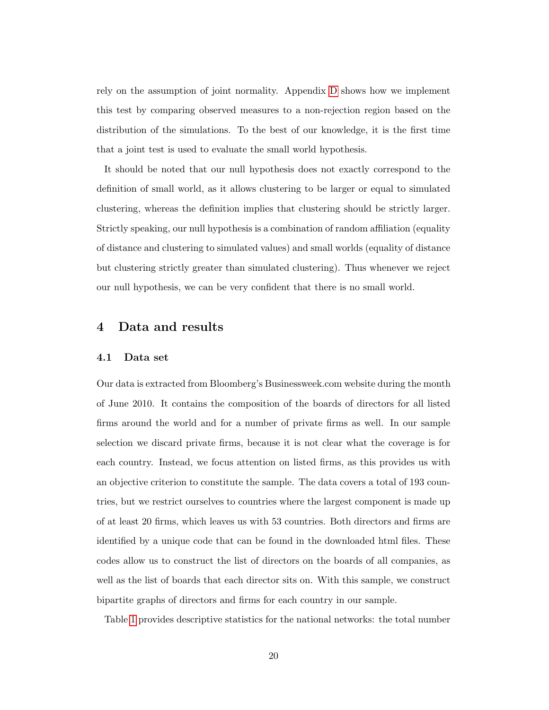rely on the assumption of joint normality. Appendix [D](#page-60-0) shows how we implement this test by comparing observed measures to a non-rejection region based on the distribution of the simulations. To the best of our knowledge, it is the first time that a joint test is used to evaluate the small world hypothesis.

It should be noted that our null hypothesis does not exactly correspond to the definition of small world, as it allows clustering to be larger or equal to simulated clustering, whereas the definition implies that clustering should be strictly larger. Strictly speaking, our null hypothesis is a combination of random affiliation (equality of distance and clustering to simulated values) and small worlds (equality of distance but clustering strictly greater than simulated clustering). Thus whenever we reject our null hypothesis, we can be very confident that there is no small world.

# 4 Data and results

#### 4.1 Data set

Our data is extracted from Bloomberg's Businessweek.com website during the month of June 2010. It contains the composition of the boards of directors for all listed firms around the world and for a number of private firms as well. In our sample selection we discard private firms, because it is not clear what the coverage is for each country. Instead, we focus attention on listed firms, as this provides us with an objective criterion to constitute the sample. The data covers a total of 193 countries, but we restrict ourselves to countries where the largest component is made up of at least 20 firms, which leaves us with 53 countries. Both directors and firms are identified by a unique code that can be found in the downloaded html files. These codes allow us to construct the list of directors on the boards of all companies, as well as the list of boards that each director sits on. With this sample, we construct bipartite graphs of directors and firms for each country in our sample.

Table [1](#page-44-0) provides descriptive statistics for the national networks: the total number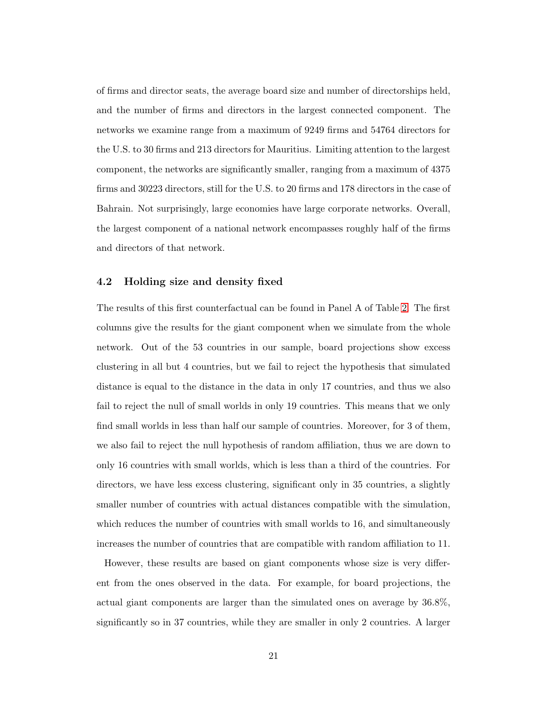of firms and director seats, the average board size and number of directorships held, and the number of firms and directors in the largest connected component. The networks we examine range from a maximum of 9249 firms and 54764 directors for the U.S. to 30 firms and 213 directors for Mauritius. Limiting attention to the largest component, the networks are significantly smaller, ranging from a maximum of 4375 firms and 30223 directors, still for the U.S. to 20 firms and 178 directors in the case of Bahrain. Not surprisingly, large economies have large corporate networks. Overall, the largest component of a national network encompasses roughly half of the firms and directors of that network.

#### 4.2 Holding size and density fixed

The results of this first counterfactual can be found in Panel A of Table [2.](#page-45-0) The first columns give the results for the giant component when we simulate from the whole network. Out of the 53 countries in our sample, board projections show excess clustering in all but 4 countries, but we fail to reject the hypothesis that simulated distance is equal to the distance in the data in only 17 countries, and thus we also fail to reject the null of small worlds in only 19 countries. This means that we only find small worlds in less than half our sample of countries. Moreover, for 3 of them, we also fail to reject the null hypothesis of random affiliation, thus we are down to only 16 countries with small worlds, which is less than a third of the countries. For directors, we have less excess clustering, significant only in 35 countries, a slightly smaller number of countries with actual distances compatible with the simulation, which reduces the number of countries with small worlds to 16, and simultaneously increases the number of countries that are compatible with random affiliation to 11.

However, these results are based on giant components whose size is very different from the ones observed in the data. For example, for board projections, the actual giant components are larger than the simulated ones on average by 36.8%, significantly so in 37 countries, while they are smaller in only 2 countries. A larger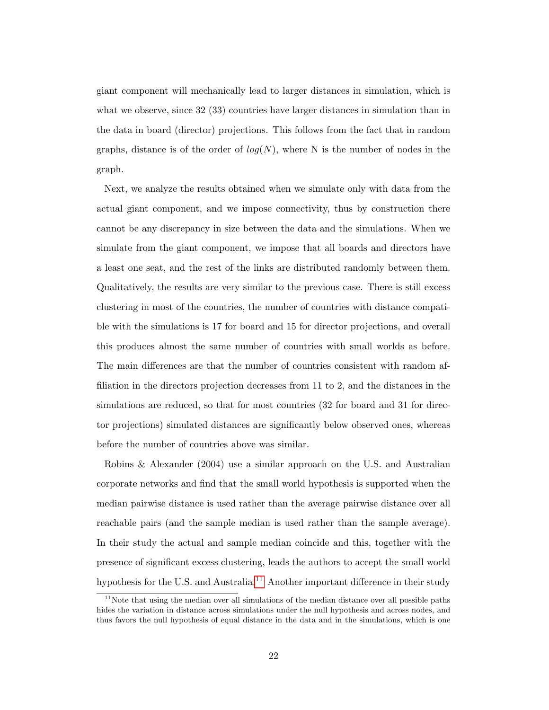giant component will mechanically lead to larger distances in simulation, which is what we observe, since 32 (33) countries have larger distances in simulation than in the data in board (director) projections. This follows from the fact that in random graphs, distance is of the order of  $log(N)$ , where N is the number of nodes in the graph.

Next, we analyze the results obtained when we simulate only with data from the actual giant component, and we impose connectivity, thus by construction there cannot be any discrepancy in size between the data and the simulations. When we simulate from the giant component, we impose that all boards and directors have a least one seat, and the rest of the links are distributed randomly between them. Qualitatively, the results are very similar to the previous case. There is still excess clustering in most of the countries, the number of countries with distance compatible with the simulations is 17 for board and 15 for director projections, and overall this produces almost the same number of countries with small worlds as before. The main differences are that the number of countries consistent with random affiliation in the directors projection decreases from 11 to 2, and the distances in the simulations are reduced, so that for most countries (32 for board and 31 for director projections) simulated distances are significantly below observed ones, whereas before the number of countries above was similar.

Robins & Alexander (2004) use a similar approach on the U.S. and Australian corporate networks and find that the small world hypothesis is supported when the median pairwise distance is used rather than the average pairwise distance over all reachable pairs (and the sample median is used rather than the sample average). In their study the actual and sample median coincide and this, together with the presence of significant excess clustering, leads the authors to accept the small world hypothesis for the U.S. and Australia.<sup>[11](#page-1-0)</sup> Another important difference in their study

 $11$ Note that using the median over all simulations of the median distance over all possible paths hides the variation in distance across simulations under the null hypothesis and across nodes, and thus favors the null hypothesis of equal distance in the data and in the simulations, which is one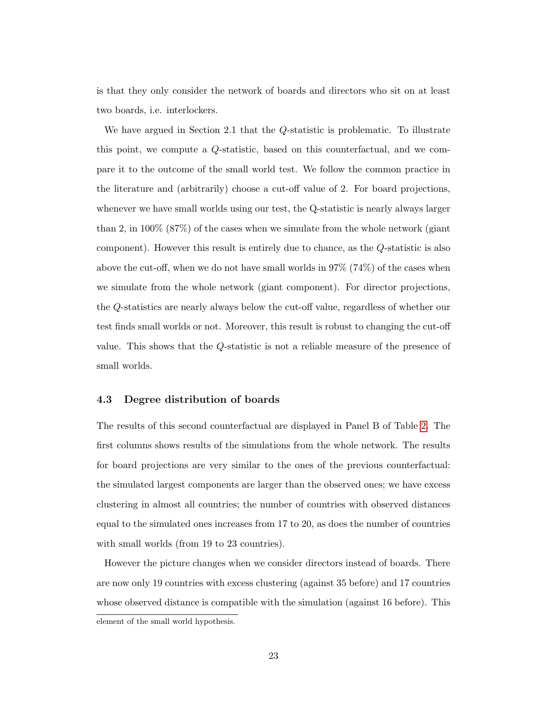is that they only consider the network of boards and directors who sit on at least two boards, i.e. interlockers.

We have argued in Section 2.1 that the Q-statistic is problematic. To illustrate this point, we compute a Q-statistic, based on this counterfactual, and we compare it to the outcome of the small world test. We follow the common practice in the literature and (arbitrarily) choose a cut-off value of 2. For board projections, whenever we have small worlds using our test, the Q-statistic is nearly always larger than 2, in 100% (87%) of the cases when we simulate from the whole network (giant component). However this result is entirely due to chance, as the Q-statistic is also above the cut-off, when we do not have small worlds in  $97\%$  (74%) of the cases when we simulate from the whole network (giant component). For director projections, the Q-statistics are nearly always below the cut-off value, regardless of whether our test finds small worlds or not. Moreover, this result is robust to changing the cut-off value. This shows that the Q-statistic is not a reliable measure of the presence of small worlds.

#### 4.3 Degree distribution of boards

The results of this second counterfactual are displayed in Panel B of Table [2.](#page-45-0) The first columns shows results of the simulations from the whole network. The results for board projections are very similar to the ones of the previous counterfactual: the simulated largest components are larger than the observed ones; we have excess clustering in almost all countries; the number of countries with observed distances equal to the simulated ones increases from 17 to 20, as does the number of countries with small worlds (from 19 to 23 countries).

However the picture changes when we consider directors instead of boards. There are now only 19 countries with excess clustering (against 35 before) and 17 countries whose observed distance is compatible with the simulation (against 16 before). This

element of the small world hypothesis.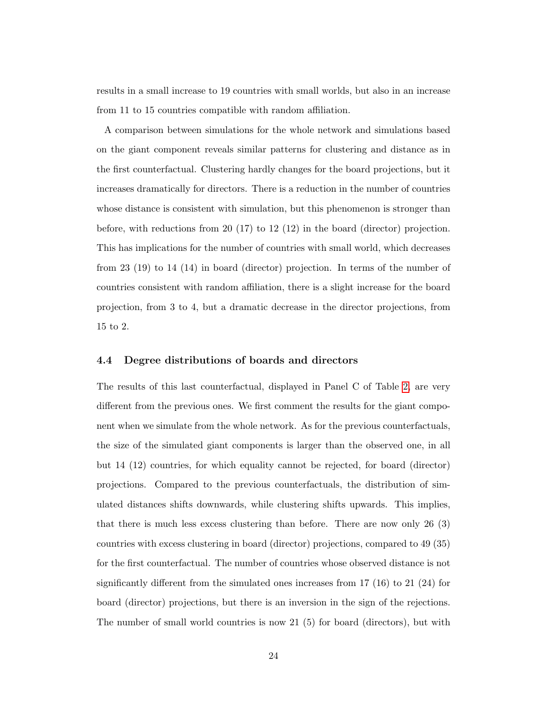results in a small increase to 19 countries with small worlds, but also in an increase from 11 to 15 countries compatible with random affiliation.

A comparison between simulations for the whole network and simulations based on the giant component reveals similar patterns for clustering and distance as in the first counterfactual. Clustering hardly changes for the board projections, but it increases dramatically for directors. There is a reduction in the number of countries whose distance is consistent with simulation, but this phenomenon is stronger than before, with reductions from 20 (17) to 12 (12) in the board (director) projection. This has implications for the number of countries with small world, which decreases from 23 (19) to 14 (14) in board (director) projection. In terms of the number of countries consistent with random affiliation, there is a slight increase for the board projection, from 3 to 4, but a dramatic decrease in the director projections, from 15 to 2.

#### 4.4 Degree distributions of boards and directors

The results of this last counterfactual, displayed in Panel C of Table [2,](#page-45-0) are very different from the previous ones. We first comment the results for the giant component when we simulate from the whole network. As for the previous counterfactuals, the size of the simulated giant components is larger than the observed one, in all but 14 (12) countries, for which equality cannot be rejected, for board (director) projections. Compared to the previous counterfactuals, the distribution of simulated distances shifts downwards, while clustering shifts upwards. This implies, that there is much less excess clustering than before. There are now only 26 (3) countries with excess clustering in board (director) projections, compared to 49 (35) for the first counterfactual. The number of countries whose observed distance is not significantly different from the simulated ones increases from  $17 \ (16)$  to  $21 \ (24)$  for board (director) projections, but there is an inversion in the sign of the rejections. The number of small world countries is now 21  $(5)$  for board (directors), but with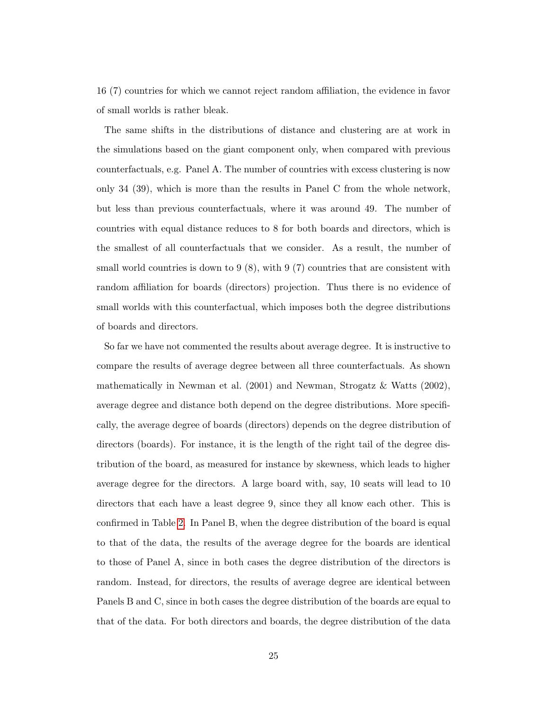16 (7) countries for which we cannot reject random affiliation, the evidence in favor of small worlds is rather bleak.

The same shifts in the distributions of distance and clustering are at work in the simulations based on the giant component only, when compared with previous counterfactuals, e.g. Panel A. The number of countries with excess clustering is now only 34 (39), which is more than the results in Panel C from the whole network, but less than previous counterfactuals, where it was around 49. The number of countries with equal distance reduces to 8 for both boards and directors, which is the smallest of all counterfactuals that we consider. As a result, the number of small world countries is down to  $9(8)$ , with  $9(7)$  countries that are consistent with random affiliation for boards (directors) projection. Thus there is no evidence of small worlds with this counterfactual, which imposes both the degree distributions of boards and directors.

So far we have not commented the results about average degree. It is instructive to compare the results of average degree between all three counterfactuals. As shown mathematically in Newman et al. (2001) and Newman, Strogatz & Watts (2002), average degree and distance both depend on the degree distributions. More specifically, the average degree of boards (directors) depends on the degree distribution of directors (boards). For instance, it is the length of the right tail of the degree distribution of the board, as measured for instance by skewness, which leads to higher average degree for the directors. A large board with, say, 10 seats will lead to 10 directors that each have a least degree 9, since they all know each other. This is confirmed in Table [2.](#page-45-0) In Panel B, when the degree distribution of the board is equal to that of the data, the results of the average degree for the boards are identical to those of Panel A, since in both cases the degree distribution of the directors is random. Instead, for directors, the results of average degree are identical between Panels B and C, since in both cases the degree distribution of the boards are equal to that of the data. For both directors and boards, the degree distribution of the data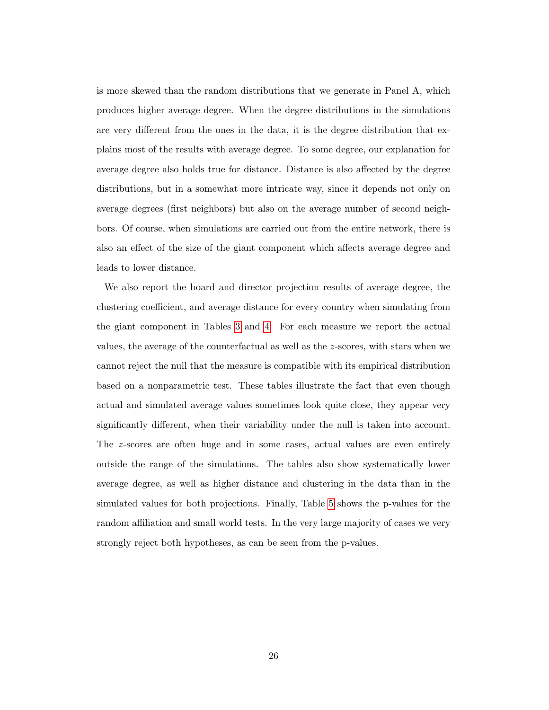is more skewed than the random distributions that we generate in Panel A, which produces higher average degree. When the degree distributions in the simulations are very different from the ones in the data, it is the degree distribution that explains most of the results with average degree. To some degree, our explanation for average degree also holds true for distance. Distance is also affected by the degree distributions, but in a somewhat more intricate way, since it depends not only on average degrees (first neighbors) but also on the average number of second neighbors. Of course, when simulations are carried out from the entire network, there is also an effect of the size of the giant component which affects average degree and leads to lower distance.

We also report the board and director projection results of average degree, the clustering coefficient, and average distance for every country when simulating from the giant component in Tables [3](#page-46-0) and [4.](#page-47-0) For each measure we report the actual values, the average of the counterfactual as well as the z-scores, with stars when we cannot reject the null that the measure is compatible with its empirical distribution based on a nonparametric test. These tables illustrate the fact that even though actual and simulated average values sometimes look quite close, they appear very significantly different, when their variability under the null is taken into account. The z-scores are often huge and in some cases, actual values are even entirely outside the range of the simulations. The tables also show systematically lower average degree, as well as higher distance and clustering in the data than in the simulated values for both projections. Finally, Table [5](#page-48-0) shows the p-values for the random affiliation and small world tests. In the very large majority of cases we very strongly reject both hypotheses, as can be seen from the p-values.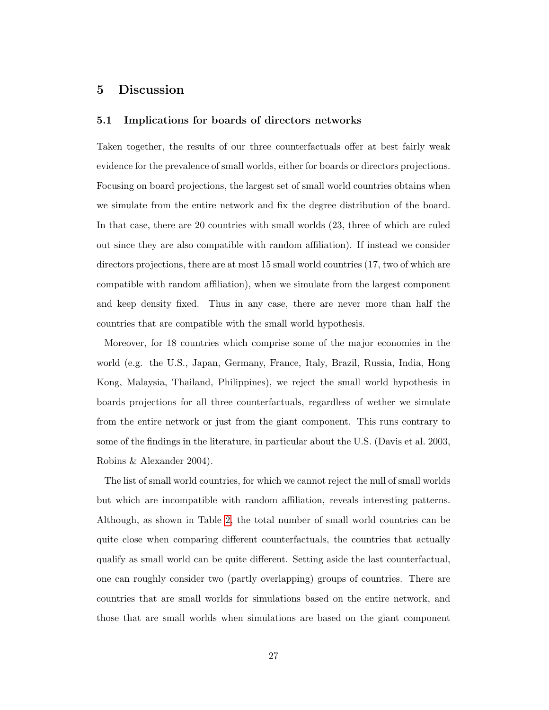### 5 Discussion

#### 5.1 Implications for boards of directors networks

Taken together, the results of our three counterfactuals offer at best fairly weak evidence for the prevalence of small worlds, either for boards or directors projections. Focusing on board projections, the largest set of small world countries obtains when we simulate from the entire network and fix the degree distribution of the board. In that case, there are 20 countries with small worlds (23, three of which are ruled out since they are also compatible with random affiliation). If instead we consider directors projections, there are at most 15 small world countries (17, two of which are compatible with random affiliation), when we simulate from the largest component and keep density fixed. Thus in any case, there are never more than half the countries that are compatible with the small world hypothesis.

Moreover, for 18 countries which comprise some of the major economies in the world (e.g. the U.S., Japan, Germany, France, Italy, Brazil, Russia, India, Hong Kong, Malaysia, Thailand, Philippines), we reject the small world hypothesis in boards projections for all three counterfactuals, regardless of wether we simulate from the entire network or just from the giant component. This runs contrary to some of the findings in the literature, in particular about the U.S. (Davis et al. 2003, Robins & Alexander 2004).

The list of small world countries, for which we cannot reject the null of small worlds but which are incompatible with random affiliation, reveals interesting patterns. Although, as shown in Table [2,](#page-45-0) the total number of small world countries can be quite close when comparing different counterfactuals, the countries that actually qualify as small world can be quite different. Setting aside the last counterfactual, one can roughly consider two (partly overlapping) groups of countries. There are countries that are small worlds for simulations based on the entire network, and those that are small worlds when simulations are based on the giant component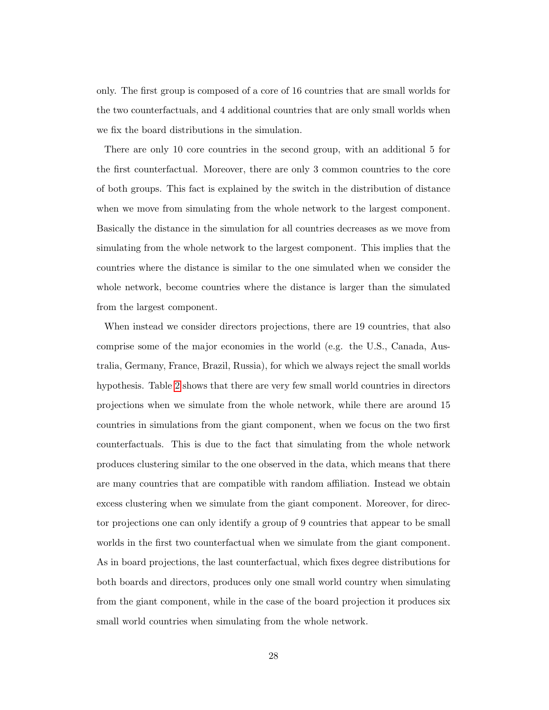only. The first group is composed of a core of 16 countries that are small worlds for the two counterfactuals, and 4 additional countries that are only small worlds when we fix the board distributions in the simulation.

There are only 10 core countries in the second group, with an additional 5 for the first counterfactual. Moreover, there are only 3 common countries to the core of both groups. This fact is explained by the switch in the distribution of distance when we move from simulating from the whole network to the largest component. Basically the distance in the simulation for all countries decreases as we move from simulating from the whole network to the largest component. This implies that the countries where the distance is similar to the one simulated when we consider the whole network, become countries where the distance is larger than the simulated from the largest component.

When instead we consider directors projections, there are 19 countries, that also comprise some of the major economies in the world (e.g. the U.S., Canada, Australia, Germany, France, Brazil, Russia), for which we always reject the small worlds hypothesis. Table [2](#page-45-0) shows that there are very few small world countries in directors projections when we simulate from the whole network, while there are around 15 countries in simulations from the giant component, when we focus on the two first counterfactuals. This is due to the fact that simulating from the whole network produces clustering similar to the one observed in the data, which means that there are many countries that are compatible with random affiliation. Instead we obtain excess clustering when we simulate from the giant component. Moreover, for director projections one can only identify a group of 9 countries that appear to be small worlds in the first two counterfactual when we simulate from the giant component. As in board projections, the last counterfactual, which fixes degree distributions for both boards and directors, produces only one small world country when simulating from the giant component, while in the case of the board projection it produces six small world countries when simulating from the whole network.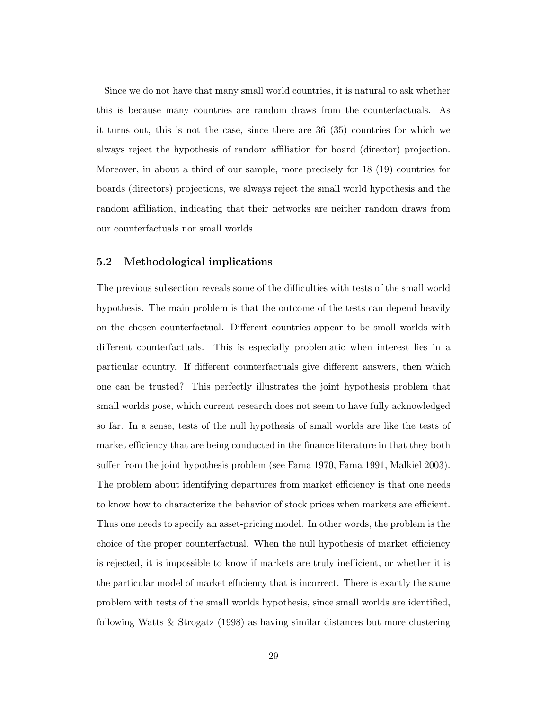Since we do not have that many small world countries, it is natural to ask whether this is because many countries are random draws from the counterfactuals. As it turns out, this is not the case, since there are 36 (35) countries for which we always reject the hypothesis of random affiliation for board (director) projection. Moreover, in about a third of our sample, more precisely for 18 (19) countries for boards (directors) projections, we always reject the small world hypothesis and the random affiliation, indicating that their networks are neither random draws from our counterfactuals nor small worlds.

#### 5.2 Methodological implications

The previous subsection reveals some of the difficulties with tests of the small world hypothesis. The main problem is that the outcome of the tests can depend heavily on the chosen counterfactual. Different countries appear to be small worlds with different counterfactuals. This is especially problematic when interest lies in a particular country. If different counterfactuals give different answers, then which one can be trusted? This perfectly illustrates the joint hypothesis problem that small worlds pose, which current research does not seem to have fully acknowledged so far. In a sense, tests of the null hypothesis of small worlds are like the tests of market efficiency that are being conducted in the finance literature in that they both suffer from the joint hypothesis problem (see Fama 1970, Fama 1991, Malkiel 2003). The problem about identifying departures from market efficiency is that one needs to know how to characterize the behavior of stock prices when markets are efficient. Thus one needs to specify an asset-pricing model. In other words, the problem is the choice of the proper counterfactual. When the null hypothesis of market efficiency is rejected, it is impossible to know if markets are truly inefficient, or whether it is the particular model of market efficiency that is incorrect. There is exactly the same problem with tests of the small worlds hypothesis, since small worlds are identified, following Watts & Strogatz (1998) as having similar distances but more clustering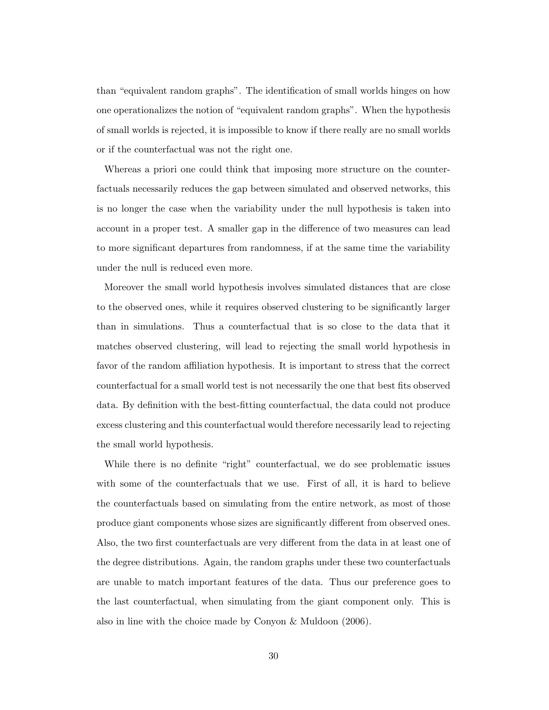than "equivalent random graphs". The identification of small worlds hinges on how one operationalizes the notion of "equivalent random graphs". When the hypothesis of small worlds is rejected, it is impossible to know if there really are no small worlds or if the counterfactual was not the right one.

Whereas a priori one could think that imposing more structure on the counterfactuals necessarily reduces the gap between simulated and observed networks, this is no longer the case when the variability under the null hypothesis is taken into account in a proper test. A smaller gap in the difference of two measures can lead to more significant departures from randomness, if at the same time the variability under the null is reduced even more.

Moreover the small world hypothesis involves simulated distances that are close to the observed ones, while it requires observed clustering to be significantly larger than in simulations. Thus a counterfactual that is so close to the data that it matches observed clustering, will lead to rejecting the small world hypothesis in favor of the random affiliation hypothesis. It is important to stress that the correct counterfactual for a small world test is not necessarily the one that best fits observed data. By definition with the best-fitting counterfactual, the data could not produce excess clustering and this counterfactual would therefore necessarily lead to rejecting the small world hypothesis.

While there is no definite "right" counterfactual, we do see problematic issues with some of the counterfactuals that we use. First of all, it is hard to believe the counterfactuals based on simulating from the entire network, as most of those produce giant components whose sizes are significantly different from observed ones. Also, the two first counterfactuals are very different from the data in at least one of the degree distributions. Again, the random graphs under these two counterfactuals are unable to match important features of the data. Thus our preference goes to the last counterfactual, when simulating from the giant component only. This is also in line with the choice made by Conyon & Muldoon (2006).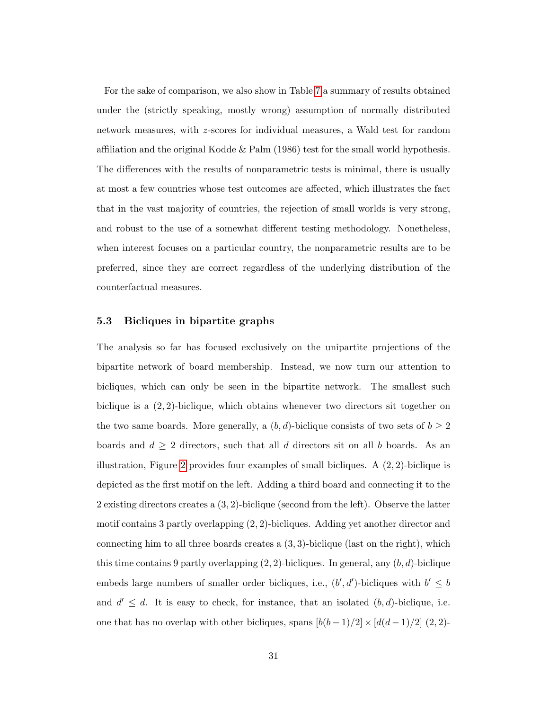For the sake of comparison, we also show in Table [7](#page-50-0) a summary of results obtained under the (strictly speaking, mostly wrong) assumption of normally distributed network measures, with z-scores for individual measures, a Wald test for random affiliation and the original Kodde & Palm (1986) test for the small world hypothesis. The differences with the results of nonparametric tests is minimal, there is usually at most a few countries whose test outcomes are affected, which illustrates the fact that in the vast majority of countries, the rejection of small worlds is very strong, and robust to the use of a somewhat different testing methodology. Nonetheless, when interest focuses on a particular country, the nonparametric results are to be preferred, since they are correct regardless of the underlying distribution of the counterfactual measures.

#### 5.3 Bicliques in bipartite graphs

The analysis so far has focused exclusively on the unipartite projections of the bipartite network of board membership. Instead, we now turn our attention to bicliques, which can only be seen in the bipartite network. The smallest such biclique is a (2, 2)-biclique, which obtains whenever two directors sit together on the two same boards. More generally, a  $(b, d)$ -biclique consists of two sets of  $b \geq 2$ boards and  $d \geq 2$  directors, such that all d directors sit on all b boards. As an illustration, Figure [2](#page-52-1) provides four examples of small bicliques. A  $(2, 2)$ -biclique is depicted as the first motif on the left. Adding a third board and connecting it to the 2 existing directors creates a (3, 2)-biclique (second from the left). Observe the latter motif contains 3 partly overlapping (2, 2)-bicliques. Adding yet another director and connecting him to all three boards creates a  $(3,3)$ -biclique (last on the right), which this time contains 9 partly overlapping  $(2, 2)$ -bicliques. In general, any  $(b, d)$ -biclique embeds large numbers of smaller order bicliques, i.e.,  $(b', d')$ -bicliques with  $b' \leq b$ and  $d' \leq d$ . It is easy to check, for instance, that an isolated  $(b, d)$ -biclique, i.e. one that has no overlap with other bicliques, spans  $[b(b-1)/2] \times [d(d-1)/2]$  (2, 2)-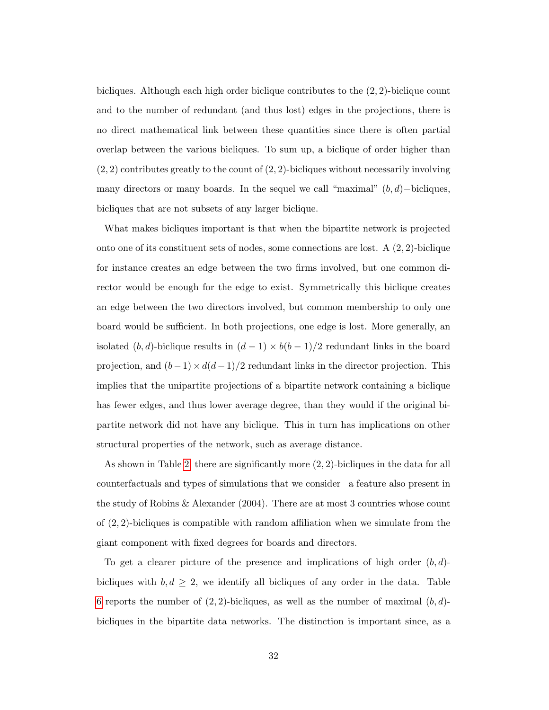bicliques. Although each high order biclique contributes to the (2, 2)-biclique count and to the number of redundant (and thus lost) edges in the projections, there is no direct mathematical link between these quantities since there is often partial overlap between the various bicliques. To sum up, a biclique of order higher than  $(2, 2)$  contributes greatly to the count of  $(2, 2)$ -bicliques without necessarily involving many directors or many boards. In the sequel we call "maximal"  $(b, d)$ −bicliques, bicliques that are not subsets of any larger biclique.

What makes bicliques important is that when the bipartite network is projected onto one of its constituent sets of nodes, some connections are lost. A  $(2, 2)$ -biclique for instance creates an edge between the two firms involved, but one common director would be enough for the edge to exist. Symmetrically this biclique creates an edge between the two directors involved, but common membership to only one board would be sufficient. In both projections, one edge is lost. More generally, an isolated  $(b, d)$ -biclique results in  $(d - 1) \times b(b - 1)/2$  redundant links in the board projection, and  $(b-1) \times d(d-1)/2$  redundant links in the director projection. This implies that the unipartite projections of a bipartite network containing a biclique has fewer edges, and thus lower average degree, than they would if the original bipartite network did not have any biclique. This in turn has implications on other structural properties of the network, such as average distance.

As shown in Table [2,](#page-45-0) there are significantly more (2, 2)-bicliques in the data for all counterfactuals and types of simulations that we consider– a feature also present in the study of Robins & Alexander (2004). There are at most 3 countries whose count of  $(2, 2)$ -bicliques is compatible with random affiliation when we simulate from the giant component with fixed degrees for boards and directors.

To get a clearer picture of the presence and implications of high order  $(b, d)$ bicliques with  $b, d \geq 2$ , we identify all bicliques of any order in the data. Table [6](#page-49-0) reports the number of  $(2, 2)$ -bicliques, as well as the number of maximal  $(b, d)$ bicliques in the bipartite data networks. The distinction is important since, as a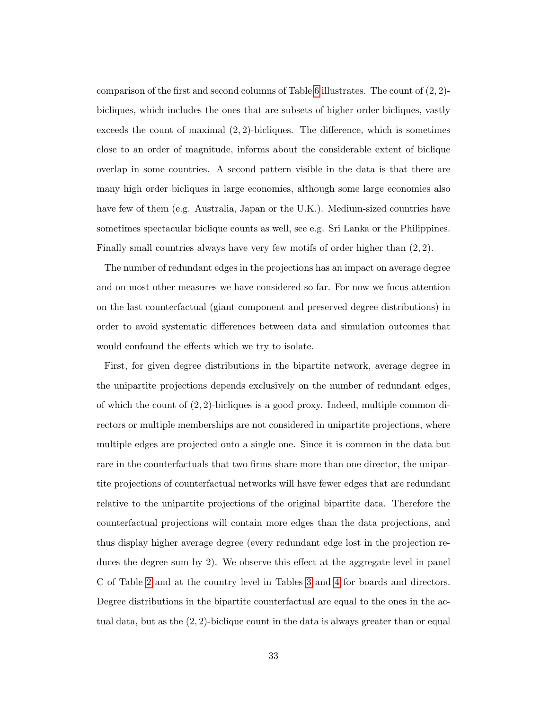comparison of the first and second columns of Table [6](#page-49-0) illustrates. The count of  $(2, 2)$ bicliques, which includes the ones that are subsets of higher order bicliques, vastly exceeds the count of maximal  $(2, 2)$ -bicliques. The difference, which is sometimes close to an order of magnitude, informs about the considerable extent of biclique overlap in some countries. A second pattern visible in the data is that there are many high order bicliques in large economies, although some large economies also have few of them (e.g. Australia, Japan or the U.K.). Medium-sized countries have sometimes spectacular biclique counts as well, see e.g. Sri Lanka or the Philippines. Finally small countries always have very few motifs of order higher than (2, 2).

The number of redundant edges in the projections has an impact on average degree and on most other measures we have considered so far. For now we focus attention on the last counterfactual (giant component and preserved degree distributions) in order to avoid systematic differences between data and simulation outcomes that would confound the effects which we try to isolate.

First, for given degree distributions in the bipartite network, average degree in the unipartite projections depends exclusively on the number of redundant edges, of which the count of  $(2, 2)$ -bicliques is a good proxy. Indeed, multiple common directors or multiple memberships are not considered in unipartite projections, where multiple edges are projected onto a single one. Since it is common in the data but rare in the counterfactuals that two firms share more than one director, the unipartite projections of counterfactual networks will have fewer edges that are redundant relative to the unipartite projections of the original bipartite data. Therefore the counterfactual projections will contain more edges than the data projections, and thus display higher average degree (every redundant edge lost in the projection reduces the degree sum by 2). We observe this effect at the aggregate level in panel C of Table [2](#page-45-0) and at the country level in Tables [3](#page-46-0) and [4](#page-47-0) for boards and directors. Degree distributions in the bipartite counterfactual are equal to the ones in the actual data, but as the (2, 2)-biclique count in the data is always greater than or equal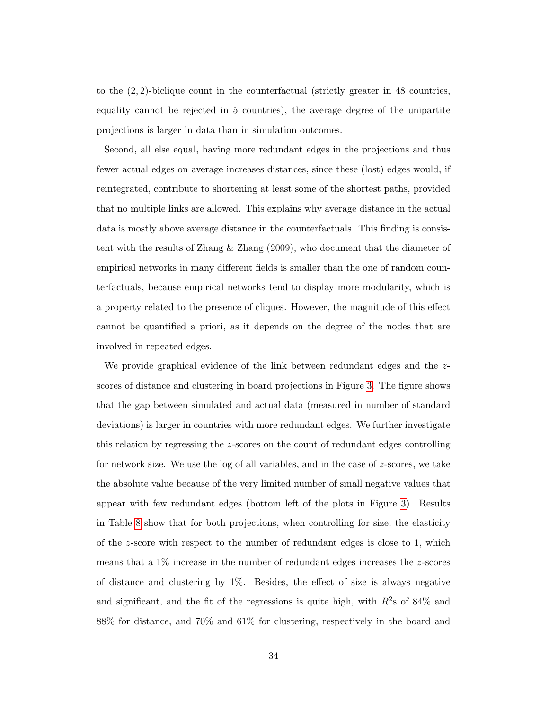to the (2, 2)-biclique count in the counterfactual (strictly greater in 48 countries, equality cannot be rejected in 5 countries), the average degree of the unipartite projections is larger in data than in simulation outcomes.

Second, all else equal, having more redundant edges in the projections and thus fewer actual edges on average increases distances, since these (lost) edges would, if reintegrated, contribute to shortening at least some of the shortest paths, provided that no multiple links are allowed. This explains why average distance in the actual data is mostly above average distance in the counterfactuals. This finding is consistent with the results of Zhang & Zhang (2009), who document that the diameter of empirical networks in many different fields is smaller than the one of random counterfactuals, because empirical networks tend to display more modularity, which is a property related to the presence of cliques. However, the magnitude of this effect cannot be quantified a priori, as it depends on the degree of the nodes that are involved in repeated edges.

We provide graphical evidence of the link between redundant edges and the  $z$ scores of distance and clustering in board projections in Figure [3.](#page-53-0) The figure shows that the gap between simulated and actual data (measured in number of standard deviations) is larger in countries with more redundant edges. We further investigate this relation by regressing the z-scores on the count of redundant edges controlling for network size. We use the log of all variables, and in the case of  $z$ -scores, we take the absolute value because of the very limited number of small negative values that appear with few redundant edges (bottom left of the plots in Figure [3\)](#page-53-0). Results in Table [8](#page-51-0) show that for both projections, when controlling for size, the elasticity of the z-score with respect to the number of redundant edges is close to 1, which means that a 1% increase in the number of redundant edges increases the z-scores of distance and clustering by 1%. Besides, the effect of size is always negative and significant, and the fit of the regressions is quite high, with  $R^2$ s of 84% and 88% for distance, and 70% and 61% for clustering, respectively in the board and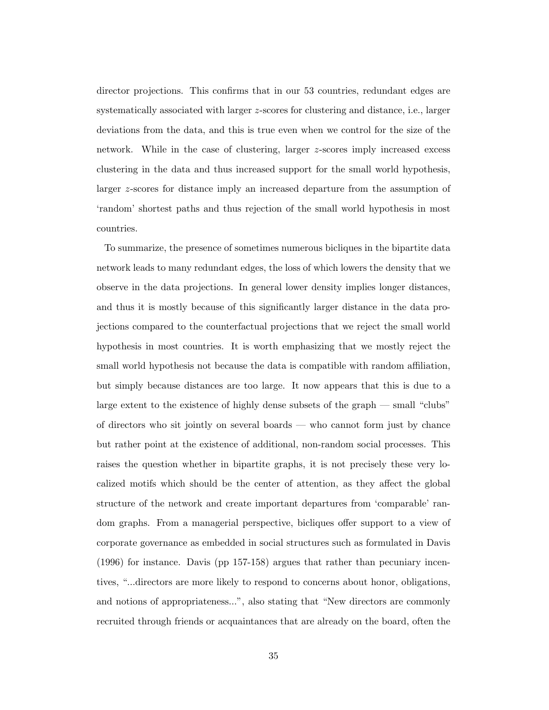director projections. This confirms that in our 53 countries, redundant edges are systematically associated with larger z-scores for clustering and distance, i.e., larger deviations from the data, and this is true even when we control for the size of the network. While in the case of clustering, larger z-scores imply increased excess clustering in the data and thus increased support for the small world hypothesis, larger z-scores for distance imply an increased departure from the assumption of 'random' shortest paths and thus rejection of the small world hypothesis in most countries.

To summarize, the presence of sometimes numerous bicliques in the bipartite data network leads to many redundant edges, the loss of which lowers the density that we observe in the data projections. In general lower density implies longer distances, and thus it is mostly because of this significantly larger distance in the data projections compared to the counterfactual projections that we reject the small world hypothesis in most countries. It is worth emphasizing that we mostly reject the small world hypothesis not because the data is compatible with random affiliation, but simply because distances are too large. It now appears that this is due to a large extent to the existence of highly dense subsets of the graph — small "clubs" of directors who sit jointly on several boards — who cannot form just by chance but rather point at the existence of additional, non-random social processes. This raises the question whether in bipartite graphs, it is not precisely these very localized motifs which should be the center of attention, as they affect the global structure of the network and create important departures from 'comparable' random graphs. From a managerial perspective, bicliques offer support to a view of corporate governance as embedded in social structures such as formulated in Davis (1996) for instance. Davis (pp 157-158) argues that rather than pecuniary incentives, "...directors are more likely to respond to concerns about honor, obligations, and notions of appropriateness...", also stating that "New directors are commonly recruited through friends or acquaintances that are already on the board, often the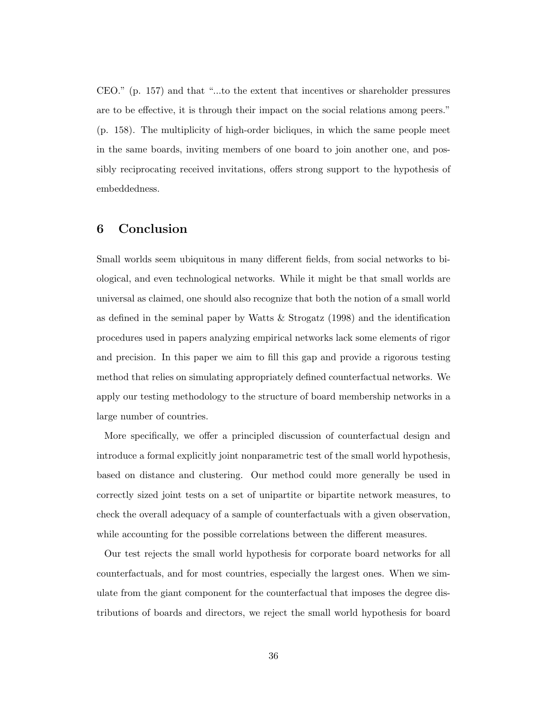CEO." (p. 157) and that "...to the extent that incentives or shareholder pressures are to be effective, it is through their impact on the social relations among peers." (p. 158). The multiplicity of high-order bicliques, in which the same people meet in the same boards, inviting members of one board to join another one, and possibly reciprocating received invitations, offers strong support to the hypothesis of embeddedness.

# 6 Conclusion

Small worlds seem ubiquitous in many different fields, from social networks to biological, and even technological networks. While it might be that small worlds are universal as claimed, one should also recognize that both the notion of a small world as defined in the seminal paper by Watts & Strogatz (1998) and the identification procedures used in papers analyzing empirical networks lack some elements of rigor and precision. In this paper we aim to fill this gap and provide a rigorous testing method that relies on simulating appropriately defined counterfactual networks. We apply our testing methodology to the structure of board membership networks in a large number of countries.

More specifically, we offer a principled discussion of counterfactual design and introduce a formal explicitly joint nonparametric test of the small world hypothesis, based on distance and clustering. Our method could more generally be used in correctly sized joint tests on a set of unipartite or bipartite network measures, to check the overall adequacy of a sample of counterfactuals with a given observation, while accounting for the possible correlations between the different measures.

Our test rejects the small world hypothesis for corporate board networks for all counterfactuals, and for most countries, especially the largest ones. When we simulate from the giant component for the counterfactual that imposes the degree distributions of boards and directors, we reject the small world hypothesis for board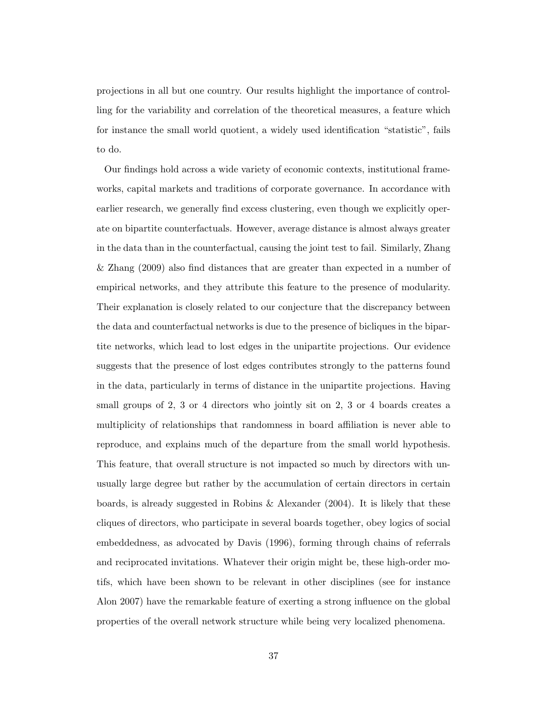projections in all but one country. Our results highlight the importance of controlling for the variability and correlation of the theoretical measures, a feature which for instance the small world quotient, a widely used identification "statistic", fails to do.

Our findings hold across a wide variety of economic contexts, institutional frameworks, capital markets and traditions of corporate governance. In accordance with earlier research, we generally find excess clustering, even though we explicitly operate on bipartite counterfactuals. However, average distance is almost always greater in the data than in the counterfactual, causing the joint test to fail. Similarly, Zhang & Zhang (2009) also find distances that are greater than expected in a number of empirical networks, and they attribute this feature to the presence of modularity. Their explanation is closely related to our conjecture that the discrepancy between the data and counterfactual networks is due to the presence of bicliques in the bipartite networks, which lead to lost edges in the unipartite projections. Our evidence suggests that the presence of lost edges contributes strongly to the patterns found in the data, particularly in terms of distance in the unipartite projections. Having small groups of 2, 3 or 4 directors who jointly sit on 2, 3 or 4 boards creates a multiplicity of relationships that randomness in board affiliation is never able to reproduce, and explains much of the departure from the small world hypothesis. This feature, that overall structure is not impacted so much by directors with unusually large degree but rather by the accumulation of certain directors in certain boards, is already suggested in Robins & Alexander (2004). It is likely that these cliques of directors, who participate in several boards together, obey logics of social embeddedness, as advocated by Davis (1996), forming through chains of referrals and reciprocated invitations. Whatever their origin might be, these high-order motifs, which have been shown to be relevant in other disciplines (see for instance Alon 2007) have the remarkable feature of exerting a strong influence on the global properties of the overall network structure while being very localized phenomena.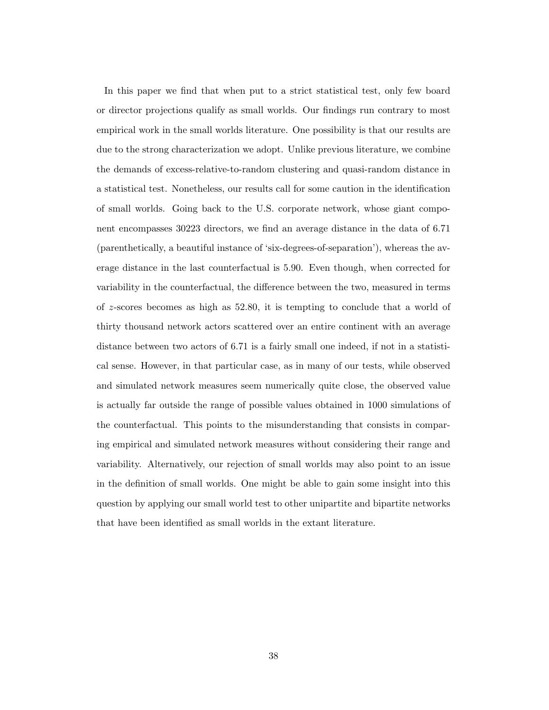In this paper we find that when put to a strict statistical test, only few board or director projections qualify as small worlds. Our findings run contrary to most empirical work in the small worlds literature. One possibility is that our results are due to the strong characterization we adopt. Unlike previous literature, we combine the demands of excess-relative-to-random clustering and quasi-random distance in a statistical test. Nonetheless, our results call for some caution in the identification of small worlds. Going back to the U.S. corporate network, whose giant component encompasses 30223 directors, we find an average distance in the data of 6.71 (parenthetically, a beautiful instance of 'six-degrees-of-separation'), whereas the average distance in the last counterfactual is 5.90. Even though, when corrected for variability in the counterfactual, the difference between the two, measured in terms of  $z$ -scores becomes as high as  $52.80$ , it is tempting to conclude that a world of thirty thousand network actors scattered over an entire continent with an average distance between two actors of 6.71 is a fairly small one indeed, if not in a statistical sense. However, in that particular case, as in many of our tests, while observed and simulated network measures seem numerically quite close, the observed value is actually far outside the range of possible values obtained in 1000 simulations of the counterfactual. This points to the misunderstanding that consists in comparing empirical and simulated network measures without considering their range and variability. Alternatively, our rejection of small worlds may also point to an issue in the definition of small worlds. One might be able to gain some insight into this question by applying our small world test to other unipartite and bipartite networks that have been identified as small worlds in the extant literature.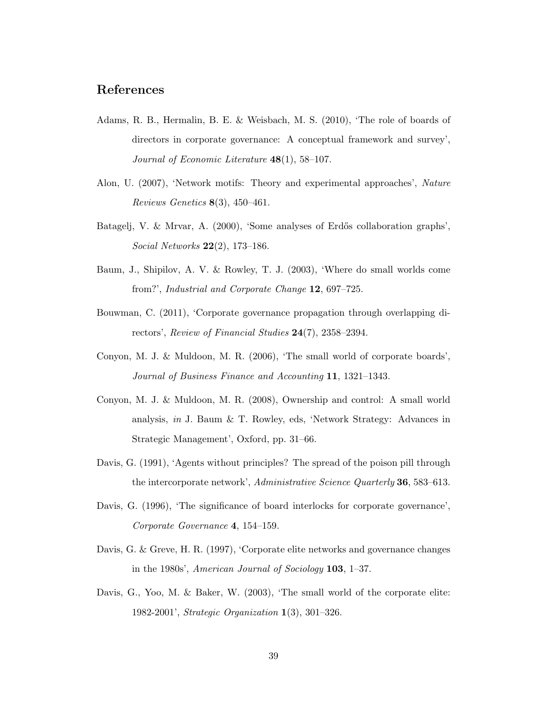# References

- Adams, R. B., Hermalin, B. E. & Weisbach, M. S. (2010), 'The role of boards of directors in corporate governance: A conceptual framework and survey', Journal of Economic Literature 48(1), 58–107.
- Alon, U. (2007), 'Network motifs: Theory and experimental approaches', Nature Reviews Genetics  $8(3)$ , 450-461.
- Batagelj, V. & Mrvar, A. (2000), 'Some analyses of Erdős collaboration graphs', Social Networks 22(2), 173–186.
- Baum, J., Shipilov, A. V. & Rowley, T. J. (2003), 'Where do small worlds come from?', Industrial and Corporate Change 12, 697–725.
- Bouwman, C. (2011), 'Corporate governance propagation through overlapping directors', Review of Financial Studies 24(7), 2358–2394.
- Conyon, M. J. & Muldoon, M. R. (2006), 'The small world of corporate boards', Journal of Business Finance and Accounting 11, 1321–1343.
- Conyon, M. J. & Muldoon, M. R. (2008), Ownership and control: A small world analysis, in J. Baum & T. Rowley, eds, 'Network Strategy: Advances in Strategic Management', Oxford, pp. 31–66.
- Davis, G. (1991), 'Agents without principles? The spread of the poison pill through the intercorporate network', Administrative Science Quarterly 36, 583–613.
- Davis, G. (1996), 'The significance of board interlocks for corporate governance', Corporate Governance 4, 154–159.
- Davis, G. & Greve, H. R. (1997), 'Corporate elite networks and governance changes in the 1980s', American Journal of Sociology 103, 1–37.
- Davis, G., Yoo, M. & Baker, W. (2003), 'The small world of the corporate elite: 1982-2001', Strategic Organization 1(3), 301–326.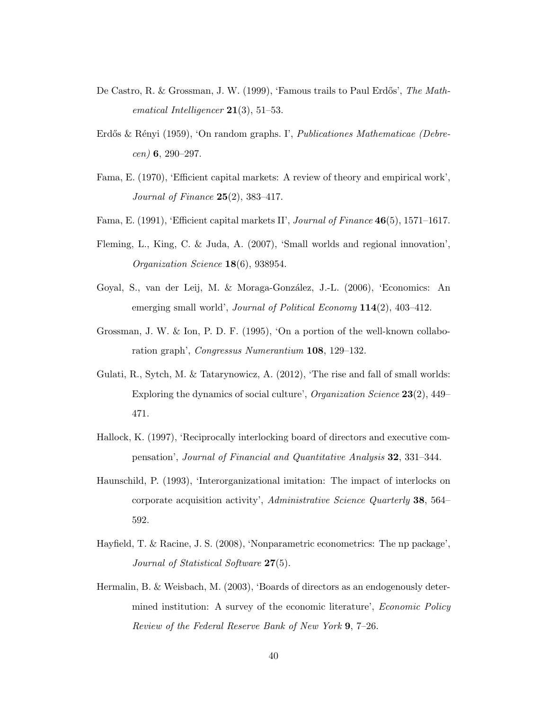- De Castro, R. & Grossman, J. W. (1999), 'Famous trails to Paul Erdős', The Mathematical Intelligencer  $21(3)$ , 51–53.
- Erdős & Rényi (1959), 'On random graphs. I', Publicationes Mathematicae (Debre $cen)$  6, 290–297.
- Fama, E. (1970), 'Efficient capital markets: A review of theory and empirical work', Journal of Finance 25(2), 383–417.
- Fama, E. (1991), 'Efficient capital markets II', Journal of Finance 46(5), 1571–1617.
- Fleming, L., King, C. & Juda, A. (2007), 'Small worlds and regional innovation', Organization Science 18(6), 938954.
- Goyal, S., van der Leij, M. & Moraga-González, J.-L. (2006), 'Economics: An emerging small world', Journal of Political Economy 114(2), 403-412.
- Grossman, J. W. & Ion, P. D. F. (1995), 'On a portion of the well-known collaboration graph', Congressus Numerantium 108, 129–132.
- Gulati, R., Sytch, M. & Tatarynowicz, A. (2012), 'The rise and fall of small worlds: Exploring the dynamics of social culture', Organization Science 23(2), 449– 471.
- Hallock, K. (1997), 'Reciprocally interlocking board of directors and executive compensation', Journal of Financial and Quantitative Analysis 32, 331–344.
- Haunschild, P. (1993), 'Interorganizational imitation: The impact of interlocks on corporate acquisition activity', Administrative Science Quarterly 38, 564– 592.
- Hayfield, T. & Racine, J. S. (2008), 'Nonparametric econometrics: The np package', Journal of Statistical Software 27(5).
- Hermalin, B. & Weisbach, M. (2003), 'Boards of directors as an endogenously determined institution: A survey of the economic literature', *Economic Policy* Review of the Federal Reserve Bank of New York 9, 7–26.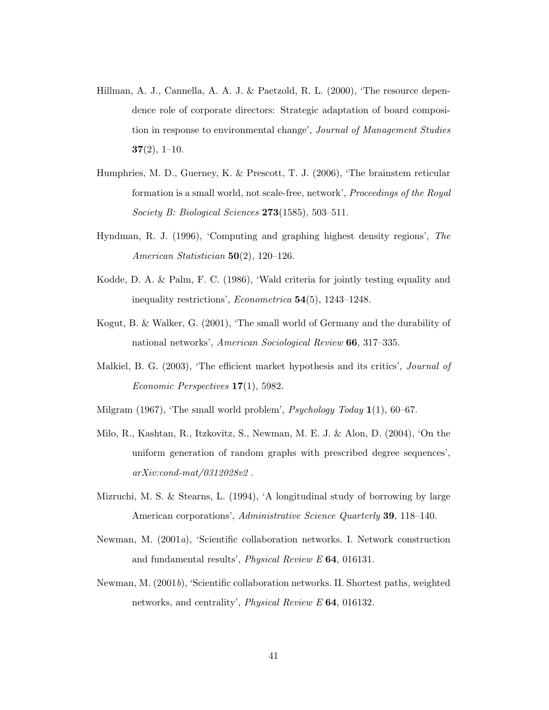- Hillman, A. J., Cannella, A. A. J. & Paetzold, R. L. (2000), 'The resource dependence role of corporate directors: Strategic adaptation of board composition in response to environmental change', Journal of Management Studies  $37(2), 1-10.$
- Humphries, M. D., Guerney, K. & Prescott, T. J. (2006), 'The brainstem reticular formation is a small world, not scale-free, network', Proceedings of the Royal Society B: Biological Sciences  $273(1585)$ , 503-511.
- Hyndman, R. J. (1996), 'Computing and graphing highest density regions', The American Statistician 50(2), 120–126.
- Kodde, D. A. & Palm, F. C. (1986), 'Wald criteria for jointly testing equality and inequality restrictions', Econometrica 54(5), 1243–1248.
- Kogut, B. & Walker, G. (2001), 'The small world of Germany and the durability of national networks', American Sociological Review 66, 317–335.
- Malkiel, B. G. (2003), 'The efficient market hypothesis and its critics', *Journal of* Economic Perspectives 17(1), 5982.
- Milgram  $(1967)$ , 'The small world problem', *Psychology Today*  $1(1)$ , 60–67.
- Milo, R., Kashtan, R., Itzkovitz, S., Newman, M. E. J. & Alon, D. (2004), 'On the uniform generation of random graphs with prescribed degree sequences', arXiv:cond-mat/0312028v2 .
- Mizruchi, M. S. & Stearns, L. (1994), 'A longitudinal study of borrowing by large American corporations', Administrative Science Quarterly 39, 118–140.
- Newman, M. (2001a), 'Scientific collaboration networks. I. Network construction and fundamental results', Physical Review E 64, 016131.
- Newman, M. (2001b), 'Scientific collaboration networks. II. Shortest paths, weighted networks, and centrality', Physical Review E 64, 016132.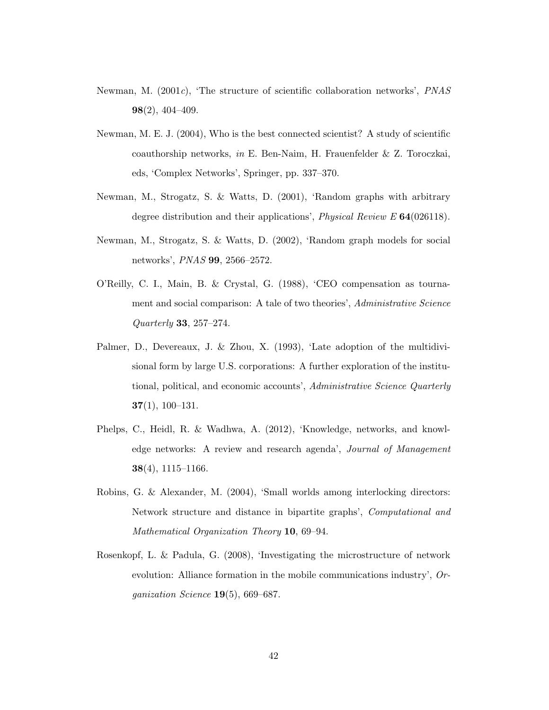- Newman, M.  $(2001c)$ , 'The structure of scientific collaboration networks', PNAS 98(2), 404–409.
- Newman, M. E. J. (2004), Who is the best connected scientist? A study of scientific coauthorship networks, in E. Ben-Naim, H. Frauenfelder & Z. Toroczkai, eds, 'Complex Networks', Springer, pp. 337–370.
- Newman, M., Strogatz, S. & Watts, D. (2001), 'Random graphs with arbitrary degree distribution and their applications', *Physical Review E* **64**(026118).
- Newman, M., Strogatz, S. & Watts, D. (2002), 'Random graph models for social networks', PNAS 99, 2566–2572.
- O'Reilly, C. I., Main, B. & Crystal, G. (1988), 'CEO compensation as tournament and social comparison: A tale of two theories', Administrative Science Quarterly 33, 257–274.
- Palmer, D., Devereaux, J. & Zhou, X. (1993), 'Late adoption of the multidivisional form by large U.S. corporations: A further exploration of the institutional, political, and economic accounts', Administrative Science Quarterly 37(1), 100–131.
- Phelps, C., Heidl, R. & Wadhwa, A. (2012), 'Knowledge, networks, and knowledge networks: A review and research agenda', Journal of Management  $38(4)$ , 1115–1166.
- Robins, G. & Alexander, M. (2004), 'Small worlds among interlocking directors: Network structure and distance in bipartite graphs', Computational and Mathematical Organization Theory 10, 69–94.
- Rosenkopf, L. & Padula, G. (2008), 'Investigating the microstructure of network evolution: Alliance formation in the mobile communications industry', Organization Science  $19(5)$ , 669–687.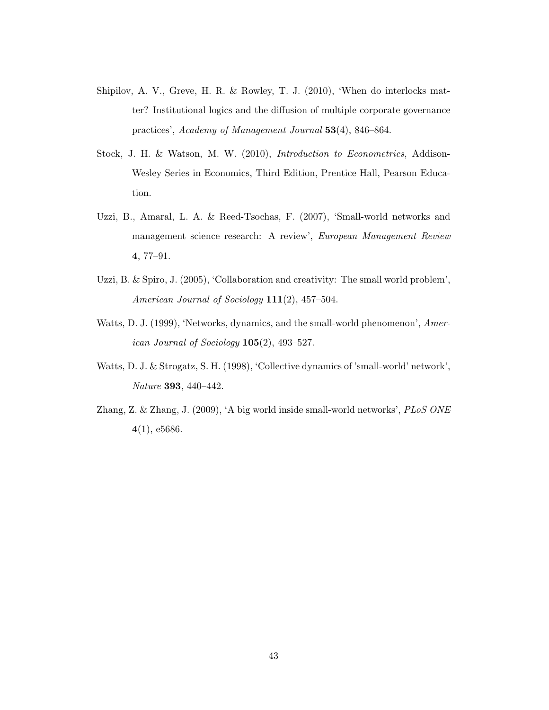- Shipilov, A. V., Greve, H. R. & Rowley, T. J. (2010), 'When do interlocks matter? Institutional logics and the diffusion of multiple corporate governance practices', Academy of Management Journal 53(4), 846–864.
- Stock, J. H. & Watson, M. W. (2010), Introduction to Econometrics, Addison-Wesley Series in Economics, Third Edition, Prentice Hall, Pearson Education.
- Uzzi, B., Amaral, L. A. & Reed-Tsochas, F. (2007), 'Small-world networks and management science research: A review', European Management Review 4, 77–91.
- Uzzi, B. & Spiro, J. (2005), 'Collaboration and creativity: The small world problem', American Journal of Sociology 111(2), 457-504.
- Watts, D. J. (1999), 'Networks, dynamics, and the small-world phenomenon', American Journal of Sociology  $105(2)$ , 493-527.
- Watts, D. J. & Strogatz, S. H. (1998), 'Collective dynamics of 'small-world' network', Nature 393, 440–442.
- Zhang, Z. & Zhang, J. (2009), 'A big world inside small-world networks', PLoS ONE 4(1), e5686.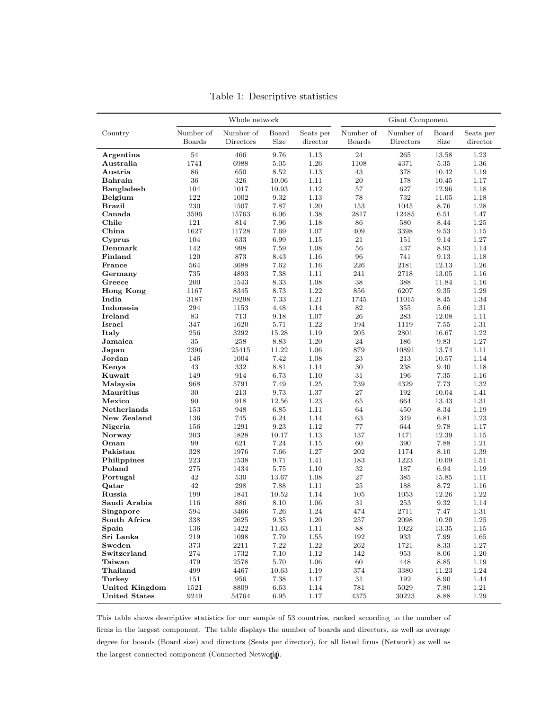<span id="page-44-0"></span>

|                       |               | Whole network |                     |           | Giant Component |                    |           |           |  |  |  |
|-----------------------|---------------|---------------|---------------------|-----------|-----------------|--------------------|-----------|-----------|--|--|--|
| Country               | Number of     | Number of     | Board               | Seats per | Number of       | Number of          | Board     | Seats per |  |  |  |
|                       | <b>Boards</b> | Directors     | Size                | director  | Boards          | Directors          | Size      | director  |  |  |  |
| Argentina             | 54            | 466           | 9.76                | 1.13      | 24              | 265                | 13.58     | 1.23      |  |  |  |
| Australia             | 1741          | 6988          | $5.05\,$            | 1.26      | 1108            | 4371               | 5.35      | 1.36      |  |  |  |
| Austria               | 86            | 650           | 8.52                | 1.13      | 43              | 378                | 10.42     | 1.19      |  |  |  |
| Bahrain               | 36            | 326           | 10.06               | 1.11      | 20              | 178                | 10.45     | 1.17      |  |  |  |
| Bangladesh            | 104           | 1017          | 10.93               | 1.12      | 57              | 627                | 12.96     | 1.18      |  |  |  |
| Belgium               | 122           | 1002          | 9.32                | 1.13      | 78              | 732                | 11.05     | 1.18      |  |  |  |
| <b>Brazil</b>         | 230           | 1507          | 7.87                | 1.20      | 153             | 1045               | 8.76      | 1.28      |  |  |  |
| Canada                | 3596          | 15763         | 6.06                | 1.38      | 2817            | 12485              | 6.51      | 1.47      |  |  |  |
| Chile                 | 121           | 814           | 7.96                | 1.18      | 86              | 580                | 8.44      | 1.25      |  |  |  |
| China                 | 1627          | 11728         | 7.69                | 1.07      | 409             | 3398               | 9.53      | 1.15      |  |  |  |
| Cyprus                | 104           | 633           | 6.99                | 1.15      | 21              | 151                | 9.14      | 1.27      |  |  |  |
| Demmark               | 142           | 998           | 7.59                | 1.08      | 56              | 437                | 8.93      | 1.14      |  |  |  |
| Finland               | 120           | 873           | 8.43                | 1.16      | 96              | 741                | 9.13      | 1.18      |  |  |  |
| France                | 564           | 3688          | 7.62                | 1.16      | 226             | 2181               | 12.13     | 1.26      |  |  |  |
| Germany               | 735           | 4893          | 7.38                | 1.11      | 241             | 2718               | 13.05     | 1.16      |  |  |  |
| Greece                | 200           | 1543          | 8.33                | 1.08      | 38              | 388                | 11.84     | 1.16      |  |  |  |
| <b>Hong Kong</b>      | 1167          | 8345          | 8.73                | 1.22      | 856             | 6207               | 9.35      | 1.29      |  |  |  |
| India                 | 3187          | 19298         | 7.33                | 1.21      | 1745            | 11015              | 8.45      | 1.34      |  |  |  |
| Indonesia             | 294           | 1153          | 4.48                | 1.14      | $82\,$          | 355                | 5.66      | 1.31      |  |  |  |
| Ireland               | 83            | 713           | 9.18                | 1.07      | 26              | 283                | 12.08     | 1.11      |  |  |  |
| Israel                | 347           | 1620          | 5.71                | 1.22      | 194             | 1119               | 7.55      | 1.31      |  |  |  |
| Italy                 | 256           | 3292          | 15.28               | 1.19      | 205             | 2801               | 16.67     | 1.22      |  |  |  |
| Jamaica               | 35            | 258           | 8.83                | 1.20      | 24              | 186                | 9.83      | 1.27      |  |  |  |
| Japan                 | 2396          | 25415         | 11.22               | 1.06      | 879             | 10891              | 13.74     | 1.11      |  |  |  |
| Jordan                | 146           | 1004          | 7.42                | 1.08      | 23              | 213                | 10.57     | 1.14      |  |  |  |
| Kenya                 | 43            | 332           | 8.81                | 1.14      | 30              | 238                | 9.40      | 1.18      |  |  |  |
| Kuwait                | 149           | 914           | 6.73                | 1.10      | 31              | 196                | 7.35      | 1.16      |  |  |  |
| Malaysia              | 968           | 5791          | 7.49                | 1.25      | 739             | 4329               | 7.73      | 1.32      |  |  |  |
| Mauritius             | 30            | 213           | 9.73                | 1.37      | 27              | 192                | 10.04     | 1.41      |  |  |  |
| Mexico                | 90            | 918           | 12.56               | 1.23      | 65              | 664                | 13.43     | 1.31      |  |  |  |
| Netherlands           | 153           | 948           | 6.85                | 1.11      | 64              | 450                | 8.34      | 1.19      |  |  |  |
| New Zealand           | 136           | 745           | 6.24                | 1.14      | 63              | 349                | 6.81      | 1.23      |  |  |  |
| Nigeria               | 156           | 1291          | 9.23                | 1.12      | 77              | 644                | 9.78      | 1.17      |  |  |  |
| Norway                | 203           | 1828          | 10.17               | 1.13      | 137             | 1471               | 12.39     | 1.15      |  |  |  |
| Oman                  | 99            | 621           | 7.24                | 1.15      | 60              | 390                | 7.88      | 1.21      |  |  |  |
| Pakistan              | 328           | 1976          | 7.66                | 1.27      | 202             | 1174               | 8.10      | 1.39      |  |  |  |
| Philippines           | 223           | 1538          | 9.71                | 1.41      | 183             | 1223               | 10.09     | 1.51      |  |  |  |
| Poland                | 275           | 1434          | 5.75                | 1.10      | $32\,$          | 187                | 6.94      | 1.19      |  |  |  |
| Portugal              | 42            | 530           | 13.67               | 1.08      | 27              | 385                | 15.85     | 1.11      |  |  |  |
| Qatar                 | 42            | 298           | 7.88                | 1.11      | 25              | 188                | 8.72      | 1.16      |  |  |  |
| Russia                | 199           | 1841          | 10.52               | 1.14      | 105             | 1053               | 12.26     | 1.22      |  |  |  |
| Saudi Arabia          | 116           | 886           | 8.10                | 1.06      | 31              | 253                | 9.32      | 1.14      |  |  |  |
| Singapore             | 594           | 3466          | 7.26                | 1.24      | 474             | 2711               | 7.47      | 1.31      |  |  |  |
| South Africa          | $338\,$       | $2625\,$      | $\boldsymbol{9.35}$ | $1.20\,$  | $257\,$         | 2098               | $10.20\,$ | 1.25      |  |  |  |
| Spain                 | 136           | 1422          | 11.63               | 1.11      | 88              | 1022               | 13.35     | 1.15      |  |  |  |
| Sri Lanka             | 219           | 1098          | 7.79                | 1.55      | 192             | $\boldsymbol{933}$ | 7.99      | 1.65      |  |  |  |
| Sweden                | $373\,$       | 2211          | $7.22\,$            | $1.22\,$  | 262             | 1721               | 8.33      | $1.27\,$  |  |  |  |
| Switzerland           | 274           | 1732          | $7.10\,$            | 1.12      | 142             | $953\,$            | 8.06      | $1.20\,$  |  |  |  |
| Taiwan                | 479           | 2578          | $5.70\,$            | 1.06      | 60              | 448                | 8.85      | 1.19      |  |  |  |
| Thailand              | 499           | 4467          | 10.63               | 1.19      | 374             | 3380               | 11.23     | 1.24      |  |  |  |
| Turkey                | 151           | 956           | 7.38                | 1.17      | 31              | 192                | 8.90      | 1.44      |  |  |  |
| <b>United Kingdom</b> | 1521          | 8809          | 6.63                | 1.14      | 781             | 5029               | 7.80      | 1.21      |  |  |  |
| <b>United States</b>  | 9249          | 54764         | 6.95                | $1.17\,$  | 4375            | 30223              | 8.88      | $1.29\,$  |  |  |  |

Table 1: Descriptive statistics

This table shows descriptive statistics for our sample of 53 countries, ranked according to the number of firms in the largest component. The table displays the number of boards and directors, as well as average degree for boards (Board size) and directors (Seats per director), for all listed firms (Network) as well as the largest connected component (Connected Netwo $\mathbf{p}$ ).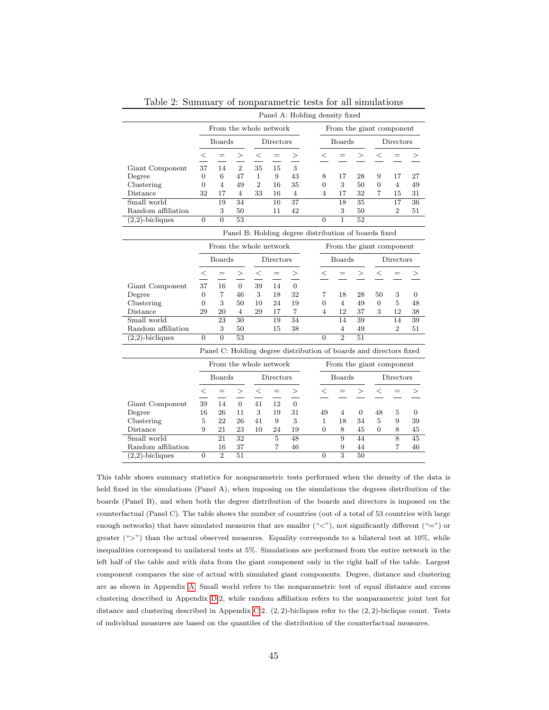<span id="page-45-0"></span>

|                                                      | Panel A: Holding density fixed |                        |                 |                        |                |                 |  |                |                          |                                                                    |                |                             |                 |
|------------------------------------------------------|--------------------------------|------------------------|-----------------|------------------------|----------------|-----------------|--|----------------|--------------------------|--------------------------------------------------------------------|----------------|-----------------------------|-----------------|
|                                                      |                                | From the whole network |                 |                        |                |                 |  |                | From the giant component |                                                                    |                |                             |                 |
|                                                      |                                | <b>Boards</b>          |                 |                        | Directors      |                 |  |                | <b>Boards</b>            |                                                                    | Directors      |                             |                 |
|                                                      | $\leq$                         | $=$                    | >               | $\,<$                  | $=$            | >               |  | $\,<\,$        | $=$                      | >                                                                  | $\,<\,$        | $=$                         | >               |
| Giant Component                                      | 37                             | 14                     | $\overline{2}$  | 35                     | 15             | 3               |  |                |                          |                                                                    |                |                             |                 |
| Degree                                               | $\boldsymbol{0}$               | 6                      | 47              | $\mathbf{1}$           | 9              | 43              |  | 8              | 17                       | 28                                                                 | 9              | 17                          | 27              |
| Clustering                                           | $\overline{0}$                 | $\overline{4}$         | 49              | $\overline{2}$         | 16             | 35              |  | $\Omega$       | 3                        | 50                                                                 | $\Omega$       | $\overline{4}$              | 49              |
| Distance                                             | 32                             | 17                     | $\overline{4}$  | 33                     | 16             | $\overline{4}$  |  | 4              | 17                       | 32                                                                 | 7              | 15                          | 31              |
| Small world                                          |                                | $\overline{19}$        | $\overline{34}$ |                        | 16             | $\overline{37}$ |  |                | $\overline{18}$          | $\overline{35}$                                                    |                | $\overline{17}$             | $\overline{36}$ |
| Random affiliation                                   |                                | 3                      | 50              |                        | 11             | 42              |  |                | 3                        | 50                                                                 |                | $\overline{2}$              | 51              |
| $(2,2)$ -bicliques                                   | $\overline{0}$                 | $\overline{0}$         | $\overline{53}$ |                        |                |                 |  | $\Omega$       | ī                        | $\overline{52}$                                                    |                |                             |                 |
| Panel B: Holding degree distribution of boards fixed |                                |                        |                 |                        |                |                 |  |                |                          |                                                                    |                |                             |                 |
|                                                      |                                |                        |                 | From the whole network |                |                 |  |                |                          | From the giant component                                           |                |                             |                 |
|                                                      |                                | <b>Boards</b>          |                 |                        | Directors      |                 |  |                | Boards                   |                                                                    | Directors      |                             |                 |
|                                                      | $\leq$                         | $=$                    | >               | $\,<$                  | $=$            | >               |  | $<\,$          | =                        | >                                                                  | $\,<\,$        |                             | ⋗               |
| Giant Component                                      | 37                             | 16                     | $\overline{0}$  | 39                     | 14             | $\overline{0}$  |  |                |                          |                                                                    |                |                             |                 |
| Degree                                               | $\overline{0}$                 | $\overline{7}$         | 46              | 3                      | 18             | 32              |  | 7              | 18                       | 28                                                                 | 50             | 3                           | 0               |
| Clustering                                           | $\overline{0}$                 | 3                      | 50              | 10                     | 24             | 19              |  | $\overline{0}$ | $\overline{4}$           | 49                                                                 | $\overline{0}$ | 5                           | 48              |
| Distance                                             | 29                             | 20                     | 4               | 29                     | 17             | $\overline{7}$  |  | 4              | 12                       | 37                                                                 | 3              | 12                          | 38              |
| Small world                                          |                                | $\overline{23}$        | $\overline{30}$ |                        | 19             | $\overline{34}$ |  |                | 14                       | 39                                                                 |                | $\overline{14}$             | 39              |
| Random affiliation                                   |                                | 3                      | 50              |                        | 15             | 38              |  |                | $\overline{4}$           | 49                                                                 |                | $\mathcal{D}_{\mathcal{L}}$ | 51              |
| $(2,2)$ -bicliques                                   | $\Omega$                       | $\Omega$               | $\overline{53}$ |                        |                |                 |  | $\Omega$       | $\overline{2}$           | 51                                                                 |                |                             |                 |
|                                                      |                                |                        |                 |                        |                |                 |  |                |                          | Panel C: Holding degree distribution of boards and directors fixed |                |                             |                 |
|                                                      |                                |                        |                 | From the whole network |                |                 |  |                |                          | From the giant component                                           |                |                             |                 |
|                                                      |                                | Boards                 |                 |                        | Directors      |                 |  |                | Boards                   |                                                                    |                | Directors                   |                 |
|                                                      | $\leq$                         | $=$                    | >               | $\leq$                 | $\equiv$       | $\geq$          |  | $\,<\,$        | $=$                      | >                                                                  | $\,<\,$        |                             |                 |
| Giant Component                                      | 39                             | 14                     | $\overline{0}$  | 41                     | 12             | $\overline{0}$  |  |                |                          |                                                                    |                |                             |                 |
| Degree                                               | 16                             | 26                     | 11              | 3                      | 19             | 31              |  | 49             | $\overline{4}$           | $\overline{0}$                                                     | 48             | 5                           | $\overline{0}$  |
| Clustering                                           | 5                              | 22                     | 26              | 41                     | 9              | 3               |  | $\mathbf{1}$   | 18                       | 34                                                                 | 5              | 9                           | 39              |
| Distance                                             | 9                              | 21                     | 23              | 10                     | 24             | 19              |  | $\Omega$       | 8                        | 45                                                                 | $\Omega$       | 8                           | 45              |
| Small world                                          |                                | 21                     | $\overline{32}$ |                        | $\overline{5}$ | 48              |  |                | 9                        | 44                                                                 |                | $\overline{8}$              | 45              |
| Random affiliation                                   |                                | 16                     | 37              |                        | $\overline{7}$ | 46              |  |                | 9                        | 44                                                                 |                | 7                           | 46              |
| $\overline{(2,2)}$ -bicliques                        | $\overline{0}$                 | $\overline{2}$         | $\overline{51}$ |                        |                |                 |  | $\overline{0}$ | $\overline{3}$           | 50                                                                 |                |                             |                 |

Table 2: Summary of nonparametric tests for all simulations

This table shows summary statistics for nonparametric tests performed when the density of the data is held fixed in the simulations (Panel A), when imposing on the simulations the degrees distribution of the boards (Panel B), and when both the degree distribution of the boards and directors is imposed on the counterfactual (Panel C). The table shows the number of countries (out of a total of 53 countries with large enough networks) that have simulated measures that are smaller  $(*<")$ , not significantly different  $(*=")$  or greater (" $>$ ") than the actual observed measures. Equality corresponds to a bilateral test at 10%, while inequalities correspond to unilateral tests at 5%. Simulations are performed from the entire network in the left half of the table and with data from the giant component only in the right half of the table. Largest component compares the size of actual with simulated giant components. Degree, distance and clustering are as shown in Appendix [A.](#page-54-0) Small world refers to the nonparametric test of equal distance and excess clustering described in Appendix [D.](#page-60-0)2, while random affiliation refers to the nonparametric joint test for distance and clustering described in Appendix [C.](#page-58-0)2.  $(2, 2)$ -bicliques refer to the  $(2, 2)$ -biclique count. Tests of individual measures are based on the quantiles of the distribution of the counterfactual measures.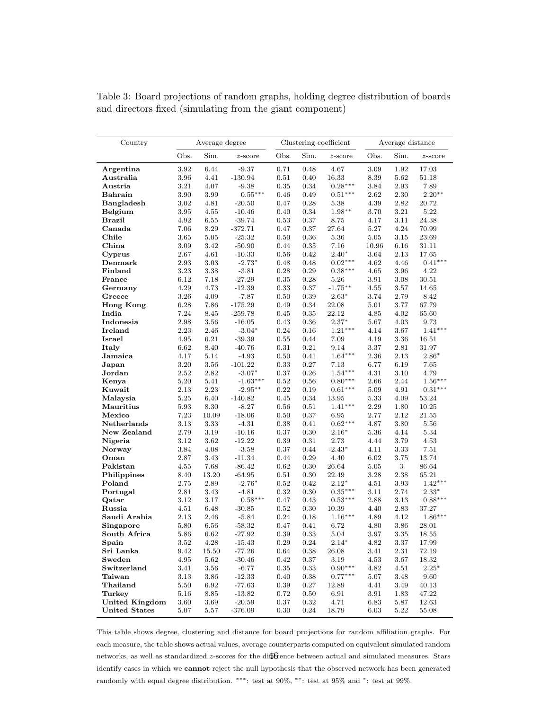| Country               | Average degree   |              |                      |              |                  | Clustering coefficient | Average distance |              |                |  |
|-----------------------|------------------|--------------|----------------------|--------------|------------------|------------------------|------------------|--------------|----------------|--|
|                       | Obs.             | Sim.         | $z$ -score           | Obs.         | Sim.             | $z$ -score             | Obs.             | Sim.         | $z$ -score     |  |
| Argentina             | 3.92             | 6.44         | $-9.37$              | 0.71         | 0.48             | 4.67                   | 3.09             | 1.92         | 17.03          |  |
| Australia             | 3.96             | 4.41         | $-130.94$            | 0.51         | 0.40             | 16.33                  | 8.39             | 5.62         | 51.18          |  |
| Austria               | 3.21             | 4.07         | $-9.38$              | $\rm 0.35$   | 0.34             | $0.28***$              | 3.84             | 2.93         | 7.89           |  |
| Bahrain               | 3.90             | 3.99         | $0.55***$            | 0.46         | 0.49             | $0.51***$              | 2.62             | 2.30         | $2.20**$       |  |
| <b>Bangladesh</b>     | 3.02             | 4.81         | $-20.50$             | 0.47         | 0.28             | 5.38                   | 4.39             | 2.82         | 20.72          |  |
| Belgium               | 3.95             | 4.55         | $-10.46$             | 0.40         | 0.34             | $1.98**$               | 3.70             | 3.21         | 5.22           |  |
| <b>Brazil</b>         | 4.92             | 6.55         | $-39.74$             | 0.53         | 0.37             | 8.75                   | 4.17             | 3.11         | 24.38          |  |
| Canada                | 7.06             | 8.29         | $-372.71$            | 0.47         | 0.37             | 27.64                  | 5.27             | 4.24         | 70.99          |  |
| Chile                 | 3.65             | $5.05\,$     | $-25.32$             | 0.50         | $0.36\,$         | 5.36                   | $5.05\,$         | 3.15         | 23.69          |  |
| China                 | 3.09             | 3.42         | $-50.90$             | 0.44         | $\rm 0.35$       | 7.16                   | 10.96            | 6.16         | 31.11          |  |
| Cyprus                | 2.67             | 4.61         | $-10.33$             | 0.56         | 0.42             | $2.40*$                | 3.64             | 2.13         | 17.65          |  |
| Denmark               | 2.93             | 3.03         | $-2.73*$             | 0.48         | 0.48             | $0.02***$              | 4.62             | 4.46         | $0.41***$      |  |
| Finland               | 3.23             | 3.38         | $-3.81$              | 0.28         | $0.29\,$         | $0.38***$              | 4.65             | 3.96         | 4.22           |  |
| France                | 6.12             | 7.18         | $-27.29$             | $\rm 0.35$   | 0.28             | 5.26                   | 3.91             | 3.08         | 30.51          |  |
| Germany               | 4.29             | 4.73         | $-12.39$             | 0.33         | 0.37             | $-1.75**$              | 4.55             | 3.57         | 14.65          |  |
| Greece                | 3.26             | 4.09         | $-7.87$              | 0.50         | $0.39\,$         | $2.63*$                | 3.74             | 2.79         | 8.42           |  |
| <b>Hong Kong</b>      | 6.28             | 7.86         | $-175.29$            | 0.49         | 0.34             | 22.08                  | 5.01             | 3.77         | 67.79          |  |
| India                 | 7.24             | 8.45         | $-259.78$            | 0.45         | 0.35             | 22.12                  | 4.85             | 4.02         | 65.60          |  |
| Indonesia             | 2.98             | 3.56         | $-16.05$             | 0.43         | $0.36\,$         | $2.37*$                | 5.67             | 4.03         | 9.73           |  |
| Ireland               | 2.23             | 2.46         | $-3.04*$             | 0.24         | 0.16             | $1.21***$              | 4.14             | 3.67         | $1.41***$      |  |
| Israel                | 4.95             | 6.21         | $-39.39$             | $\rm 0.55$   | 0.44             | 7.09                   | 4.19             | 3.36         | 16.51          |  |
| Italy                 | 6.62             | 8.40         | $-40.76$             | 0.31         | $0.21\,$         | 9.14                   | 3.37             | 2.81         | 31.97          |  |
| Jamaica               | 4.17             | 5.14         | $-4.93$              | 0.50         | 0.41             | $1.64***$              | 2.36             | 2.13         | $2.86*$        |  |
| Japan                 | 3.20             | $3.56\,$     | $-101.22$            | 0.33         | 0.27             | 7.13                   | 6.77             | 6.19         | 7.65           |  |
| Jordan                | 2.52             | 2.82         | $-3.07*$             | 0.37         | 0.26             | $1.54***$              | 4.31             | 3.10         | 4.79           |  |
| Kenya                 | 5.20             | 5.41         | $-1.63***$           | $\rm 0.52$   | 0.56             | $0.80***$              | 2.66             | 2.44         | $1.56***$      |  |
| Kuwait                | 2.13             | 2.23         | $-2.95**$            | 0.22         | 0.19             | $0.61***$              | 5.09             | 4.91         | $0.31***$      |  |
| Malaysia              | $5.25\,$         | 6.40         | $-140.82$            | $0.45\,$     | 0.34             | 13.95                  | 5.33             | 4.09         | 53.24          |  |
| Mauritius             | 5.93             | 8.30         | $-8.27$              | 0.56         | 0.51             | $1.41***$              | 2.29             | 1.80         | 10.25          |  |
| Mexico                | 7.23             | 10.09        | $-18.06$             | 0.50         | 0.37             | 6.95                   | 2.77             | 2.12         | 21.55          |  |
| Netherlands           | 3.13             | 3.33         | $-4.31$              | 0.38         | 0.41             | $0.62***$              | 4.87             | 3.80         | 5.56           |  |
| New Zealand           | 2.79             | 3.19         | $-10.16$             | 0.37         | 0.30             | $2.16*$                | 5.36             | 4.14         | 5.34           |  |
| Nigeria               | 3.12             | 3.62         | $-12.22$             | 0.39         | 0.31             | 2.73                   | 4.44             | 3.79         | 4.53           |  |
| Norway                | 3.84             | 4.08         | $-3.58$              | 0.37         | 0.44             | $-2.43*$               | 4.11             | 3.33         | 7.51           |  |
| Oman                  | 2.87             | 3.43         | $-11.34$             | 0.44         | $0.29\,$         | 4.40                   | 6.02             | 3.75         | 13.74          |  |
| Pakistan              | 4.55             | 7.68         | $-86.42$             | 0.62         | 0.30             | 26.64                  | 5.05             | $3 -$        | 86.64          |  |
| Philippines           | 8.40             | 13.20        | $-64.95$             | 0.51         | $0.30\,$         | 22.49                  | 3.28             | 2.38         | 65.21          |  |
| Poland                | 2.75             | 2.89         | $-2.76*$             | $\rm 0.52$   | 0.42             | $2.12*$                | 4.51             | 3.93         | $1.42***$      |  |
| Portugal              | 2.81             | 3.43         | $-4.81$              | 0.32         | 0.30             | $0.35***$              | 3.11             | 2.74         | $2.33*$        |  |
| Qatar                 | 3.12             | 3.17         | $0.58***$            | 0.47         | 0.43             | $0.53***$              | 2.88             | 3.13         | $0.88***$      |  |
| Russia                | 4.51             | 6.48         | $-30.85$             | 0.52         | $0.30\,$<br>0.18 | 10.39<br>$1.16***$     | 4.40             | 2.83         | 37.27          |  |
| Saudi Arabia          | 2.13             | 2.46         | $-5.84$              | 0.24         |                  |                        | 4.89             | 4.12         | $1.86***$      |  |
| Singapore             | 5.80             | 6.56<br>6.62 | $-58.32$             | 0.47<br>0.39 | 0.41<br>0.33     | 6.72                   | 4.80<br>3.97     | 3.86<br>3.35 | 28.01          |  |
| South Africa          | 5.86<br>$3.52\,$ | $4.28\,$     | $-27.92$             | $\rm 0.29$   | $\rm 0.24$       | 5.04<br>$2.14^{\ast}$  | $4.82\,$         |              | 18.55          |  |
| Spain<br>Sri Lanka    | 9.42             | 15.50        | $-15.43$<br>$-77.26$ | 0.64         | 0.38             | 26.08                  | 3.41             | 3.37<br>2.31 | 17.99<br>72.19 |  |
| Sweden                | 4.95             | 5.62         | $-30.46$             | 0.42         | 0.37             | 3.19                   | 4.53             | 3.67         | 18.32          |  |
| Switzerland           | 3.41             | 3.56         | $-6.77$              | 0.35         | $0.33\,$         | $0.90***$              | 4.82             | 4.51         | $2.25*$        |  |
| Taiwan                | 3.13             | 3.86         | $-12.33$             | 0.40         | 0.38             | $0.77***$              | 5.07             | 3.48         | 9.60           |  |
| Thailand              | 5.50             | 6.92         | $-77.63$             | $\rm 0.39$   | 0.27             | 12.89                  | 4.41             | 3.49         | 40.13          |  |
| Turkey                | 5.16             | 8.85         | $-13.82$             | $0.72\,$     | 0.50             | 6.91                   | 3.91             | 1.83         | 47.22          |  |
| <b>United Kingdom</b> | 3.60             | 3.69         | $-20.59$             | 0.37         | 0.32             | 4.71                   | 6.83             | 5.87         | 12.63          |  |
| <b>United States</b>  | $5.07\,$         | 5.57         | $-376.09$            | 0.30         | 0.24             | 18.79                  | 6.03             | 5.22         | 55.08          |  |

<span id="page-46-0"></span>Table 3: Board projections of random graphs, holding degree distribution of boards and directors fixed (simulating from the giant component)

This table shows degree, clustering and distance for board projections for random affiliation graphs. For each measure, the table shows actual values, average counterparts computed on equivalent simulated random networks, as well as standardized *z*-scores for the difference between actual and simulated measures. Stars identify cases in which we cannot reject the null hypothesis that the observed network has been generated randomly with equal degree distribution. ∗∗∗: test at 90%, ∗∗: test at 95% and <sup>∗</sup>: test at 99%.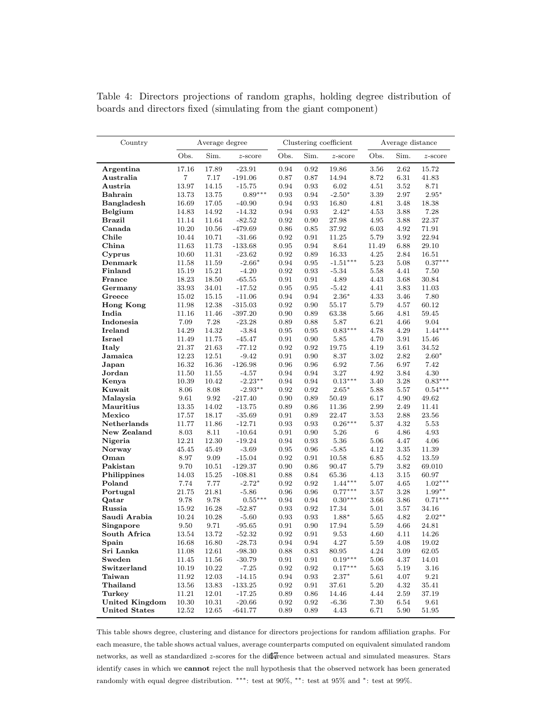| Country               | Average degree |           |            |            |            | Clustering coefficient | Average distance |          |             |  |
|-----------------------|----------------|-----------|------------|------------|------------|------------------------|------------------|----------|-------------|--|
|                       | Obs.           | Sim.      | $z$ -score | Obs.       | Sim.       | $z$ -score             | Obs.             | Sim.     | $z$ -score  |  |
| Argentina             | 17.16          | 17.89     | $-23.91$   | 0.94       | 0.92       | 19.86                  | 3.56             | 2.62     | 15.72       |  |
| Australia             | 7              | 7.17      | $-191.06$  | 0.87       | 0.87       | 14.94                  | 8.72             | 6.31     | 41.83       |  |
| Austria               | 13.97          | 14.15     | $-15.75$   | 0.94       | 0.93       | 6.02                   | 4.51             | 3.52     | 8.71        |  |
| <b>Bahrain</b>        | 13.73          | 13.75     | $0.89***$  | 0.93       | 0.94       | $-2.50*$               | 3.39             | 2.97     | $2.95*$     |  |
| <b>Bangladesh</b>     | 16.69          | 17.05     | $-40.90$   | 0.94       | 0.93       | 16.80                  | 4.81             | 3.48     | 18.38       |  |
| Belgium               | 14.83          | 14.92     | $-14.32$   | 0.94       | 0.93       | $2.42*$                | 4.53             | 3.88     | 7.28        |  |
| <b>Brazil</b>         | 11.14          | 11.64     | $-82.52$   | 0.92       | 0.90       | 27.98                  | 4.95             | 3.88     | $22.37\,$   |  |
| Canada                | 10.20          | 10.56     | $-479.69$  | 0.86       | 0.85       | 37.92                  | 6.03             | 4.92     | 71.91       |  |
| Chile                 | 10.44          | 10.71     | $-31.66$   | 0.92       | 0.91       | 11.25                  | 5.79             | 3.92     | 22.94       |  |
| China                 | 11.63          | 11.73     | $-133.68$  | 0.95       | 0.94       | 8.64                   | 11.49            | 6.88     | 29.10       |  |
| Cyprus                | 10.60          | 11.31     | $-23.62$   | 0.92       | 0.89       | 16.33                  | 4.25             | 2.84     | 16.51       |  |
| Denmark               | 11.58          | 11.59     | $-2.66*$   | 0.94       | 0.95       | $-1.51***$             | 5.23             | 5.08     | $0.37***$   |  |
| Finland               | 15.19          | 15.21     | $-4.20$    | 0.92       | 0.93       | $-5.34$                | 5.58             | 4.41     | 7.50        |  |
| France                | 18.23          | 18.50     | $-65.55$   | 0.91       | 0.91       | 4.89                   | 4.43             | 3.68     | $30.84\,$   |  |
| Germany               | 33.93          | 34.01     | $-17.52$   | 0.95       | 0.95       | $-5.42$                | 4.41             | 3.83     | 11.03       |  |
| Greece                | 15.02          | 15.15     | $-11.06$   | 0.94       | 0.94       | $2.36*$                | 4.33             | 3.46     | 7.80        |  |
| <b>Hong Kong</b>      | 11.98          | 12.38     | $-315.03$  | 0.92       | 0.90       | 55.17                  | 5.79             | 4.57     | 60.12       |  |
| India                 | 11.16          | 11.46     | $-397.20$  | 0.90       | 0.89       | 63.38                  | 5.66             | 4.81     | 59.45       |  |
| Indonesia             | 7.09           | 7.28      | $-23.28$   | 0.89       | 0.88       | 5.87                   | 6.21             | 4.66     | 9.04        |  |
| Ireland               | 14.29          | 14.32     | $-3.84$    | 0.95       | 0.95       | $0.83***$              | 4.78             | 4.29     | $1.44***$   |  |
| <b>Israel</b>         | 11.49          | 11.75     | $-45.47$   | 0.91       | 0.90       | 5.85                   | 4.70             | 3.91     | 15.46       |  |
| Italy                 | 21.37          | 21.63     | $-77.12$   | 0.92       | 0.92       | 19.75                  | 4.19             | 3.61     | 34.52       |  |
| Jamaica               | 12.23          | 12.51     | $-9.42$    | 0.91       | 0.90       | 8.37                   | 3.02             | 2.82     | $2.60*$     |  |
| Japan                 | 16.32          | 16.36     | $-126.98$  | 0.96       | 0.96       | 6.92                   | 7.56             | 6.97     | 7.42        |  |
| Jordan                | 11.50          | 11.55     | $-4.57$    | 0.94       | 0.94       | 3.27                   | 4.92             | 3.84     | 4.30        |  |
| Kenya                 | 10.39          | 10.42     | $-2.23***$ | 0.94       | 0.94       | $0.13***$              | 3.40             | 3.28     | $0.83***$   |  |
| Kuwait                | 8.06           | 8.08      | $-2.93**$  | 0.92       | 0.92       | $2.65*$                | 5.88             | 5.57     | $0.54***$   |  |
| Malaysia              | 9.61           | 9.92      | $-217.40$  | 0.90       | 0.89       | 50.49                  | 6.17             | 4.90     | 49.62       |  |
| Mauritius             | 13.35          | 14.02     | $-13.75$   | 0.89       | 0.86       | 11.36                  | 2.99             | 2.49     | 11.41       |  |
| Mexico                | 17.57          | 18.17     | $-35.69$   | 0.91       | 0.89       | 22.47                  | 3.53             | 2.88     | 23.56       |  |
| Netherlands           | 11.77          | 11.86     | $-12.71$   | 0.93       | 0.93       | $0.26***$              | 5.37             | 4.32     | 5.53        |  |
| New Zealand           | 8.03           | 8.11      | $-10.64$   | 0.91       | 0.90       | 5.26                   | $\,6\,$          | 4.86     | 4.93        |  |
| Nigeria               | 12.21          | 12.30     | $-19.24$   | 0.94       | 0.93       | 5.36                   | 5.06             | 4.47     | 4.06        |  |
| Norway                | 45.45          | 45.49     | $-3.69$    | 0.95       | 0.96       | $-5.85$                | 4.12             | 3.35     | 11.39       |  |
| Oman                  | 8.97           | 9.09      | $-15.04$   | 0.92       | 0.91       | 10.58                  | 6.85             | 4.52     | 13.59       |  |
| Pakistan              | 9.70           | 10.51     | $-129.37$  | 0.90       | 0.86       | 90.47                  | 5.79             | 3.82     | 69.010      |  |
| Philippines           | 14.03          | 15.25     | $-108.81$  | 0.88       | 0.84       | 65.36                  | 4.13             | $3.15\,$ | 60.97       |  |
| Poland                | 7.74           | 7.77      | $-2.72*$   | 0.92       | 0.92       | $1.44***$              | 5.07             | 4.65     | $1.02***$   |  |
| Portugal              | 21.75          | 21.81     | $-5.86$    | 0.96       | 0.96       | $0.77***$              | 3.57             | 3.28     | $1.99**$    |  |
| Qatar                 | 9.78           | 9.78      | $0.55***$  | 0.94       | 0.94       | $0.30***$              | 3.66             | 3.86     | $0.71***$   |  |
| Russia                | 15.92          | 16.28     | $-52.87$   | 0.93       | 0.92       | 17.34                  | 5.01             | 3.57     | 34.16       |  |
| Saudi Arabia          | 10.24          | 10.28     | $-5.60$    | 0.93       | 0.93       | 1.88*                  | 5.65             | 4.82     | $2.02**$    |  |
| Singapore             | 9.50           | 9.71      | $-95.65$   | 0.91       | 0.90       | 17.94                  | 5.59             | 4.66     | 24.81       |  |
| South Africa          | 13.54          | 13.72     | $-52.32$   | 0.92       | 0.91       | 9.53                   | 4.60             | 4.11     | 14.26       |  |
| Spain                 | 16.68          | 16.80     | $-28.73$   | 0.94       | $\rm 0.94$ | 4.27                   | $5.59\,$         | 4.08     | 19.02       |  |
| Sri Lanka             | 11.08          | 12.61     | $-98.30$   | $0.88\,$   | $\rm 0.83$ | 80.95                  | 4.24             | $3.09\,$ | 62.05       |  |
| Sweden                | 11.45          | 11.56     | $-30.79$   | $\rm 0.91$ | 0.91       | $0.19***$              | 5.06             | 4.37     | 14.01       |  |
| Switzerland           | 10.19          | 10.22     | $-7.25$    | 0.92       | 0.92       | $0.17***$              | 5.63             | 5.19     | 3.16        |  |
| Taiwan                | 11.92          | 12.03     | $-14.15$   | $\rm 0.94$ | 0.93       | $2.37*$                | 5.61             | 4.07     | $\ \, 9.21$ |  |
| Thailand              | 13.56          | 13.83     | $-133.25$  | 0.92       | 0.91       | 37.61                  | 5.20             | 4.32     | $35.41\,$   |  |
| Turkey                | 11.21          | $12.01\,$ | $-17.25$   | 0.89       | 0.86       | 14.46                  | 4.44             | 2.59     | 37.19       |  |
| <b>United Kingdom</b> | 10.30          | 10.31     | $-20.66$   | $\rm 0.92$ | 0.92       | $-6.36$                | 7.30             | 6.54     | 9.61        |  |
| <b>United States</b>  | 12.52          | $12.65\,$ | $-641.77$  | 0.89       | 0.89       | $4.43\,$               | 6.71             | 5.90     | 51.95       |  |

<span id="page-47-0"></span>Table 4: Directors projections of random graphs, holding degree distribution of boards and directors fixed (simulating from the giant component)

This table shows degree, clustering and distance for directors projections for random affiliation graphs. For each measure, the table shows actual values, average counterparts computed on equivalent simulated random networks, as well as standardized  $z$ -scores for the difference between actual and simulated measures. Stars identify cases in which we cannot reject the null hypothesis that the observed network has been generated randomly with equal degree distribution. ∗∗∗: test at 90%, ∗∗: test at 95% and <sup>∗</sup>: test at 99%.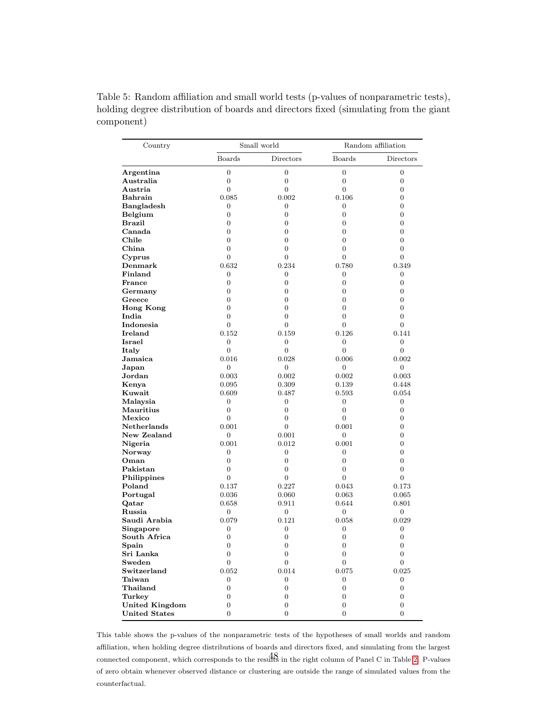| Country               |                  | Small world      | Random affiliation |                  |  |  |
|-----------------------|------------------|------------------|--------------------|------------------|--|--|
|                       | <b>Boards</b>    | Directors        | Boards             | Directors        |  |  |
| Argentina             | $\overline{0}$   | $\boldsymbol{0}$ | $\boldsymbol{0}$   | $\boldsymbol{0}$ |  |  |
| Australia             | $\boldsymbol{0}$ | $\boldsymbol{0}$ | $\boldsymbol{0}$   | $\boldsymbol{0}$ |  |  |
| Austria               | $\boldsymbol{0}$ | $\boldsymbol{0}$ | $\overline{0}$     | 0                |  |  |
| Bahrain               | 0.085            | 0.002            | 0.106              | $\overline{0}$   |  |  |
| <b>Bangladesh</b>     | 0                | 0                | 0                  | $\overline{0}$   |  |  |
| Belgium               | $\boldsymbol{0}$ | $\boldsymbol{0}$ | $\boldsymbol{0}$   | $\overline{0}$   |  |  |
| Brazil                | $\overline{0}$   | $\boldsymbol{0}$ | $\boldsymbol{0}$   | $\overline{0}$   |  |  |
| Canada                | $\overline{0}$   | $\overline{0}$   | $\overline{0}$     | $\overline{0}$   |  |  |
| Chile                 | $\boldsymbol{0}$ | $\boldsymbol{0}$ | $\overline{0}$     | $\overline{0}$   |  |  |
| China                 | $\boldsymbol{0}$ | $\boldsymbol{0}$ | $\boldsymbol{0}$   | $\boldsymbol{0}$ |  |  |
| Cyprus                | $\overline{0}$   | $\overline{0}$   | $\overline{0}$     | $\overline{0}$   |  |  |
| Demmark               | 0.632            | 0.234            | 0.780              | 0.349            |  |  |
| Finland               | $\boldsymbol{0}$ | $\boldsymbol{0}$ | 0                  | $\boldsymbol{0}$ |  |  |
| France                | $\overline{0}$   | $\overline{0}$   | $\overline{0}$     | $\overline{0}$   |  |  |
| Germany               | $\boldsymbol{0}$ | $\boldsymbol{0}$ | $\boldsymbol{0}$   | $\overline{0}$   |  |  |
| Greece                | $\boldsymbol{0}$ | $\boldsymbol{0}$ | $\boldsymbol{0}$   | $\boldsymbol{0}$ |  |  |
| <b>Hong Kong</b>      | $\overline{0}$   | $\overline{0}$   | $\overline{0}$     | $\overline{0}$   |  |  |
| India                 | $\overline{0}$   | $\overline{0}$   | $\overline{0}$     | $\overline{0}$   |  |  |
| Indonesia             | $\boldsymbol{0}$ | $\boldsymbol{0}$ | $\overline{0}$     | $\overline{0}$   |  |  |
| Ireland               | 0.152            | 0.159            | 0.126              | 0.141            |  |  |
| Israel                | $\boldsymbol{0}$ | $\boldsymbol{0}$ | $\boldsymbol{0}$   | $\boldsymbol{0}$ |  |  |
| Italy                 | $\boldsymbol{0}$ | $\boldsymbol{0}$ | $\overline{0}$     | $\boldsymbol{0}$ |  |  |
| Jamaica               | 0.016            | 0.028            | 0.006              | 0.002            |  |  |
| Japan                 | $\overline{0}$   | $\overline{0}$   | 0                  | $\boldsymbol{0}$ |  |  |
| Jordan                | 0.003            | 0.002            | 0.002              | 0.003            |  |  |
| Kenya                 | 0.095            | 0.309            | 0.139              | 0.448            |  |  |
| Kuwait                | 0.609            | 0.487            | 0.593              | 0.054            |  |  |
| Malaysia              | $\boldsymbol{0}$ | $\boldsymbol{0}$ | $\boldsymbol{0}$   | $\boldsymbol{0}$ |  |  |
| Mauritius             | $\boldsymbol{0}$ | $\boldsymbol{0}$ | $\boldsymbol{0}$   | 0                |  |  |
| Mexico                | $\overline{0}$   | $\overline{0}$   | $\overline{0}$     | $\overline{0}$   |  |  |
| <b>Netherlands</b>    | 0.001            | $\overline{0}$   | 0.001              | $\overline{0}$   |  |  |
| New Zealand           | $\boldsymbol{0}$ | 0.001            | 0                  | $\overline{0}$   |  |  |
| Nigeria               | 0.001            | 0.012            | 0.001              | $\overline{0}$   |  |  |
| Norway                | $\boldsymbol{0}$ | $\boldsymbol{0}$ | $\boldsymbol{0}$   | $\overline{0}$   |  |  |
| Oman                  | $\boldsymbol{0}$ | $\boldsymbol{0}$ | $\boldsymbol{0}$   | $\boldsymbol{0}$ |  |  |
| Pakistan              | $\boldsymbol{0}$ | $\boldsymbol{0}$ | $\boldsymbol{0}$   | 0                |  |  |
| Philippines           | $\overline{0}$   | $\overline{0}$   | $\overline{0}$     | $\overline{0}$   |  |  |
| Poland                | 0.137            | 0.227            | 0.043              | 0.173            |  |  |
| Portugal              | 0.036            | 0.060            | 0.063              | 0.065            |  |  |
| Qatar                 | 0.658            | 0.911            | 0.644              | 0.801            |  |  |
| Russia                | $\boldsymbol{0}$ | $\boldsymbol{0}$ | $\boldsymbol{0}$   | $\boldsymbol{0}$ |  |  |
| Saudi Arabia          | 0.079            | 0.121            | 0.058              | 0.029            |  |  |
| Singapore             | 0                | $\boldsymbol{0}$ | $\boldsymbol{0}$   | $\boldsymbol{0}$ |  |  |
| South Africa          | $\boldsymbol{0}$ | $\boldsymbol{0}$ | $\boldsymbol{0}$   | $\boldsymbol{0}$ |  |  |
| Spain                 | $\boldsymbol{0}$ | $\boldsymbol{0}$ | $\boldsymbol{0}$   | $\boldsymbol{0}$ |  |  |
| Sri Lanka             | $\boldsymbol{0}$ | $\overline{0}$   | $\boldsymbol{0}$   | $\overline{0}$   |  |  |
| Sweden                | $\boldsymbol{0}$ | $\boldsymbol{0}$ | 0                  | $\boldsymbol{0}$ |  |  |
| Switzerland           | 0.052            | 0.014            | 0.075              | 0.025            |  |  |
| Taiwan                | $\boldsymbol{0}$ | $\boldsymbol{0}$ | 0                  | 0                |  |  |
| Thailand              | $\boldsymbol{0}$ | $\boldsymbol{0}$ | 0                  | 0                |  |  |
| Turkey                | $\boldsymbol{0}$ | $\boldsymbol{0}$ | $\boldsymbol{0}$   | $\boldsymbol{0}$ |  |  |
| <b>United Kingdom</b> | $\boldsymbol{0}$ | $\boldsymbol{0}$ | $\boldsymbol{0}$   | $\boldsymbol{0}$ |  |  |
| <b>United States</b>  | $\overline{0}$   | $\overline{0}$   | $\overline{0}$     | $\overline{0}$   |  |  |

<span id="page-48-0"></span>Table 5: Random affiliation and small world tests (p-values of nonparametric tests), holding degree distribution of boards and directors fixed (simulating from the giant component)

This table shows the p-values of the nonparametric tests of the hypotheses of small worlds and random affiliation, when holding degree distributions of boards and directors fixed, and simulating from the largest connected component, which corresponds to the results in the right column of Panel C in Table [2.](#page-45-0) P-values 48of zero obtain whenever observed distance or clustering are outside the range of simulated values from the counterfactual.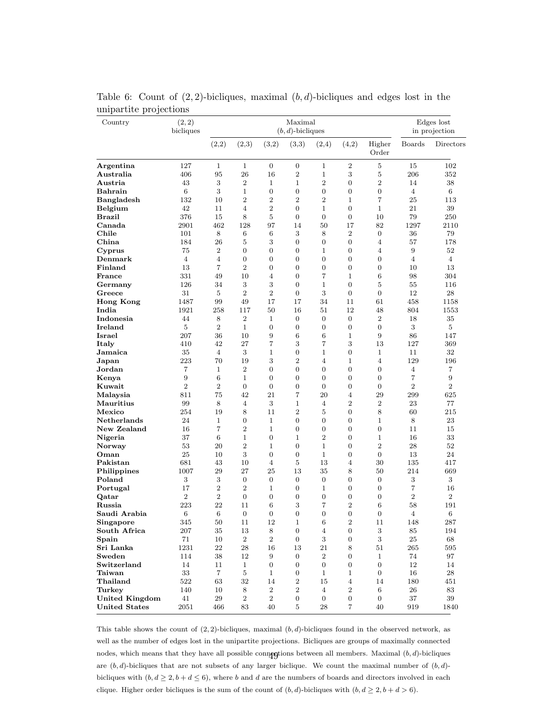| Country                | (2, 2)<br>bicliques |                |                  |                  | Edges lost<br>in projection |                  |                  |                  |                |                |
|------------------------|---------------------|----------------|------------------|------------------|-----------------------------|------------------|------------------|------------------|----------------|----------------|
|                        |                     | (2,2)          | (2,3)            | (3,2)            | (3,3)                       | (2,4)            | (4,2)            | Higher<br>Order  | <b>Boards</b>  | Directors      |
| Argentina              | 127                 | $\mathbf{1}$   | $\mathbf{1}$     | $\overline{0}$   | $\boldsymbol{0}$            | $\mathbf{1}$     | $\overline{2}$   | 5                | 15             | 102            |
| Australia              | 406                 | 95             | 26               | 16               | $\overline{2}$              | $\mathbf{1}$     | 3                | 5                | 206            | 352            |
| Austria                | 43                  | 3              | $\overline{2}$   | $\mathbf{1}$     | $\mathbf 1$                 | $\overline{2}$   | 0                | $\overline{2}$   | 14             | 38             |
| <b>Bahrain</b>         | $\,6$               | 3              | 1                | $\boldsymbol{0}$ | $\boldsymbol{0}$            | $\boldsymbol{0}$ | 0                | 0                | $\overline{4}$ | 6              |
| <b>Bangladesh</b>      | 132                 | 10             | $\overline{2}$   | $\overline{2}$   | $\overline{2}$              | $\overline{2}$   | $\mathbf{1}$     | $\overline{7}$   | 25             | 113            |
| Belgium                | 42                  | 11             | $\overline{4}$   | $\overline{2}$   | $\boldsymbol{0}$            | $\mathbf 1$      | $\overline{0}$   | $\mathbf{1}$     | 21             | 39             |
| Brazil                 | 376                 | 15             | 8                | 5                | $\boldsymbol{0}$            | $\boldsymbol{0}$ | $\overline{0}$   | 10               | 79             | 250            |
| Canada                 | 2901                | 462            | 128              | 97               | 14                          | 50               | 17               | 82               | 1297           | 2110           |
| Chile                  | 101                 | 8              | 6                | 6                | 3                           | 8                | $\sqrt{2}$       | $\overline{0}$   | 36             | 79             |
| China                  | 184                 | 26             | 5                | 3                | $\boldsymbol{0}$            | $\boldsymbol{0}$ | $\overline{0}$   | 4                | 57             | 178            |
| Cyprus                 | 75                  | $\overline{2}$ | $\boldsymbol{0}$ | $\overline{0}$   | 0                           | $\mathbf 1$      | $\overline{0}$   | 4                | 9              | 52             |
| Denmark                | $\overline{4}$      | $\overline{4}$ | $\boldsymbol{0}$ | $\boldsymbol{0}$ | $\overline{0}$              | $\boldsymbol{0}$ | $\overline{0}$   | $\overline{0}$   | $\overline{4}$ | $\overline{4}$ |
| Finland                | 13                  | 7              | $\boldsymbol{2}$ | $\overline{0}$   | $\boldsymbol{0}$            | $\boldsymbol{0}$ | $\overline{0}$   | 0                | 10             | 13             |
| France                 | 331                 | 49             | 10               | 4                | $\overline{0}$              | 7                | $\mathbf{1}$     | 6                | 98             | 304            |
| Germany                | 126                 | 34             | $\sqrt{3}$       | 3                | $\boldsymbol{0}$            | $\mathbf{1}$     | $\overline{0}$   | 5                | 55             | 116            |
| Greece                 | 31                  | 5              | $\overline{2}$   | $\overline{2}$   | $\boldsymbol{0}$            | 3                | $\overline{0}$   | $\overline{0}$   | 12             | 28             |
| <b>Hong Kong</b>       | 1487                | 99             | 49               | 17               | 17                          | 34               | 11               | 61               | 458            | 1158           |
| India                  | 1921                | 258            | 117              | 50               | 16                          | 51               | 12               | 48               | 804            | 1553           |
| Indonesia              | 44                  | 8              | $\,2$            | 1                | $\boldsymbol{0}$            | $\boldsymbol{0}$ | $\overline{0}$   | $\boldsymbol{2}$ | 18             | 35             |
| Ireland                | 5                   | $\overline{2}$ | $\mathbf{1}$     | $\boldsymbol{0}$ | 0                           | $\boldsymbol{0}$ | $\overline{0}$   | $\overline{0}$   | 3              | 5              |
| Israel                 | 207                 | 36             | 10               | 9                | 6                           | 6                | $\mathbf{1}$     | 9                | 86             | 147            |
| Italy                  | 410                 | 42             | 27               | 7                | 3                           | $\overline{7}$   | 3                | 13               | 127            | 369            |
| Jamaica                | 35                  | $\overline{4}$ | 3                | 1                | 0                           | $\mathbf 1$      | $\overline{0}$   | $\mathbf{1}$     | 11             | 32             |
|                        | 223                 | 70             | 19               | 3                | $\overline{2}$              | $\overline{4}$   | $\mathbf{1}$     | 4                | 129            | 196            |
| Japan                  | 7                   | $\mathbf{1}$   | $\overline{2}$   | $\overline{0}$   | $\overline{0}$              | $\overline{0}$   | $\overline{0}$   |                  | $\overline{4}$ |                |
| ${\bf Jordan}$         |                     |                |                  |                  |                             |                  |                  | $\overline{0}$   |                | 7              |
| Kenya                  | 9                   | 6              | $\mathbf 1$      | $\overline{0}$   | 0                           | $\overline{0}$   | $\overline{0}$   | $\theta$         | 7              | 9              |
| Kuwait                 | $\overline{2}$      | $\overline{2}$ | $\overline{0}$   | $\overline{0}$   | $\boldsymbol{0}$            | $\overline{0}$   | $\overline{0}$   | $\theta$         | $\overline{2}$ | $\overline{2}$ |
| Malaysia               | 811                 | 75             | 42               | 21               | 7                           | 20               | $\overline{4}$   | 29               | 299            | 625            |
| Mauritius              | 99                  | 8              | $\overline{4}$   | 3                | $\mathbf{1}$                | $\overline{4}$   | $\overline{2}$   | $\boldsymbol{2}$ | 23             | 77             |
| Mexico                 | 254                 | 19             | 8                | 11               | $\overline{2}$              | 5                | $\theta$         | 8                | 60             | 215            |
| <b>Netherlands</b>     | 24                  | $\mathbf{1}$   | $\boldsymbol{0}$ | $\mathbf{1}$     | 0                           | $\boldsymbol{0}$ | $\boldsymbol{0}$ | $\mathbf{1}$     | 8              | 23             |
| New Zealand            | 16                  | 7              | $\overline{2}$   | $\mathbf{1}$     | $\boldsymbol{0}$            | $\boldsymbol{0}$ | $\boldsymbol{0}$ | 0                | 11             | 15             |
| Nigeria                | 37                  | 6              | $\mathbf 1$      | $\overline{0}$   | $\mathbf 1$                 | $\overline{2}$   | $\overline{0}$   | $\mathbf{1}$     | 16             | 33             |
| Norway                 | 53                  | 20             | $\overline{2}$   | $\mathbf{1}$     | $\boldsymbol{0}$            | $\mathbf{1}$     | $\overline{0}$   | $\overline{2}$   | 28             | 52             |
| Oman                   | 25                  | 10             | 3                | $\overline{0}$   | $\overline{0}$              | $\mathbf 1$      | $\overline{0}$   | $\theta$         | 13             | 24             |
| Pakistan               | 681                 | 43             | 10               | $\overline{4}$   | 5                           | 13               | 4                | 30               | 135            | 417            |
| Philippines            | 1007                | 29             | 27               | 25               | 13                          | 35               | 8                | 50               | 214            | 669            |
| Poland                 | $\sqrt{3}$          | 3              | $\boldsymbol{0}$ | $\mathbf{0}$     | $\boldsymbol{0}$            | $\boldsymbol{0}$ | 0                | $\boldsymbol{0}$ | $\sqrt{3}$     | 3              |
| Portugal               | 17                  | $\sqrt{2}$     | $\boldsymbol{2}$ | $\mathbf{1}$     | $\boldsymbol{0}$            | $\mathbf 1$      | $\overline{0}$   | $\overline{0}$   | $\overline{7}$ | 16             |
| $\operatorname{Qatar}$ | $\overline{2}$      | $\overline{2}$ | $\overline{0}$   | $\overline{0}$   | 0                           | $\overline{0}$   | $\overline{0}$   | $\overline{0}$   | $\overline{2}$ | $\overline{2}$ |
| Russia                 | 223                 | 22             | 11               | 6                | 3                           | 7                | $\overline{2}$   | 6                | 58             | 191            |
| Saudi Arabia           | 6                   | 6              | $\boldsymbol{0}$ | $\boldsymbol{0}$ | 0                           | 0                | $\boldsymbol{0}$ | $\boldsymbol{0}$ | 4              | 6              |
| Singapore              | 345                 | $50\,$         | $11\,$           | 12               | $\mathbf{1}$                | $\,6\,$          | $\,2$            | $11\,$           | 148            | $287\,$        |
| South Africa           | $207\,$             | $35\,$         | 13               | 8                | $\boldsymbol{0}$            | $\,4\,$          | $\boldsymbol{0}$ | $\,3$            | $85\,$         | 194            |
| Spain                  | $71\,$              | 10             | $\,2$            | $\overline{2}$   | 0                           | $\sqrt{3}$       | $\overline{0}$   | $\boldsymbol{3}$ | $25\,$         | 68             |
| Sri Lanka              | 1231                | $\bf{22}$      | 28               | 16               | 13                          | 21               | 8                | 51               | 265            | 595            |
| Sweden                 | 114                 | 38             | $12\,$           | 9                | $\boldsymbol{0}$            | $\,2$            | $\overline{0}$   | $\mathbf{1}$     | 74             | 97             |
| Switzerland            | 14                  | 11             | $\mathbf{1}$     | $\boldsymbol{0}$ | 0                           | $\boldsymbol{0}$ | $\boldsymbol{0}$ | $\boldsymbol{0}$ | 12             | 14             |
| Taiwan                 | $33\,$              | 7              | $\bf 5$          | $\mathbf{1}$     | 0                           | $\mathbf{1}$     | $\mathbf{1}$     | $\overline{0}$   | 16             | 28             |
| Thailand               | $522\,$             | 63             | $32\,$           | 14               | $\,2$                       | 15               | $\overline{4}$   | 14               | 180            | 451            |
| Turkey                 | 140                 | 10             | $8\,$            | $\,2$            | $\,2$                       | $\overline{4}$   | $\,2$            | $\,6\,$          | ${\bf 26}$     | 83             |
| <b>United Kingdom</b>  | 41                  | 29             | 2                | $\,2$            | $\boldsymbol{0}$            | $\boldsymbol{0}$ | $\boldsymbol{0}$ | $\boldsymbol{0}$ | 37             | 39             |
| <b>United States</b>   | 2051                | 466            | 83               | 40               | 5                           | 28               | 7                | 40               | 919            | 1840           |

<span id="page-49-0"></span>Table 6: Count of  $(2, 2)$ -bicliques, maximal  $(b, d)$ -bicliques and edges lost in the unipartite projections

This table shows the count of  $(2, 2)$ -bicliques, maximal  $(b, d)$ -bicliques found in the observed network, as well as the number of edges lost in the unipartite projections. Bicliques are groups of maximally connected nodes, which means that they have all possible connegtions between all members. Maximal  $(b, d)$ -bicliques are  $(b, d)$ -bicliques that are not subsets of any larger biclique. We count the maximal number of  $(b, d)$ bicliques with  $(b, d \geq 2, b + d \leq 6)$ , where b and d are the numbers of boards and directors involved in each clique. Higher order bicliques is the sum of the count of  $(b, d)$ -bicliques with  $(b, d \geq 2, b + d > 6)$ .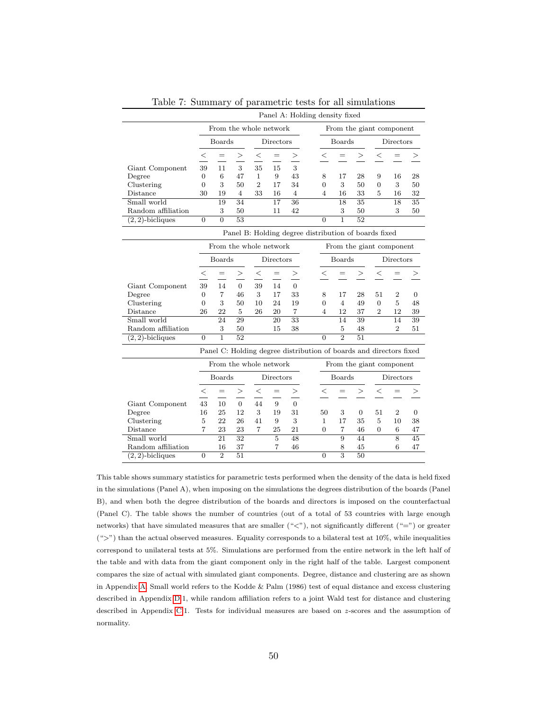<span id="page-50-0"></span>

|                                                      | Panel A: Holding density fixed |                        |                        |                |                 |                                                                    |  |                          |                |                 |                |                          |                |
|------------------------------------------------------|--------------------------------|------------------------|------------------------|----------------|-----------------|--------------------------------------------------------------------|--|--------------------------|----------------|-----------------|----------------|--------------------------|----------------|
|                                                      |                                |                        | From the whole network |                |                 |                                                                    |  | From the giant component |                |                 |                |                          |                |
|                                                      |                                | <b>Boards</b>          |                        |                | Directors       |                                                                    |  |                          | <b>Boards</b>  |                 | Directors      |                          |                |
|                                                      | $\leq$                         | $=$                    | >                      | $\,<\,$        | $=$             | $\,>$                                                              |  | $<\,$                    | $=$            | >               | $\,<\,$        | $=$                      | >              |
| Giant Component                                      | 39                             | 11                     | 3                      | 35             | 15              | 3                                                                  |  |                          |                |                 |                |                          |                |
| Degree                                               | $\theta$                       | 6                      | 47                     | $\mathbf{1}$   | 9               | 43                                                                 |  | 8                        | 17             | 28              | 9              | 16                       | 28             |
| Clustering                                           | $\theta$                       | 3                      | 50                     | $\overline{2}$ | 17              | 34                                                                 |  | 0                        | 3              | 50              | 0              | 3                        | 50             |
| Distance                                             | 30                             | 19                     | $\overline{4}$         | 33             | 16              | $\overline{4}$                                                     |  | $\overline{4}$           | 16             | 33              | 5              | 16                       | 32             |
| Small world                                          |                                | 19                     | $\overline{34}$        |                | $\overline{17}$ | 36                                                                 |  |                          | 18             | $\overline{35}$ |                | 18                       | 35             |
| Random affiliation                                   |                                | 3                      | 50                     |                | 11              | 42                                                                 |  |                          | 3              | 50              |                | 3                        | 50             |
| $(2, 2)$ -bicliques                                  | $\overline{0}$                 | $\overline{0}$         | $\overline{53}$        |                |                 |                                                                    |  | $\Omega$                 | 1              | $\overline{52}$ |                |                          |                |
| Panel B: Holding degree distribution of boards fixed |                                |                        |                        |                |                 |                                                                    |  |                          |                |                 |                |                          |                |
|                                                      |                                | From the whole network |                        |                |                 |                                                                    |  |                          |                |                 |                | From the giant component |                |
|                                                      |                                | <b>Boards</b>          |                        |                | Directors       |                                                                    |  | Boards                   |                |                 | Directors      |                          |                |
|                                                      | $\leq$                         | $=$                    | >                      | $<\,$          | $=$             |                                                                    |  | $\leq$                   | $=$            | >               | $\,<\,$        |                          |                |
| Giant Component                                      | 39                             | 14                     | $\overline{0}$         | 39             | 14              | $\overline{0}$                                                     |  |                          |                |                 |                |                          |                |
| Degree                                               | $\overline{0}$                 | $\overline{7}$         | 46                     | 3              | 17              | 33                                                                 |  | 8                        | 17             | 28              | 51             | $\boldsymbol{2}$         | $\Omega$       |
| Clustering                                           | $\overline{0}$                 | 3                      | 50                     | 10             | 24              | 19                                                                 |  | $\overline{0}$           | $\overline{4}$ | 49              | $\overline{0}$ | 5                        | 48             |
| Distance                                             | 26                             | 22                     | 5                      | 26             | 20              | 7                                                                  |  | 4                        | 12             | 37              | $\overline{2}$ | 12                       | 39             |
| Small world                                          |                                | 24                     | $\overline{29}$        |                | 20              | $\overline{33}$                                                    |  |                          | 14             | 39              |                | 14                       | 39             |
| Random affiliation                                   |                                | 3                      | 50                     |                | 15              | 38                                                                 |  |                          | 5              | 48              |                | $\overline{2}$           | 51             |
| $(2, 2)$ -bicliques                                  | $\Omega$                       | $\mathbf{1}$           | 52                     |                |                 |                                                                    |  | $\Omega$                 | $\overline{2}$ | 51              |                |                          |                |
|                                                      |                                |                        |                        |                |                 | Panel C: Holding degree distribution of boards and directors fixed |  |                          |                |                 |                |                          |                |
|                                                      |                                |                        | From the whole network |                |                 |                                                                    |  |                          |                |                 |                | From the giant component |                |
|                                                      |                                | <b>Boards</b>          |                        |                | Directors       |                                                                    |  |                          | Boards         |                 |                | Directors                |                |
|                                                      | $\,<\,$                        | $=$                    | >                      | $\,<\,$        | $=$             | >                                                                  |  | $\,<$                    | $=$            | >               | $\,<\,$        | $=$                      |                |
|                                                      |                                |                        |                        | 44             | 9               | $\overline{0}$                                                     |  |                          |                |                 |                |                          |                |
| Giant Component                                      | 43<br>16                       | 10<br>25               | $\overline{0}$<br>12   | 3              | 19              | 31                                                                 |  | 50                       | 3              | $\overline{0}$  | 51             | $\overline{2}$           | $\overline{0}$ |
| Degree<br>Clustering                                 | 5                              | 22                     | 26                     | 41             | 9               | 3                                                                  |  | $\mathbf{1}$             | 17             | 35              | 5              | 10                       | 38             |
| Distance                                             | 7                              | 23                     | 23                     | $\overline{7}$ | 25              | 21                                                                 |  | $\overline{0}$           | $\overline{7}$ | 46              | $\Omega$       | 6                        | 47             |
| Small world                                          |                                | 21                     | 32                     |                | $\overline{5}$  | 48                                                                 |  |                          | 9              | 44              |                | $\overline{8}$           | 45             |
| Random affiliation                                   |                                | 16                     | 37                     |                | 7               | 46                                                                 |  |                          | 8              | 45              |                | 6                        | 47             |
| $(2, 2)$ -bicliques                                  | $\overline{0}$                 | $\overline{2}$         | 51                     |                |                 |                                                                    |  | $\Omega$                 | 3              | 50              |                |                          |                |
|                                                      |                                |                        |                        |                |                 |                                                                    |  |                          |                |                 |                |                          |                |

Table 7: Summary of parametric tests for all simulations

This table shows summary statistics for parametric tests performed when the density of the data is held fixed in the simulations (Panel A), when imposing on the simulations the degrees distribution of the boards (Panel B), and when both the degree distribution of the boards and directors is imposed on the counterfactual (Panel C). The table shows the number of countries (out of a total of 53 countries with large enough networks) that have simulated measures that are smaller ("<"), not significantly different ("=") or greater  $($ ">") than the actual observed measures. Equality corresponds to a bilateral test at 10%, while inequalities correspond to unilateral tests at 5%. Simulations are performed from the entire network in the left half of the table and with data from the giant component only in the right half of the table. Largest component compares the size of actual with simulated giant components. Degree, distance and clustering are as shown in Appendix [A.](#page-54-0) Small world refers to the Kodde & Palm (1986) test of equal distance and excess clustering described in Appendix [D.](#page-60-0)1, while random affiliation refers to a joint Wald test for distance and clustering described in Appendix [C.](#page-58-0)1. Tests for individual measures are based on z-scores and the assumption of normality.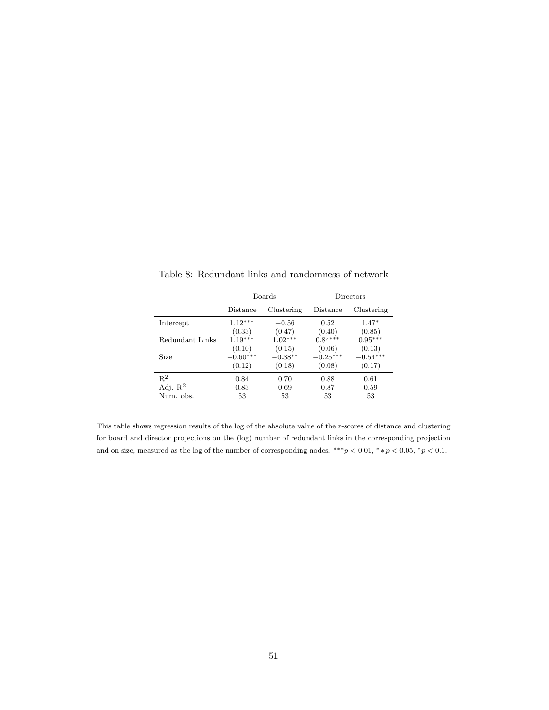|                     |            | Boards     | Directors  |            |  |  |
|---------------------|------------|------------|------------|------------|--|--|
|                     | Distance   | Clustering | Distance   | Clustering |  |  |
| Intercept           | $1.12***$  | $-0.56$    | 0.52       | $1.47*$    |  |  |
|                     | (0.33)     | (0.47)     | (0.40)     | (0.85)     |  |  |
| Redundant Links     | $1.19***$  | $1.02***$  | $0.84***$  | $0.95***$  |  |  |
|                     | (0.10)     | (0.15)     | (0.06)     | (0.13)     |  |  |
| Size                | $-0.60***$ | $-0.38**$  | $-0.25***$ | $-0.54***$ |  |  |
|                     | (0.12)     | (0.18)     | (0.08)     | (0.17)     |  |  |
| $R^2$               | 0.84       | 0.70       | 0.88       | 0.61       |  |  |
| Adj. $\mathbb{R}^2$ | 0.83       | 0.69       | 0.87       | 0.59       |  |  |
| Num. obs.           | 53         | 53         | 53         | 53         |  |  |

<span id="page-51-0"></span>Table 8: Redundant links and randomness of network

This table shows regression results of the log of the absolute value of the z-scores of distance and clustering for board and director projections on the (log) number of redundant links in the corresponding projection and on size, measured as the log of the number of corresponding nodes.  $**p < 0.01, **p < 0.05, *p < 0.1$ .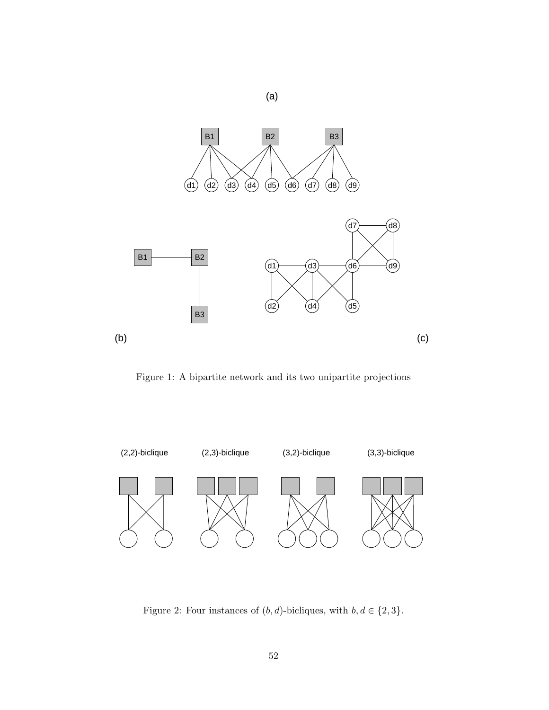

<span id="page-52-0"></span>Figure 1: A bipartite network and its two unipartite projections



<span id="page-52-1"></span>Figure 2: Four instances of  $(b,d)\mbox{-bicliques, with } b,d \in \{2,3\}.$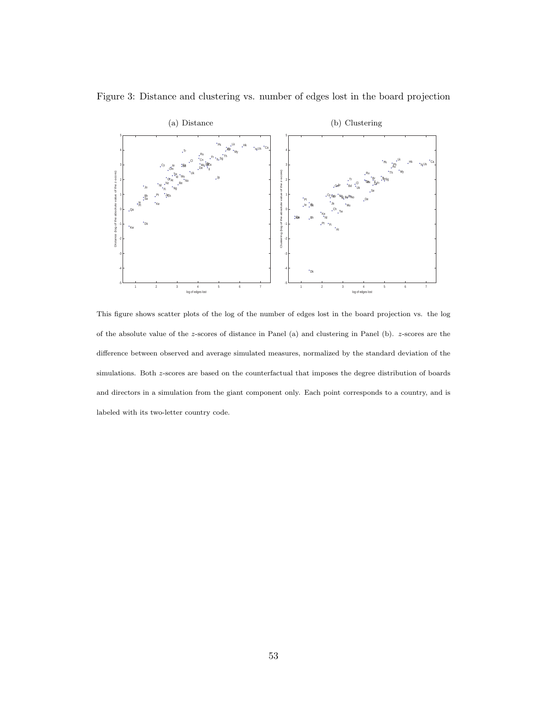

<span id="page-53-0"></span>Figure 3: Distance and clustering vs. number of edges lost in the board projection

This figure shows scatter plots of the log of the number of edges lost in the board projection vs. the log of the absolute value of the z-scores of distance in Panel (a) and clustering in Panel (b). z-scores are the difference between observed and average simulated measures, normalized by the standard deviation of the simulations. Both z-scores are based on the counterfactual that imposes the degree distribution of boards and directors in a simulation from the giant component only. Each point corresponds to a country, and is labeled with its two-letter country code.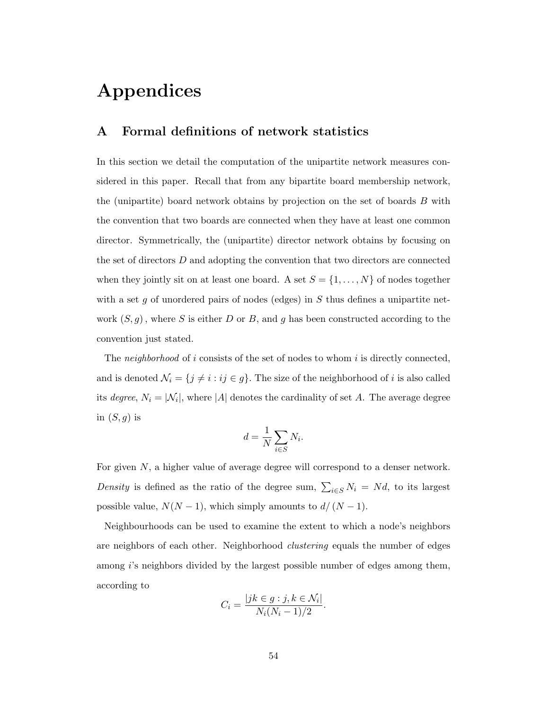# Appendices

# <span id="page-54-0"></span>A Formal definitions of network statistics

In this section we detail the computation of the unipartite network measures considered in this paper. Recall that from any bipartite board membership network, the (unipartite) board network obtains by projection on the set of boards B with the convention that two boards are connected when they have at least one common director. Symmetrically, the (unipartite) director network obtains by focusing on the set of directors D and adopting the convention that two directors are connected when they jointly sit on at least one board. A set  $S = \{1, ..., N\}$  of nodes together with a set g of unordered pairs of nodes (edges) in  $S$  thus defines a unipartite network  $(S, g)$ , where S is either D or B, and g has been constructed according to the convention just stated.

The neighborhood of i consists of the set of nodes to whom i is directly connected, and is denoted  $\mathcal{N}_i = \{j \neq i : ij \in g\}$ . The size of the neighborhood of i is also called its *degree*,  $N_i = |\mathcal{N}_i|$ , where |A| denotes the cardinality of set A. The average degree in  $(S, g)$  is

$$
d = \frac{1}{N} \sum_{i \in S} N_i.
$$

For given  $N$ , a higher value of average degree will correspond to a denser network. Density is defined as the ratio of the degree sum,  $\sum_{i \in S} N_i = Nd$ , to its largest possible value,  $N(N-1)$ , which simply amounts to  $d/(N-1)$ .

Neighbourhoods can be used to examine the extent to which a node's neighbors are neighbors of each other. Neighborhood *clustering* equals the number of edges among *i*'s neighbors divided by the largest possible number of edges among them, according to

$$
C_i = \frac{|jk \in g : j, k \in \mathcal{N}_i|}{N_i(N_i - 1)/2}.
$$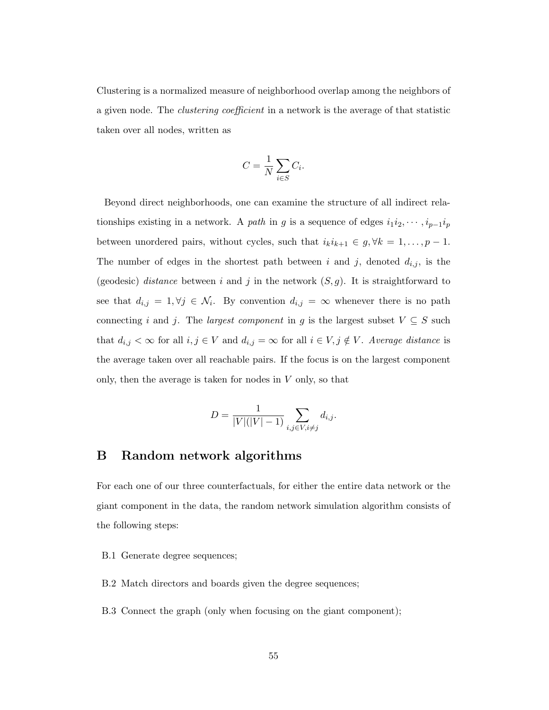Clustering is a normalized measure of neighborhood overlap among the neighbors of a given node. The clustering coefficient in a network is the average of that statistic taken over all nodes, written as

$$
C = \frac{1}{N} \sum_{i \in S} C_i.
$$

Beyond direct neighborhoods, one can examine the structure of all indirect relationships existing in a network. A path in g is a sequence of edges  $i_1i_2, \dots, i_{p-1}i_p$ between unordered pairs, without cycles, such that  $i_k i_{k+1} \in g, \forall k = 1, \ldots, p-1$ . The number of edges in the shortest path between i and j, denoted  $d_{i,j}$ , is the (geodesic) distance between i and j in the network  $(S, g)$ . It is straightforward to see that  $d_{i,j} = 1, \forall j \in \mathcal{N}_i$ . By convention  $d_{i,j} = \infty$  whenever there is no path connecting i and j. The *largest component* in g is the largest subset  $V \subseteq S$  such that  $d_{i,j} < \infty$  for all  $i, j \in V$  and  $d_{i,j} = \infty$  for all  $i \in V, j \notin V$ . Average distance is the average taken over all reachable pairs. If the focus is on the largest component only, then the average is taken for nodes in  $V$  only, so that

$$
D = \frac{1}{|V|(|V|-1)} \sum_{i,j \in V, i \neq j} d_{i,j}.
$$

# <span id="page-55-0"></span>B Random network algorithms

For each one of our three counterfactuals, for either the entire data network or the giant component in the data, the random network simulation algorithm consists of the following steps:

- B.1 Generate degree sequences;
- B.2 Match directors and boards given the degree sequences;
- B.3 Connect the graph (only when focusing on the giant component);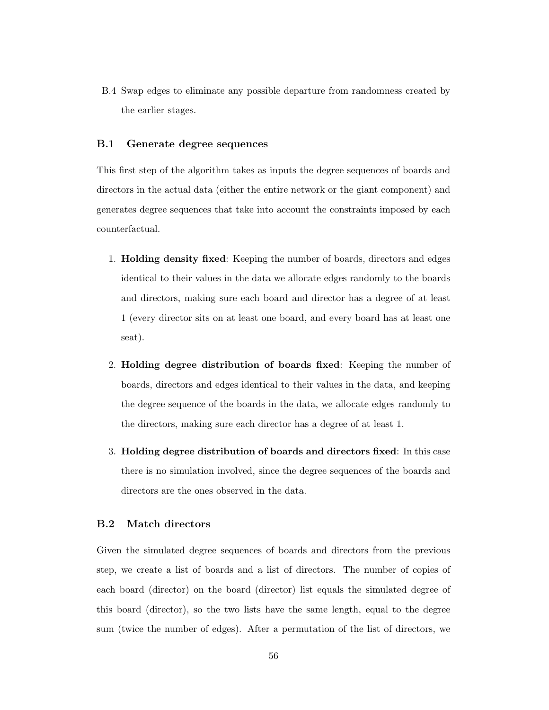B.4 Swap edges to eliminate any possible departure from randomness created by the earlier stages.

#### B.1 Generate degree sequences

This first step of the algorithm takes as inputs the degree sequences of boards and directors in the actual data (either the entire network or the giant component) and generates degree sequences that take into account the constraints imposed by each counterfactual.

- 1. Holding density fixed: Keeping the number of boards, directors and edges identical to their values in the data we allocate edges randomly to the boards and directors, making sure each board and director has a degree of at least 1 (every director sits on at least one board, and every board has at least one seat).
- 2. Holding degree distribution of boards fixed: Keeping the number of boards, directors and edges identical to their values in the data, and keeping the degree sequence of the boards in the data, we allocate edges randomly to the directors, making sure each director has a degree of at least 1.
- 3. Holding degree distribution of boards and directors fixed: In this case there is no simulation involved, since the degree sequences of the boards and directors are the ones observed in the data.

#### B.2 Match directors

Given the simulated degree sequences of boards and directors from the previous step, we create a list of boards and a list of directors. The number of copies of each board (director) on the board (director) list equals the simulated degree of this board (director), so the two lists have the same length, equal to the degree sum (twice the number of edges). After a permutation of the list of directors, we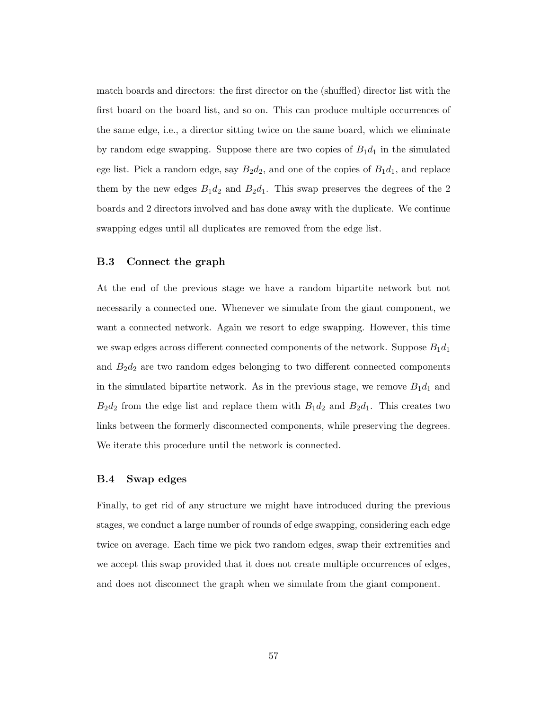match boards and directors: the first director on the (shuffled) director list with the first board on the board list, and so on. This can produce multiple occurrences of the same edge, i.e., a director sitting twice on the same board, which we eliminate by random edge swapping. Suppose there are two copies of  $B_1d_1$  in the simulated ege list. Pick a random edge, say  $B_2d_2$ , and one of the copies of  $B_1d_1$ , and replace them by the new edges  $B_1d_2$  and  $B_2d_1$ . This swap preserves the degrees of the 2 boards and 2 directors involved and has done away with the duplicate. We continue swapping edges until all duplicates are removed from the edge list.

#### B.3 Connect the graph

At the end of the previous stage we have a random bipartite network but not necessarily a connected one. Whenever we simulate from the giant component, we want a connected network. Again we resort to edge swapping. However, this time we swap edges across different connected components of the network. Suppose  $B_1d_1$ and  $B_2d_2$  are two random edges belonging to two different connected components in the simulated bipartite network. As in the previous stage, we remove  $B_1d_1$  and  $B_2d_2$  from the edge list and replace them with  $B_1d_2$  and  $B_2d_1$ . This creates two links between the formerly disconnected components, while preserving the degrees. We iterate this procedure until the network is connected.

#### B.4 Swap edges

Finally, to get rid of any structure we might have introduced during the previous stages, we conduct a large number of rounds of edge swapping, considering each edge twice on average. Each time we pick two random edges, swap their extremities and we accept this swap provided that it does not create multiple occurrences of edges, and does not disconnect the graph when we simulate from the giant component.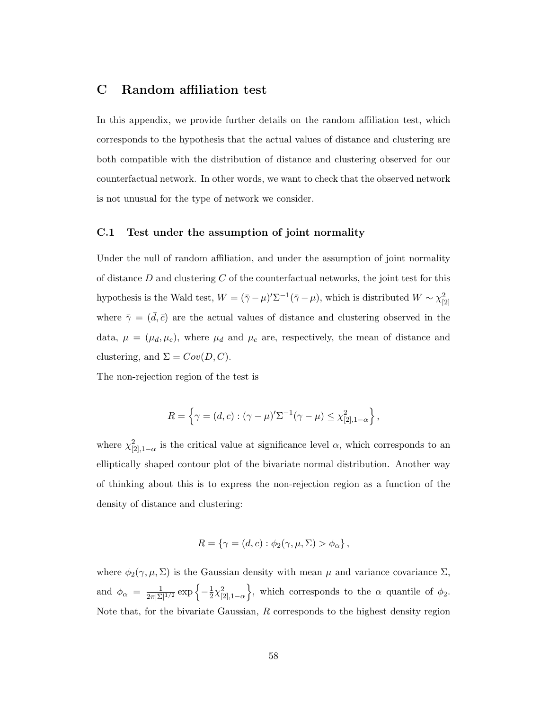# <span id="page-58-0"></span>C Random affiliation test

In this appendix, we provide further details on the random affiliation test, which corresponds to the hypothesis that the actual values of distance and clustering are both compatible with the distribution of distance and clustering observed for our counterfactual network. In other words, we want to check that the observed network is not unusual for the type of network we consider.

#### C.1 Test under the assumption of joint normality

Under the null of random affiliation, and under the assumption of joint normality of distance  $D$  and clustering  $C$  of the counterfactual networks, the joint test for this hypothesis is the Wald test,  $W = (\bar{\gamma} - \mu)' \Sigma^{-1} (\bar{\gamma} - \mu)$ , which is distributed  $W \sim \chi^2_{[2]}$ where  $\bar{\gamma} = (\bar{d}, \bar{c})$  are the actual values of distance and clustering observed in the data,  $\mu = (\mu_d, \mu_c)$ , where  $\mu_d$  and  $\mu_c$  are, respectively, the mean of distance and clustering, and  $\Sigma = Cov(D, C)$ .

The non-rejection region of the test is

$$
R = \left\{ \gamma = (d, c) : (\gamma - \mu)' \Sigma^{-1} (\gamma - \mu) \leq \chi^2_{[2], 1 - \alpha} \right\},\
$$

where  $\chi^2_{[2],1-\alpha}$  is the critical value at significance level  $\alpha$ , which corresponds to an elliptically shaped contour plot of the bivariate normal distribution. Another way of thinking about this is to express the non-rejection region as a function of the density of distance and clustering:

$$
R = \{ \gamma = (d, c) : \phi_2(\gamma, \mu, \Sigma) > \phi_\alpha \},
$$

where  $\phi_2(\gamma,\mu,\Sigma)$  is the Gaussian density with mean  $\mu$  and variance covariance  $\Sigma$ , and  $\phi_{\alpha} = \frac{1}{2\pi|\Sigma|}$  $\frac{1}{2\pi|\Sigma|^{1/2}}\exp\left\{-\frac{1}{2}\right\}$  $\frac{1}{2}\chi^2_{[2],1-\alpha}$ , which corresponds to the  $\alpha$  quantile of  $\phi_2$ . Note that, for the bivariate Gaussian,  $R$  corresponds to the highest density region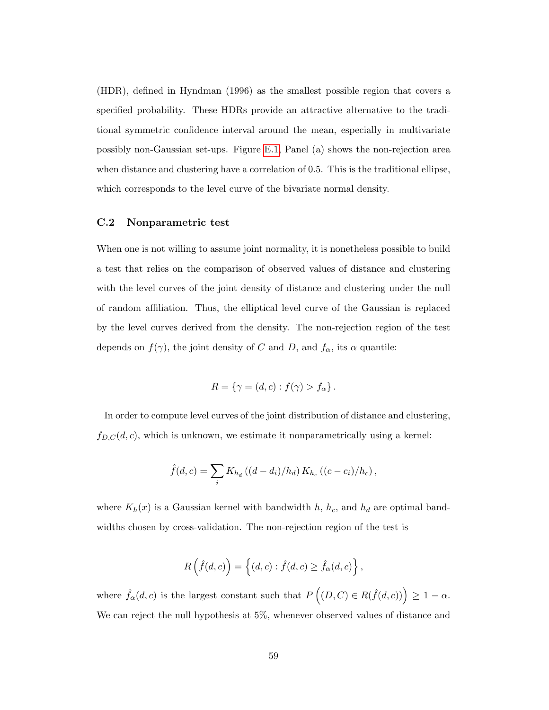(HDR), defined in Hyndman (1996) as the smallest possible region that covers a specified probability. These HDRs provide an attractive alternative to the traditional symmetric confidence interval around the mean, especially in multivariate possibly non-Gaussian set-ups. Figure [E.1,](#page-52-0) Panel (a) shows the non-rejection area when distance and clustering have a correlation of 0.5. This is the traditional ellipse, which corresponds to the level curve of the bivariate normal density.

#### C.2 Nonparametric test

When one is not willing to assume joint normality, it is nonetheless possible to build a test that relies on the comparison of observed values of distance and clustering with the level curves of the joint density of distance and clustering under the null of random affiliation. Thus, the elliptical level curve of the Gaussian is replaced by the level curves derived from the density. The non-rejection region of the test depends on  $f(\gamma)$ , the joint density of C and D, and  $f_{\alpha}$ , its  $\alpha$  quantile:

$$
R = \{ \gamma = (d, c) : f(\gamma) > f_{\alpha} \}.
$$

In order to compute level curves of the joint distribution of distance and clustering,  $f_{D,C}(d, c)$ , which is unknown, we estimate it nonparametrically using a kernel:

$$
\hat{f}(d,c) = \sum_{i} K_{h_d} ((d - d_i)/h_d) K_{h_c} ((c - c_i)/h_c),
$$

where  $K_h(x)$  is a Gaussian kernel with bandwidth h,  $h_c$ , and  $h_d$  are optimal bandwidths chosen by cross-validation. The non-rejection region of the test is

$$
R\left(\hat{f}(d,c)\right) = \left\{(d,c) : \hat{f}(d,c) \geq \hat{f}_{\alpha}(d,c)\right\},\,
$$

where  $\hat{f}_{\alpha}(d, c)$  is the largest constant such that  $P((D, C) \in R(\hat{f}(d, c))) \geq 1 - \alpha$ . We can reject the null hypothesis at 5%, whenever observed values of distance and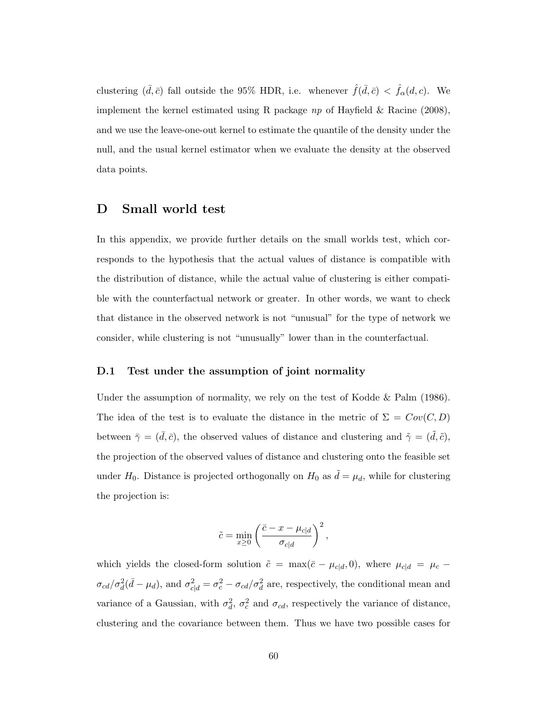clustering  $(\bar{d}, \bar{c})$  fall outside the 95% HDR, i.e. whenever  $\hat{f}(\bar{d}, \bar{c}) < \hat{f}_{\alpha}(d, c)$ . We implement the kernel estimated using R package  $np$  of Hayfield & Racine (2008), and we use the leave-one-out kernel to estimate the quantile of the density under the null, and the usual kernel estimator when we evaluate the density at the observed data points.

# <span id="page-60-0"></span>D Small world test

In this appendix, we provide further details on the small worlds test, which corresponds to the hypothesis that the actual values of distance is compatible with the distribution of distance, while the actual value of clustering is either compatible with the counterfactual network or greater. In other words, we want to check that distance in the observed network is not "unusual" for the type of network we consider, while clustering is not "unusually" lower than in the counterfactual.

#### D.1 Test under the assumption of joint normality

Under the assumption of normality, we rely on the test of Kodde & Palm (1986). The idea of the test is to evaluate the distance in the metric of  $\Sigma = Cov(C, D)$ between  $\bar{\gamma} = (\bar{d}, \bar{c})$ , the observed values of distance and clustering and  $\tilde{\gamma} = (\tilde{d}, \tilde{c})$ , the projection of the observed values of distance and clustering onto the feasible set under  $H_0$ . Distance is projected orthogonally on  $H_0$  as  $\tilde{d} = \mu_d$ , while for clustering the projection is:

$$
\tilde{c} = \min_{x \ge 0} \left( \frac{\bar{c} - x - \mu_{c|d}}{\sigma_{c|d}} \right)^2,
$$

which yields the closed-form solution  $\tilde{c} = \max(\bar{c} - \mu_{c|d}, 0)$ , where  $\mu_{c|d} = \mu_c \sigma_{cd}/\sigma_d^2(\bar{d}-\mu_d)$ , and  $\sigma_{c|d}^2=\sigma_c^2-\sigma_{cd}/\sigma_d^2$  are, respectively, the conditional mean and variance of a Gaussian, with  $\sigma_d^2$ ,  $\sigma_c^2$  and  $\sigma_{cd}$ , respectively the variance of distance, clustering and the covariance between them. Thus we have two possible cases for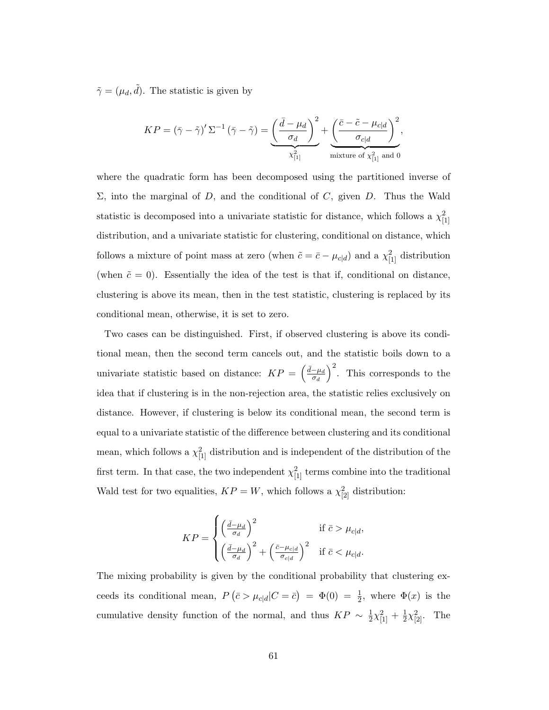$\tilde{\gamma} = (\mu_d, \tilde{d})$ . The statistic is given by

$$
KP = (\bar{\gamma} - \tilde{\gamma})' \Sigma^{-1} (\bar{\gamma} - \tilde{\gamma}) = \underbrace{\left(\frac{\bar{d} - \mu_d}{\sigma_d}\right)^2}_{\chi^2_{[1]}} + \underbrace{\left(\frac{\bar{c} - \tilde{c} - \mu_{c|d}}{\sigma_{c|d}}\right)^2}_{\text{mixture of } \chi^2_{[1]}}.
$$

where the quadratic form has been decomposed using the partitioned inverse of  $\Sigma$ , into the marginal of D, and the conditional of C, given D. Thus the Wald statistic is decomposed into a univariate statistic for distance, which follows a  $\chi^2_{[1]}$ distribution, and a univariate statistic for clustering, conditional on distance, which follows a mixture of point mass at zero (when  $\tilde{c} = \bar{c} - \mu_{c|d}$ ) and a  $\chi^2_{[1]}$  distribution (when  $\tilde{c} = 0$ ). Essentially the idea of the test is that if, conditional on distance, clustering is above its mean, then in the test statistic, clustering is replaced by its conditional mean, otherwise, it is set to zero.

Two cases can be distinguished. First, if observed clustering is above its conditional mean, then the second term cancels out, and the statistic boils down to a univariate statistic based on distance:  $KP = \left(\frac{\bar{d}-\mu_d}{\sigma_d}\right)$  $\overline{\sigma_d}$  $\int_{0}^{2}$ . This corresponds to the idea that if clustering is in the non-rejection area, the statistic relies exclusively on distance. However, if clustering is below its conditional mean, the second term is equal to a univariate statistic of the difference between clustering and its conditional mean, which follows a  $\chi^2_{[1]}$  distribution and is independent of the distribution of the first term. In that case, the two independent  $\chi^2_{[1]}$  terms combine into the traditional Wald test for two equalities,  $KP = W$ , which follows a  $\chi^2_{[2]}$  distribution:

$$
KP = \begin{cases} \left(\frac{\bar{d}-\mu_d}{\sigma_d}\right)^2 & \text{if } \bar{c} > \mu_{c|d},\\ \left(\frac{\bar{d}-\mu_d}{\sigma_d}\right)^2 + \left(\frac{\bar{c}-\mu_{c|d}}{\sigma_{c|d}}\right)^2 & \text{if } \bar{c} < \mu_{c|d}. \end{cases}
$$

The mixing probability is given by the conditional probability that clustering exceeds its conditional mean,  $P(\bar{c} > \mu_{c|d}|C = \bar{c}) = \Phi(0) = \frac{1}{2}$ , where  $\Phi(x)$  is the cumulative density function of the normal, and thus  $KP \sim \frac{1}{2}$  $\frac{1}{2}\chi_{[1]}^2 + \frac{1}{2}$  $\frac{1}{2}\chi^{2}_{[2]}$ . The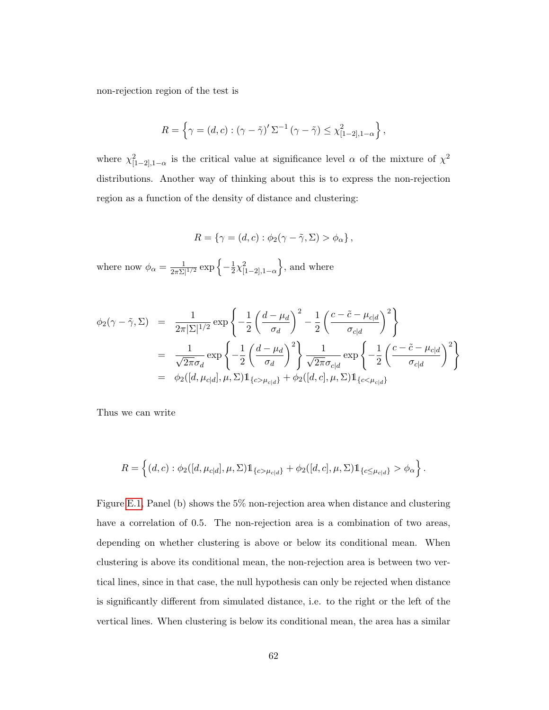non-rejection region of the test is

$$
R = \left\{ \gamma = (d, c) : (\gamma - \tilde{\gamma})' \Sigma^{-1} (\gamma - \tilde{\gamma}) \leq \chi^2_{[1-2], 1-\alpha} \right\},\,
$$

where  $\chi^2_{[1-2],1-\alpha}$  is the critical value at significance level  $\alpha$  of the mixture of  $\chi^2$ distributions. Another way of thinking about this is to express the non-rejection region as a function of the density of distance and clustering:

$$
R = \{ \gamma = (d, c) : \phi_2(\gamma - \tilde{\gamma}, \Sigma) > \phi_\alpha \},
$$

where now  $\phi_{\alpha} = \frac{1}{2\pi\bar{N}}$  $\frac{1}{2\pi\Sigma|^{1/2}}\exp\left\{-\frac{1}{2}\right\}$  $\frac{1}{2}\chi^2_{[1-2],1-\alpha}$ , and where

$$
\begin{split} \phi_2(\gamma - \tilde{\gamma}, \Sigma) &= \frac{1}{2\pi |\Sigma|^{1/2}} \exp\left\{-\frac{1}{2} \left(\frac{d - \mu_d}{\sigma_d}\right)^2 - \frac{1}{2} \left(\frac{c - \tilde{c} - \mu_{c|d}}{\sigma_{c|d}}\right)^2\right\} \\ &= \frac{1}{\sqrt{2\pi}\sigma_d} \exp\left\{-\frac{1}{2} \left(\frac{d - \mu_d}{\sigma_d}\right)^2\right\} \frac{1}{\sqrt{2\pi}\sigma_{c|d}} \exp\left\{-\frac{1}{2} \left(\frac{c - \tilde{c} - \mu_{c|d}}{\sigma_{c|d}}\right)^2\right\} \\ &= \phi_2([d, \mu_{c|d}], \mu, \Sigma) \mathbb{1}_{\{c > \mu_{c|d}\}} + \phi_2([d, c], \mu, \Sigma) \mathbb{1}_{\{c < \mu_{c|d}\}} \end{split}
$$

Thus we can write

$$
R = \left\{ (d, c) : \phi_2([d, \mu_{c|d}], \mu, \Sigma) 1\!\!1_{\{c > \mu_{c|d}\}} + \phi_2([d, c], \mu, \Sigma) 1\!\!1_{\{c \le \mu_{c|d}\}} > \phi_\alpha \right\}.
$$

Figure [E.1,](#page-52-0) Panel (b) shows the 5% non-rejection area when distance and clustering have a correlation of 0.5. The non-rejection area is a combination of two areas, depending on whether clustering is above or below its conditional mean. When clustering is above its conditional mean, the non-rejection area is between two vertical lines, since in that case, the null hypothesis can only be rejected when distance is significantly different from simulated distance, i.e. to the right or the left of the vertical lines. When clustering is below its conditional mean, the area has a similar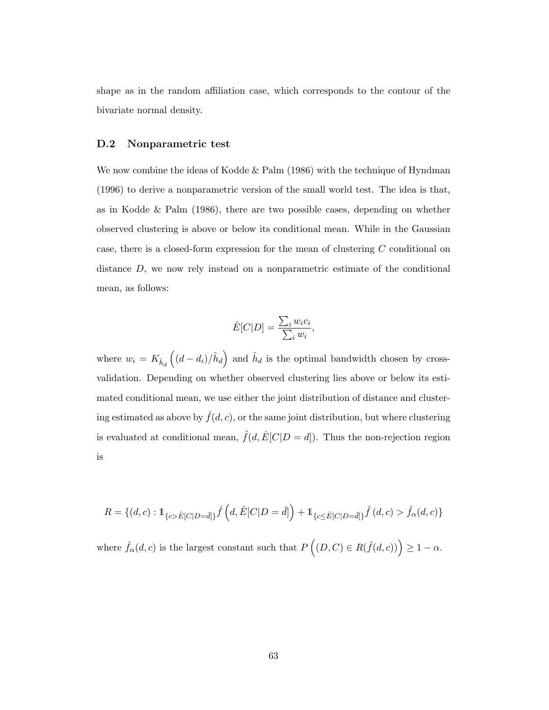shape as in the random affiliation case, which corresponds to the contour of the bivariate normal density.

#### D.2 Nonparametric test

We now combine the ideas of Kodde  $\&$  Palm (1986) with the technique of Hyndman (1996) to derive a nonparametric version of the small world test. The idea is that, as in Kodde & Palm (1986), there are two possible cases, depending on whether observed clustering is above or below its conditional mean. While in the Gaussian case, there is a closed-form expression for the mean of clustering C conditional on distance D, we now rely instead on a nonparametric estimate of the conditional mean, as follows:

$$
\hat{E}[C|D] = \frac{\sum_{i} w_i c_i}{\sum_{i} w_i},
$$

where  $w_i = K_{\hat{h}_d}$  $((d - d_i)/\hat{h}_d)$  and  $\hat{h}_d$  is the optimal bandwidth chosen by crossvalidation. Depending on whether observed clustering lies above or below its estimated conditional mean, we use either the joint distribution of distance and clustering estimated as above by  $\hat{f}(d, c)$ , or the same joint distribution, but where clustering is evaluated at conditional mean,  $\hat{f}(d, \hat{E}[C|D = d])$ . Thus the non-rejection region is

$$
R = \{(d, c) : \mathbb{1}_{\{c > \hat{E}[C|D=\bar{d}]\}} \hat{f}\left(d, \hat{E}[C|D=\bar{d}]\right) + \mathbb{1}_{\{c \leq \hat{E}[C|D=\bar{d}]\}} \hat{f}(d, c) > \hat{f}_{\alpha}(d, c)\}
$$

where  $\hat{f}_{\alpha}(d, c)$  is the largest constant such that  $P((D, C) \in R(\hat{f}(d, c))) \geq 1 - \alpha$ .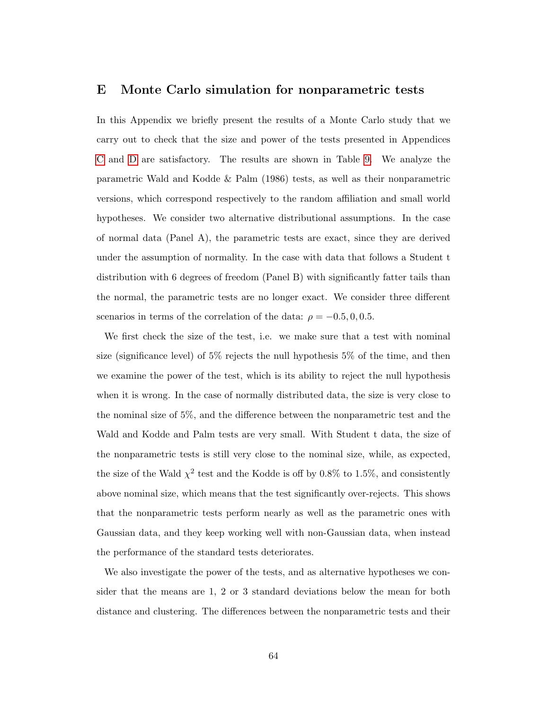#### E Monte Carlo simulation for nonparametric tests

In this Appendix we briefly present the results of a Monte Carlo study that we carry out to check that the size and power of the tests presented in Appendices [C](#page-58-0) and [D](#page-60-0) are satisfactory. The results are shown in Table [9.](#page-66-0) We analyze the parametric Wald and Kodde & Palm (1986) tests, as well as their nonparametric versions, which correspond respectively to the random affiliation and small world hypotheses. We consider two alternative distributional assumptions. In the case of normal data (Panel A), the parametric tests are exact, since they are derived under the assumption of normality. In the case with data that follows a Student t distribution with 6 degrees of freedom (Panel B) with significantly fatter tails than the normal, the parametric tests are no longer exact. We consider three different scenarios in terms of the correlation of the data:  $\rho = -0.5, 0, 0.5$ .

We first check the size of the test, i.e. we make sure that a test with nominal size (significance level) of 5% rejects the null hypothesis 5% of the time, and then we examine the power of the test, which is its ability to reject the null hypothesis when it is wrong. In the case of normally distributed data, the size is very close to the nominal size of 5%, and the difference between the nonparametric test and the Wald and Kodde and Palm tests are very small. With Student t data, the size of the nonparametric tests is still very close to the nominal size, while, as expected, the size of the Wald  $\chi^2$  test and the Kodde is off by 0.8% to 1.5%, and consistently above nominal size, which means that the test significantly over-rejects. This shows that the nonparametric tests perform nearly as well as the parametric ones with Gaussian data, and they keep working well with non-Gaussian data, when instead the performance of the standard tests deteriorates.

We also investigate the power of the tests, and as alternative hypotheses we consider that the means are 1, 2 or 3 standard deviations below the mean for both distance and clustering. The differences between the nonparametric tests and their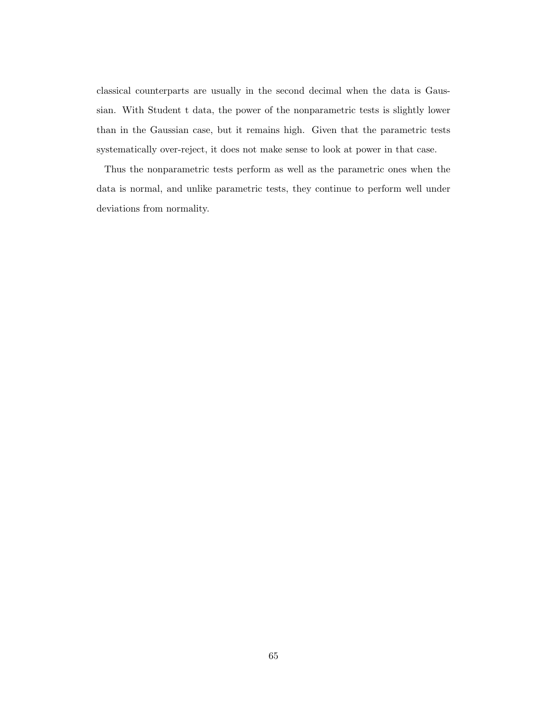classical counterparts are usually in the second decimal when the data is Gaussian. With Student t data, the power of the nonparametric tests is slightly lower than in the Gaussian case, but it remains high. Given that the parametric tests systematically over-reject, it does not make sense to look at power in that case.

Thus the nonparametric tests perform as well as the parametric ones when the data is normal, and unlike parametric tests, they continue to perform well under deviations from normality.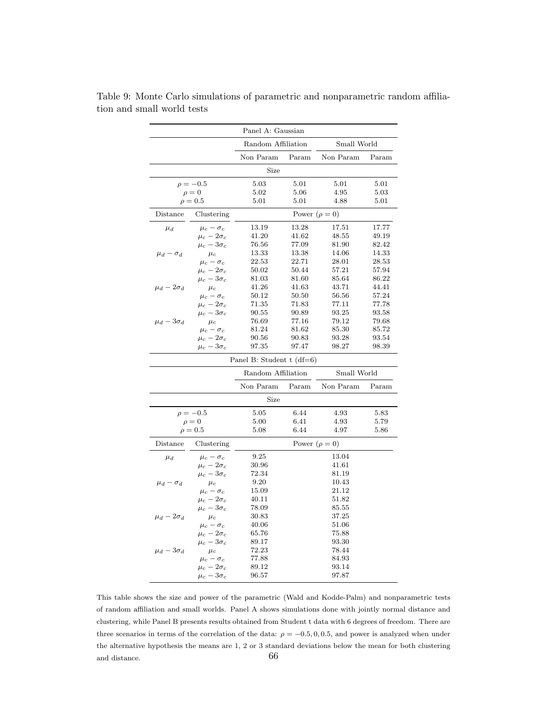|                     |                                                                       | Panel A: Gaussian           |       |                    |          |  |  |  |
|---------------------|-----------------------------------------------------------------------|-----------------------------|-------|--------------------|----------|--|--|--|
|                     |                                                                       | Random Affiliation          |       | Small World        |          |  |  |  |
|                     |                                                                       | Non Param                   | Param | Non Param          | Param    |  |  |  |
|                     |                                                                       | Size                        |       |                    |          |  |  |  |
|                     | $\rho = -0.5$                                                         | 5.03                        | 5.01  | 5.01               | 5.01     |  |  |  |
|                     | $\rho = 0$                                                            | 5.02                        | 5.06  | 4.95               | 5.03     |  |  |  |
|                     | $\rho = 0.5$                                                          | 5.01                        | 5.01  | 4.88               | $5.01\,$ |  |  |  |
| Distance            | Clustering                                                            |                             |       | Power $(\rho = 0)$ |          |  |  |  |
| $\mu_d$             | $\mu_c - \sigma_c$                                                    | 13.19                       | 13.28 | 17.51              | 17.77    |  |  |  |
|                     | $\mu_c - 2\sigma_c$                                                   | 41.20                       | 41.62 | 48.55              | 49.19    |  |  |  |
|                     | $\mu_c - 3\sigma_c$                                                   | 76.56                       | 77.09 | 81.90              | 82.42    |  |  |  |
| $\mu_d - \sigma_d$  | $\mu_c$                                                               | 13.33                       | 13.38 | 14.06              | 14.33    |  |  |  |
|                     | $\mu_c - \sigma_c$                                                    | 22.53                       | 22.71 | 28.01              | 28.53    |  |  |  |
|                     | $\mu_c - 2\sigma_c$                                                   | 50.02                       | 50.44 | 57.21              | 57.94    |  |  |  |
|                     | $\mu_c - 3\sigma_c$                                                   | 81.03                       | 81.60 | 85.64              | 86.22    |  |  |  |
| $\mu_d - 2\sigma_d$ | $\mu_c$                                                               | 41.26                       | 41.63 | 43.71              | 44.41    |  |  |  |
|                     | $\mu_c-\sigma_c$                                                      | 50.12                       | 50.50 | 56.56              | 57.24    |  |  |  |
|                     | $\mu_c - 2\sigma_c$                                                   | 71.35                       | 71.83 | 77.11              | 77.78    |  |  |  |
|                     | $\mu_c - 3\sigma_c$                                                   | 90.55                       | 90.89 | 93.25              | 93.58    |  |  |  |
| $\mu_d - 3\sigma_d$ | $\mu_c$                                                               | 76.69                       | 77.16 | 79.12              | 79.68    |  |  |  |
|                     |                                                                       | 81.24                       | 81.62 | 85.30              | 85.72    |  |  |  |
|                     | $\begin{array}{l} \mu_c - \sigma_c \\ \mu_c - 2 \sigma_c \end{array}$ | 90.56                       | 90.83 | 93.28              | 93.54    |  |  |  |
|                     | $\mu_c - 3\sigma_c$                                                   | 97.35                       | 97.47 | 98.27              | 98.39    |  |  |  |
|                     |                                                                       | Panel B: Student t $(df=6)$ |       |                    |          |  |  |  |
|                     |                                                                       |                             |       |                    |          |  |  |  |
|                     |                                                                       | Random Affiliation          |       | Small World        |          |  |  |  |
|                     |                                                                       | Non Param                   | Param | Non Param          | Param    |  |  |  |
|                     |                                                                       | Size                        |       |                    |          |  |  |  |
|                     | $\rho = -0.5$                                                         | 5.05                        | 6.44  | 4.93               | 5.83     |  |  |  |
|                     | $\rho = 0$                                                            | 5.00                        | 6.41  | 4.93               | 5.79     |  |  |  |
|                     | $\rho = 0.5$                                                          | 5.08                        | 6.44  | 4.97               | 5.86     |  |  |  |
| Distance            | Clustering                                                            |                             |       | Power $(\rho = 0)$ |          |  |  |  |
| $\mu_d$             | $\mu_c - \sigma_c$                                                    | 9.25                        |       | 13.04              |          |  |  |  |
|                     | $\mu_c - 2\sigma_c$                                                   | 30.96                       |       | 41.61              |          |  |  |  |
|                     | $\mu_c - 3\sigma_c$                                                   | 72.34                       |       | 81.19              |          |  |  |  |
| $\mu_d - \sigma_d$  | $\mu_c$                                                               | 9.20                        |       | 10.43              |          |  |  |  |
|                     | $\mu_c - \sigma_c$                                                    | 15.09                       |       | 21.12              |          |  |  |  |
|                     | $\mu_c - 2\sigma_c$                                                   | 40.11                       |       | 51.82              |          |  |  |  |
|                     | $\mu_c - 3\sigma_c$                                                   | 78.09                       |       | 85.55              |          |  |  |  |
| $\mu_d - 2\sigma_d$ | $\mu_c$                                                               | 30.83                       |       | 37.25              |          |  |  |  |
|                     | $\mu_c - \sigma_c$                                                    | 40.06                       |       | 51.06              |          |  |  |  |
|                     | $\mu_c-2\sigma_c$                                                     | 65.76                       |       | 75.88              |          |  |  |  |
|                     | $\mu_c - 3\sigma_c$                                                   | 89.17                       |       | 93.30              |          |  |  |  |
| $\mu_d - 3\sigma_d$ |                                                                       | 72.23                       |       | 78.44              |          |  |  |  |
|                     | $\mu_c$<br>$\mu_c - \sigma_c$                                         | 77.88                       |       | 84.93              |          |  |  |  |
|                     | $\mu_c - 2\sigma_c$                                                   | 89.12                       |       | 93.14              |          |  |  |  |
|                     | $\mu_c - 3\sigma_c$                                                   | 96.57                       |       | 97.87              |          |  |  |  |
|                     |                                                                       |                             |       |                    |          |  |  |  |

<span id="page-66-0"></span>Table 9: Monte Carlo simulations of parametric and nonparametric random affiliation and small world tests

This table shows the size and power of the parametric (Wald and Kodde-Palm) and nonparametric tests of random affiliation and small worlds. Panel A shows simulations done with jointly normal distance and clustering, while Panel B presents results obtained from Student t data with 6 degrees of freedom. There are three scenarios in terms of the correlation of the data:  $\rho = -0.5, 0, 0.5$ , and power is analyzed when under the alternative hypothesis the means are 1, 2 or 3 standard deviations below the mean for both clustering and distance. 66